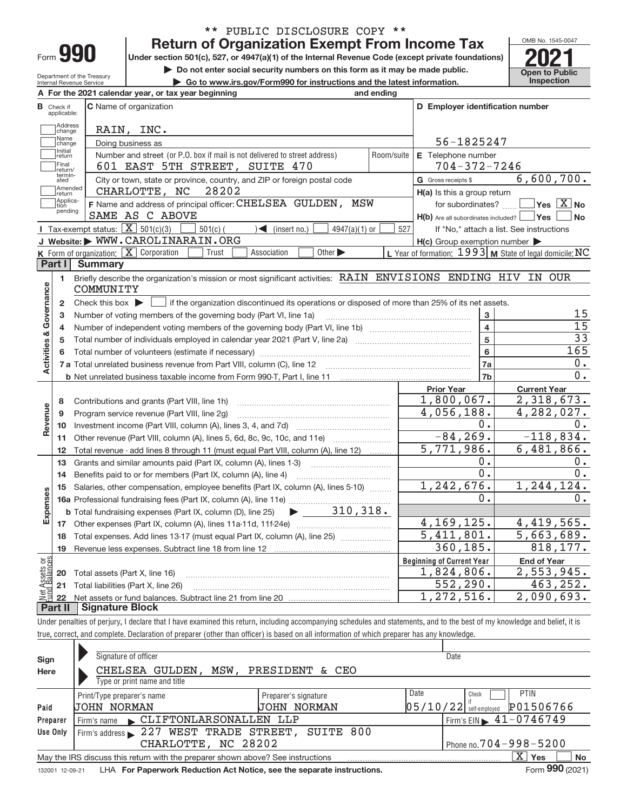| -orm |  |
|------|--|

Department of the Treasury Internal Revenue Service

## **Return of Organization Exempt From Income Tax** \*\* PUBLIC DISCLOSURE COPY \*\*

**Under section 501(c), 527, or 4947(a)(1) of the Internal Revenue Code (except private foundations)**

**but the Do not enter social security numbers on this form as it may be made public.** The open to Public **Dependent Conduct Later Conduct Later Social Security numbers on this form as it may be made public. Conductions and** 

**| Go to www.irs.gov/Form990 for instructions and the latest information. Inspection**



|                         |                               | A For the 2021 calendar year, or tax year beginning                                                                                     | and ending |                                                     |                                                           |  |  |  |  |  |
|-------------------------|-------------------------------|-----------------------------------------------------------------------------------------------------------------------------------------|------------|-----------------------------------------------------|-----------------------------------------------------------|--|--|--|--|--|
|                         | <b>B</b> Check if applicable: | <b>C</b> Name of organization                                                                                                           |            | D Employer identification number                    |                                                           |  |  |  |  |  |
|                         | Address<br>change             | RAIN, INC.                                                                                                                              |            |                                                     |                                                           |  |  |  |  |  |
|                         | Name<br>change                | Doing business as                                                                                                                       |            | 56-1825247                                          |                                                           |  |  |  |  |  |
|                         | Initial<br>return             | Number and street (or P.O. box if mail is not delivered to street address)                                                              | Room/suite | E Telephone number                                  |                                                           |  |  |  |  |  |
|                         | Final<br>return/              | 601 EAST 5TH STREET, SUITE 470                                                                                                          |            | $704 - 372 - 7246$                                  |                                                           |  |  |  |  |  |
|                         | termin-<br>ated               | City or town, state or province, country, and ZIP or foreign postal code                                                                |            | G Gross receipts \$                                 | 6,600,700.                                                |  |  |  |  |  |
|                         | Amended<br>return             | CHARLOTTE, NC<br>28202                                                                                                                  |            | $H(a)$ is this a group return                       |                                                           |  |  |  |  |  |
|                         | Applica-<br>tion<br>pending   | F Name and address of principal officer: CHELSEA GULDEN, MSW                                                                            |            | for subordinates?                                   | $\overline{\mathsf{Yes} \mathbb{X}}$ No                   |  |  |  |  |  |
|                         |                               | SAME AS C ABOVE                                                                                                                         |            | $H(b)$ Are all subordinates included? $\Box$ Yes    | No                                                        |  |  |  |  |  |
|                         |                               | <b>I</b> Tax-exempt status: $\boxed{\mathbf{X}}$ 501(c)(3)<br>$\sqrt{\frac{1}{1}}$ (insert no.)<br>$501(c)$ (<br>$4947(a)(1)$ or        | 527        |                                                     | If "No," attach a list. See instructions                  |  |  |  |  |  |
|                         |                               | J Website: WWW.CAROLINARAIN.ORG                                                                                                         |            | $H(c)$ Group exemption number $\blacktriangleright$ |                                                           |  |  |  |  |  |
|                         |                               | K Form of organization: $X$ Corporation<br>Other $\blacktriangleright$<br>Trust<br>Association                                          |            |                                                     | L Year of formation: $1993$ M State of legal domicile: NC |  |  |  |  |  |
|                         | Part I                        | <b>Summary</b>                                                                                                                          |            |                                                     |                                                           |  |  |  |  |  |
|                         | 1                             | Briefly describe the organization's mission or most significant activities: RAIN ENVISIONS ENDING HIV IN OUR                            |            |                                                     |                                                           |  |  |  |  |  |
| Governance              |                               | COMMUNITY                                                                                                                               |            |                                                     |                                                           |  |  |  |  |  |
|                         | $\mathbf{2}$                  | if the organization discontinued its operations or disposed of more than 25% of its net assets.<br>Check this box $\blacktriangleright$ |            |                                                     | 15                                                        |  |  |  |  |  |
|                         | 3<br>4                        | Number of voting members of the governing body (Part VI, line 1a)                                                                       |            | 3<br>$\overline{4}$                                 | 15                                                        |  |  |  |  |  |
|                         | 5                             |                                                                                                                                         |            | $\overline{5}$                                      | $\overline{33}$                                           |  |  |  |  |  |
|                         | 6                             |                                                                                                                                         | 6          | 165                                                 |                                                           |  |  |  |  |  |
| <b>Activities &amp;</b> |                               | 7 a Total unrelated business revenue from Part VIII, column (C), line 12                                                                |            | 7a                                                  | 0.                                                        |  |  |  |  |  |
|                         |                               |                                                                                                                                         |            | 7b                                                  | $\overline{0}$ .                                          |  |  |  |  |  |
|                         |                               |                                                                                                                                         |            | <b>Prior Year</b>                                   | <b>Current Year</b>                                       |  |  |  |  |  |
|                         | 8                             | Contributions and grants (Part VIII, line 1h)                                                                                           |            | 1,800,067.                                          | 2,318,673.                                                |  |  |  |  |  |
|                         | 9                             | Program service revenue (Part VIII, line 2g)                                                                                            |            | 4,056,188.                                          | 4,282,027.                                                |  |  |  |  |  |
| Revenue                 | 10                            |                                                                                                                                         |            | 0.                                                  | 0.                                                        |  |  |  |  |  |
|                         | 11                            | Other revenue (Part VIII, column (A), lines 5, 6d, 8c, 9c, 10c, and 11e)                                                                |            | $-84, 269.$                                         | $-118,834.$                                               |  |  |  |  |  |
|                         | 12                            | Total revenue - add lines 8 through 11 (must equal Part VIII, column (A), line 12)                                                      |            | 5,771,986.                                          | 6,481,866.                                                |  |  |  |  |  |
|                         | 13                            | Grants and similar amounts paid (Part IX, column (A), lines 1-3)                                                                        |            | $0$ .                                               | 0.                                                        |  |  |  |  |  |
|                         | 14                            | Benefits paid to or for members (Part IX, column (A), line 4)                                                                           |            | $\overline{0}$ .                                    | 0.                                                        |  |  |  |  |  |
|                         | 15                            | Salaries, other compensation, employee benefits (Part IX, column (A), lines 5-10)                                                       |            | 1,242,676.                                          | 1,244,124.                                                |  |  |  |  |  |
|                         |                               |                                                                                                                                         |            | $0$ .                                               | 0.                                                        |  |  |  |  |  |
| Expenses                |                               | $\blacktriangleright$ 310,318.<br><b>b</b> Total fundraising expenses (Part IX, column (D), line 25)                                    |            |                                                     |                                                           |  |  |  |  |  |
|                         | 17                            |                                                                                                                                         |            | 4, 169, 125.                                        | 4,419,565.                                                |  |  |  |  |  |
|                         | 18                            | Total expenses. Add lines 13-17 (must equal Part IX, column (A), line 25)                                                               |            | $\overline{5,411},801.$                             | 5,663,689.                                                |  |  |  |  |  |
|                         | 19                            |                                                                                                                                         |            | 360,185.                                            | 818, 177.                                                 |  |  |  |  |  |
| គង្គ                    |                               |                                                                                                                                         |            | <b>Beginning of Current Year</b>                    | <b>End of Year</b>                                        |  |  |  |  |  |
| Net Assets              | 20                            | Total assets (Part X, line 16)                                                                                                          |            | 1,824,806.                                          | 2,553,945.                                                |  |  |  |  |  |
|                         | 21                            | Total liabilities (Part X, line 26)                                                                                                     |            | 552, 290.                                           | 463,252.                                                  |  |  |  |  |  |
|                         |                               |                                                                                                                                         |            | 1,272,516.                                          | 2,090,693.                                                |  |  |  |  |  |

**Part II Signature Block**

Under penalties of perjury, I declare that I have examined this return, including accompanying schedules and statements, and to the best of my knowledge and belief, it is true, correct, and complete. Declaration of preparer (other than officer) is based on all information of which preparer has any knowledge.

| Sign            | Signature of officer                                                            | Date                         |                                       |
|-----------------|---------------------------------------------------------------------------------|------------------------------|---------------------------------------|
| Here            | CHELSEA GULDEN,<br>MSW, PRESIDENT & CEO                                         |                              |                                       |
|                 | Type or print name and title                                                    |                              |                                       |
|                 | Print/Type preparer's name                                                      | Date<br><b>PTIN</b><br>Check |                                       |
| Paid            | UOHN NORMAN                                                                     | UOHN NORMAN                  | P01506766<br>$05/10/22$ self-employed |
| Preparer        | Firm's name CLIFTONLARSONALLEN LLP                                              |                              | $1$ Firm's EIN $\geq 41 - 0746749$    |
| Use Only        | Firm's address 227 WEST TRADE STREET, SUITE 800                                 |                              |                                       |
|                 | CHARLOTTE, NC 28202                                                             | Phone no. $704 - 998 - 5200$ |                                       |
|                 | May the IRS discuss this return with the preparer shown above? See instructions |                              | X.<br><b>No</b><br>Yes                |
| 132001 12-09-21 | LHA For Paperwork Reduction Act Notice, see the separate instructions.          |                              | Form 990 (2021)                       |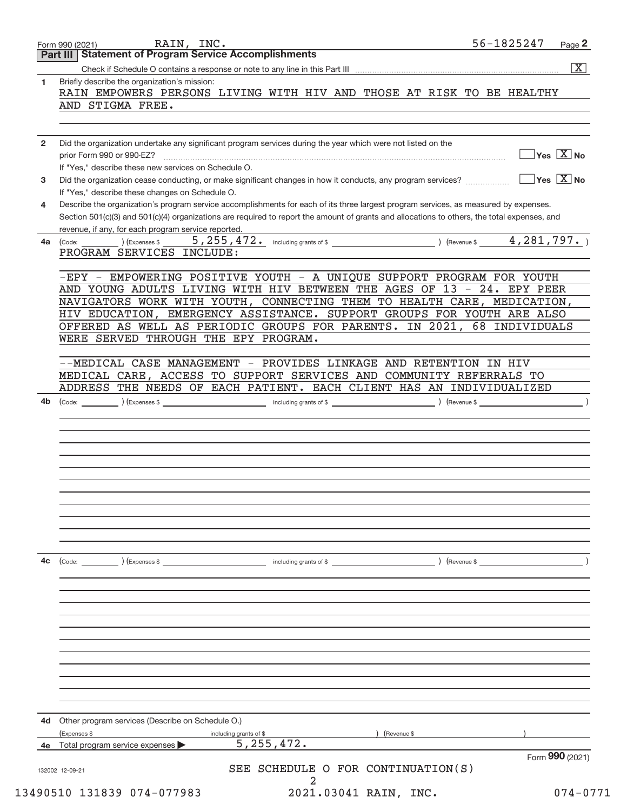|                | Form 990 (2021)                                                                                                                                                                                     |
|----------------|-----------------------------------------------------------------------------------------------------------------------------------------------------------------------------------------------------|
| 4e             | (Expenses \$<br>(Revenue \$<br>including grants of \$<br>5, 255, 472.<br>Total program service expenses                                                                                             |
| 4d             | Other program services (Describe on Schedule O.)                                                                                                                                                    |
|                |                                                                                                                                                                                                     |
|                |                                                                                                                                                                                                     |
|                |                                                                                                                                                                                                     |
|                |                                                                                                                                                                                                     |
|                |                                                                                                                                                                                                     |
|                |                                                                                                                                                                                                     |
| 4c             | ) (Revenue \$<br>(Code:<br>(Expenses \$<br>including grants of \$                                                                                                                                   |
|                |                                                                                                                                                                                                     |
|                |                                                                                                                                                                                                     |
|                |                                                                                                                                                                                                     |
|                |                                                                                                                                                                                                     |
|                |                                                                                                                                                                                                     |
|                |                                                                                                                                                                                                     |
| 4b             | ADDRESS THE NEEDS OF EACH PATIENT. EACH CLIENT HAS AN INDIVIDUALIZED                                                                                                                                |
|                | MEDICAL CARE, ACCESS TO SUPPORT SERVICES AND COMMUNITY REFERRALS TO                                                                                                                                 |
|                | --MEDICAL CASE MANAGEMENT - PROVIDES LINKAGE AND RETENTION IN HIV                                                                                                                                   |
|                | OFFERED AS WELL AS PERIODIC GROUPS FOR PARENTS. IN 2021, 68 INDIVIDUALS<br>WERE SERVED THROUGH THE EPY PROGRAM.                                                                                     |
|                | NAVIGATORS WORK WITH YOUTH, CONNECTING THEM TO HEALTH CARE, MEDICATION,<br>HIV EDUCATION, EMERGENCY ASSISTANCE. SUPPORT GROUPS FOR YOUTH ARE ALSO                                                   |
|                | -EPY - EMPOWERING POSITIVE YOUTH - A UNIQUE SUPPORT PROGRAM FOR YOUTH<br>AND YOUNG ADULTS LIVING WITH HIV BETWEEN THE AGES OF 13 - 24. EPY PEER                                                     |
|                |                                                                                                                                                                                                     |
| 4a             | PROGRAM SERVICES INCLUDE:                                                                                                                                                                           |
|                | Section 501(c)(3) and 501(c)(4) organizations are required to report the amount of grants and allocations to others, the total expenses, and<br>revenue, if any, for each program service reported. |
| 4              | If "Yes," describe these changes on Schedule O.<br>Describe the organization's program service accomplishments for each of its three largest program services, as measured by expenses.             |
| 3              | $\boxed{\phantom{1}}$ Yes $\boxed{\text{X}}$ No<br>Did the organization cease conducting, or make significant changes in how it conducts, any program services?                                     |
|                | $\boxed{\phantom{1}}$ Yes $\boxed{\text{X}}$ No<br>If "Yes," describe these new services on Schedule O.                                                                                             |
| $\overline{2}$ | Did the organization undertake any significant program services during the year which were not listed on the                                                                                        |
|                | AND STIGMA FREE.                                                                                                                                                                                    |
|                | RAIN EMPOWERS PERSONS LIVING WITH HIV AND THOSE AT RISK TO BE HEALTHY                                                                                                                               |
| 1.             | Briefly describe the organization's mission:                                                                                                                                                        |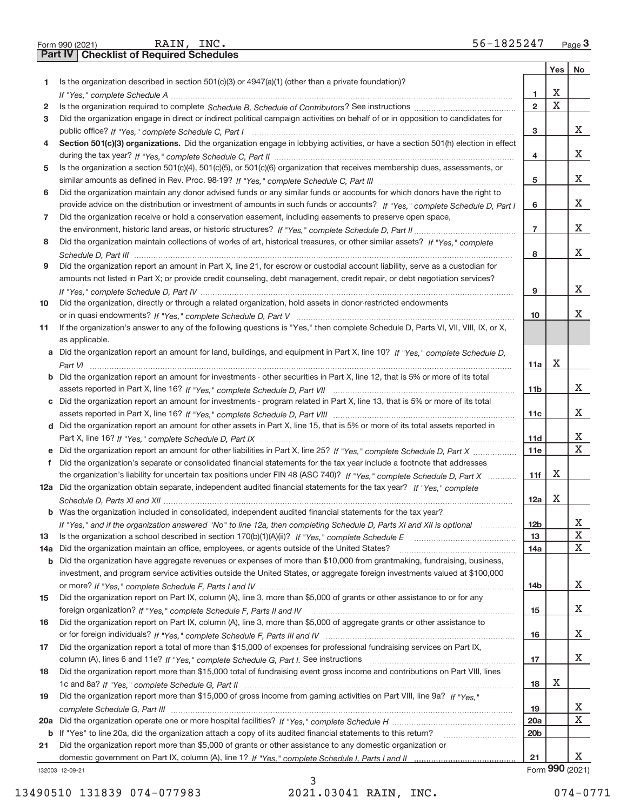|          | <b>Part IV   Checklist of Required Schedules</b>                                                                                  |                       |                         |                         |
|----------|-----------------------------------------------------------------------------------------------------------------------------------|-----------------------|-------------------------|-------------------------|
|          |                                                                                                                                   |                       | Yes                     | No                      |
| 1.       | Is the organization described in section $501(c)(3)$ or $4947(a)(1)$ (other than a private foundation)?                           |                       |                         |                         |
|          |                                                                                                                                   | 1                     | Х                       |                         |
| 2        |                                                                                                                                   | $\overline{2}$        | $\overline{\textbf{X}}$ |                         |
| 3        | Did the organization engage in direct or indirect political campaign activities on behalf of or in opposition to candidates for   |                       |                         |                         |
|          |                                                                                                                                   | 3                     |                         | X                       |
| 4        | Section 501(c)(3) organizations. Did the organization engage in lobbying activities, or have a section 501(h) election in effect  |                       |                         |                         |
|          |                                                                                                                                   | 4                     |                         | X.                      |
| 5        | Is the organization a section 501(c)(4), 501(c)(5), or 501(c)(6) organization that receives membership dues, assessments, or      |                       |                         |                         |
|          |                                                                                                                                   | 5                     |                         | X.                      |
| 6        | Did the organization maintain any donor advised funds or any similar funds or accounts for which donors have the right to         |                       |                         |                         |
|          | provide advice on the distribution or investment of amounts in such funds or accounts? If "Yes," complete Schedule D, Part I      | 6                     |                         | X.                      |
| 7        | Did the organization receive or hold a conservation easement, including easements to preserve open space,                         |                       |                         | X.                      |
|          |                                                                                                                                   | $\overline{7}$        |                         |                         |
| 8        | Did the organization maintain collections of works of art, historical treasures, or other similar assets? If "Yes," complete      | 8                     |                         | X                       |
| 9        | Did the organization report an amount in Part X, line 21, for escrow or custodial account liability, serve as a custodian for     |                       |                         |                         |
|          | amounts not listed in Part X; or provide credit counseling, debt management, credit repair, or debt negotiation services?         |                       |                         |                         |
|          |                                                                                                                                   | 9                     |                         | X.                      |
| 10       | Did the organization, directly or through a related organization, hold assets in donor-restricted endowments                      |                       |                         |                         |
|          |                                                                                                                                   | 10                    |                         | x                       |
| 11       | If the organization's answer to any of the following questions is "Yes," then complete Schedule D, Parts VI, VII, VIII, IX, or X, |                       |                         |                         |
|          | as applicable.                                                                                                                    |                       |                         |                         |
|          | a Did the organization report an amount for land, buildings, and equipment in Part X, line 10? If "Yes," complete Schedule D,     |                       |                         |                         |
|          |                                                                                                                                   | 11a                   | Х                       |                         |
|          | b Did the organization report an amount for investments - other securities in Part X, line 12, that is 5% or more of its total    |                       |                         |                         |
|          |                                                                                                                                   | 11 <sub>b</sub>       |                         | X                       |
| c        | Did the organization report an amount for investments - program related in Part X, line 13, that is 5% or more of its total       |                       |                         |                         |
|          |                                                                                                                                   | 11c                   |                         | X.                      |
|          | d Did the organization report an amount for other assets in Part X, line 15, that is 5% or more of its total assets reported in   |                       |                         |                         |
|          |                                                                                                                                   | 11d                   |                         | X                       |
| е        | Did the organization report an amount for other liabilities in Part X, line 25? If "Yes," complete Schedule D, Part X             | 11e                   |                         | $\overline{\mathbf{X}}$ |
| f        | Did the organization's separate or consolidated financial statements for the tax year include a footnote that addresses           |                       |                         |                         |
|          | the organization's liability for uncertain tax positions under FIN 48 (ASC 740)? If "Yes," complete Schedule D, Part X            | 11f                   | Х                       |                         |
|          | 12a Did the organization obtain separate, independent audited financial statements for the tax year? If "Yes," complete           |                       |                         |                         |
|          |                                                                                                                                   | 12a                   | х                       |                         |
|          | b Was the organization included in consolidated, independent audited financial statements for the tax year?                       |                       |                         |                         |
|          | If "Yes," and if the organization answered "No" to line 12a, then completing Schedule D, Parts XI and XII is optional             | 12 <sub>b</sub><br>13 |                         | X<br>X                  |
| 13       | Did the organization maintain an office, employees, or agents outside of the United States?                                       | 14a                   |                         | $\mathbf X$             |
| 14a<br>b | Did the organization have aggregate revenues or expenses of more than \$10,000 from grantmaking, fundraising, business,           |                       |                         |                         |
|          | investment, and program service activities outside the United States, or aggregate foreign investments valued at \$100,000        |                       |                         |                         |
|          |                                                                                                                                   | 14b                   |                         | X.                      |
| 15       | Did the organization report on Part IX, column (A), line 3, more than \$5,000 of grants or other assistance to or for any         |                       |                         |                         |
|          |                                                                                                                                   | 15                    |                         | X                       |
| 16       | Did the organization report on Part IX, column (A), line 3, more than \$5,000 of aggregate grants or other assistance to          |                       |                         |                         |
|          |                                                                                                                                   | 16                    |                         | X                       |
| 17       | Did the organization report a total of more than \$15,000 of expenses for professional fundraising services on Part IX,           |                       |                         |                         |
|          |                                                                                                                                   | 17                    |                         | x                       |
| 18       | Did the organization report more than \$15,000 total of fundraising event gross income and contributions on Part VIII, lines      |                       |                         |                         |
|          |                                                                                                                                   | 18                    | х                       |                         |
| 19       | Did the organization report more than \$15,000 of gross income from gaming activities on Part VIII, line 9a? If "Yes."            |                       |                         |                         |
|          |                                                                                                                                   | 19                    |                         | X                       |
| 20a      |                                                                                                                                   | 20a                   |                         | X                       |
| b        | If "Yes" to line 20a, did the organization attach a copy of its audited financial statements to this return?                      | 20 <sub>b</sub>       |                         |                         |
| 21       | Did the organization report more than \$5,000 of grants or other assistance to any domestic organization or                       |                       |                         |                         |
|          |                                                                                                                                   | 21                    |                         | X.                      |
|          | 132003 12-09-21                                                                                                                   |                       |                         | Form 990 (2021)         |

## 13490510 131839 074‐077983 2021.03041 RAIN, INC. 074‐0771

3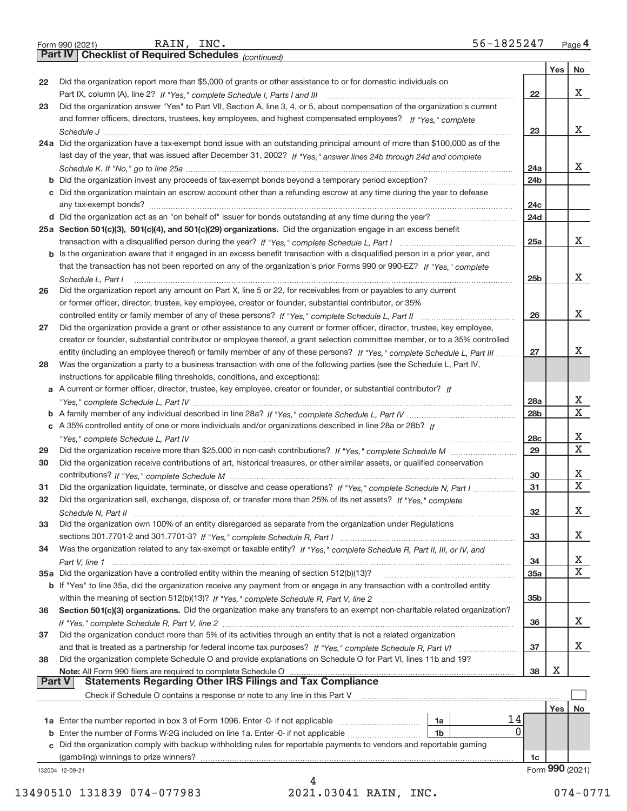| Form 990 (2021) | -----<br>INC.<br>RAIN | 1825247<br>56– | -<br>Page |
|-----------------|-----------------------|----------------|-----------|
|-----------------|-----------------------|----------------|-----------|

|               |                                                                                                                                       |                 | Yes | No              |
|---------------|---------------------------------------------------------------------------------------------------------------------------------------|-----------------|-----|-----------------|
| 22            | Did the organization report more than \$5,000 of grants or other assistance to or for domestic individuals on                         |                 |     |                 |
|               |                                                                                                                                       | 22              |     | X               |
| 23            | Did the organization answer "Yes" to Part VII, Section A, line 3, 4, or 5, about compensation of the organization's current           |                 |     |                 |
|               | and former officers, directors, trustees, key employees, and highest compensated employees? If "Yes." complete                        |                 |     |                 |
|               |                                                                                                                                       | 23              |     | х               |
|               | 24a Did the organization have a tax-exempt bond issue with an outstanding principal amount of more than \$100,000 as of the           |                 |     |                 |
|               | last day of the year, that was issued after December 31, 2002? If "Yes," answer lines 24b through 24d and complete                    |                 |     |                 |
|               |                                                                                                                                       | 24a             |     | x               |
|               | <b>b</b> Did the organization invest any proceeds of tax-exempt bonds beyond a temporary period exception?                            | 24b             |     |                 |
|               | c Did the organization maintain an escrow account other than a refunding escrow at any time during the year to defease                |                 |     |                 |
|               |                                                                                                                                       | 24c             |     |                 |
|               |                                                                                                                                       | 24d             |     |                 |
|               | 25a Section 501(c)(3), 501(c)(4), and 501(c)(29) organizations. Did the organization engage in an excess benefit                      |                 |     | x               |
|               |                                                                                                                                       | 25a             |     |                 |
|               | b Is the organization aware that it engaged in an excess benefit transaction with a disqualified person in a prior year, and          |                 |     |                 |
|               | that the transaction has not been reported on any of the organization's prior Forms 990 or 990-EZ? If "Yes," complete                 |                 |     | х               |
|               | Schedule L. Part I<br>Did the organization report any amount on Part X, line 5 or 22, for receivables from or payables to any current | 25 <sub>b</sub> |     |                 |
| 26            | or former officer, director, trustee, key employee, creator or founder, substantial contributor, or 35%                               |                 |     |                 |
|               |                                                                                                                                       | 26              |     | x               |
| 27            | Did the organization provide a grant or other assistance to any current or former officer, director, trustee, key employee,           |                 |     |                 |
|               | creator or founder, substantial contributor or employee thereof, a grant selection committee member, or to a 35% controlled           |                 |     |                 |
|               | entity (including an employee thereof) or family member of any of these persons? If "Yes," complete Schedule L, Part III              | 27              |     | x               |
| 28            | Was the organization a party to a business transaction with one of the following parties (see the Schedule L, Part IV,                |                 |     |                 |
|               | instructions for applicable filing thresholds, conditions, and exceptions):                                                           |                 |     |                 |
|               | a A current or former officer, director, trustee, key employee, creator or founder, or substantial contributor? If                    |                 |     |                 |
|               |                                                                                                                                       | 28a             |     | х               |
|               |                                                                                                                                       | 28 <sub>b</sub> |     | X               |
|               | c A 35% controlled entity of one or more individuals and/or organizations described in line 28a or 28b? If                            |                 |     |                 |
|               |                                                                                                                                       | 28c             |     | х               |
| 29            |                                                                                                                                       | 29              |     | $\mathbf X$     |
| 30            | Did the organization receive contributions of art, historical treasures, or other similar assets, or qualified conservation           |                 |     |                 |
|               |                                                                                                                                       | 30              |     | х               |
| 31            | Did the organization liquidate, terminate, or dissolve and cease operations? If "Yes," complete Schedule N, Part I                    | 31              |     | X               |
| 32            | Did the organization sell, exchange, dispose of, or transfer more than 25% of its net assets? If "Yes," complete                      |                 |     |                 |
|               |                                                                                                                                       | 32              |     | x               |
| 33            | Did the organization own 100% of an entity disregarded as separate from the organization under Regulations                            |                 |     |                 |
|               |                                                                                                                                       | 33              |     | X               |
| 34            | Was the organization related to any tax-exempt or taxable entity? If "Yes," complete Schedule R, Part II, III, or IV, and             |                 |     |                 |
|               |                                                                                                                                       | 34              |     | х               |
|               | 35a Did the organization have a controlled entity within the meaning of section 512(b)(13)?                                           | 35a             |     | $\mathbf X$     |
|               | b If "Yes" to line 35a, did the organization receive any payment from or engage in any transaction with a controlled entity           |                 |     |                 |
|               |                                                                                                                                       | 35 <sub>b</sub> |     |                 |
| 36            | Section 501(c)(3) organizations. Did the organization make any transfers to an exempt non-charitable related organization?            |                 |     |                 |
|               |                                                                                                                                       | 36              |     | х               |
| 37            | Did the organization conduct more than 5% of its activities through an entity that is not a related organization                      |                 |     | х               |
|               |                                                                                                                                       | 37              |     |                 |
| 38            | Did the organization complete Schedule O and provide explanations on Schedule O for Part VI, lines 11b and 19?                        | 38              | х   |                 |
| <b>Part V</b> | Note: All Form 990 filers are required to complete Schedule O<br><b>Statements Regarding Other IRS Filings and Tax Compliance</b>     |                 |     |                 |
|               | Check if Schedule O contains a response or note to any line in this Part V                                                            |                 |     |                 |
|               |                                                                                                                                       |                 | Yes | No              |
|               | 14<br>1a Enter the number reported in box 3 of Form 1096. Enter -0- if not applicable<br>1a                                           |                 |     |                 |
|               | 0<br><b>b</b> Enter the number of Forms W-2G included on line 1a. Enter -0- if not applicable<br>1 <sub>b</sub>                       |                 |     |                 |
|               | c Did the organization comply with backup withholding rules for reportable payments to vendors and reportable gaming                  |                 |     |                 |
|               | (gambling) winnings to prize winners?                                                                                                 | 1c              |     |                 |
|               | 132004 12-09-21                                                                                                                       |                 |     | Form 990 (2021) |

*(continued)*

**Part IV Checklist of Required Schedules**

4 13490510 131839 074‐077983 2021.03041 RAIN, INC. 074‐0771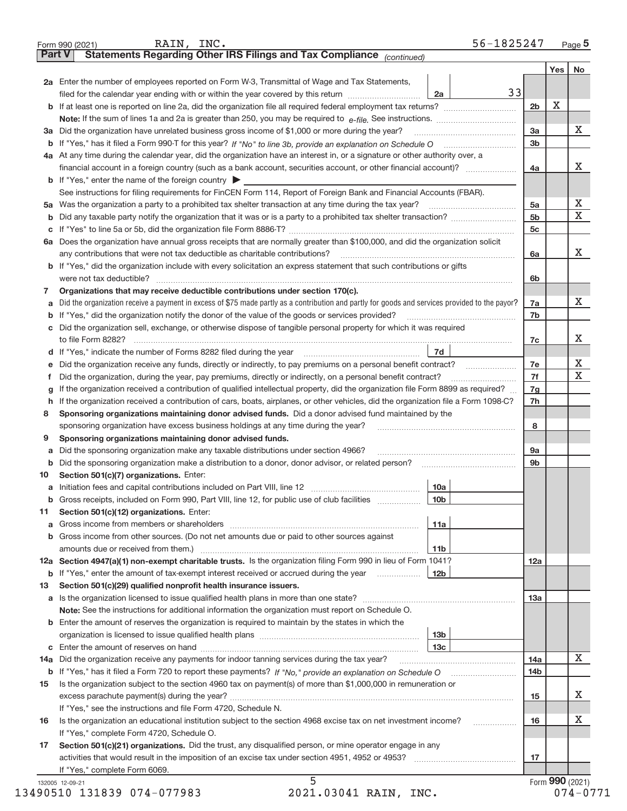|    |                                                                                                                                                 |                 |                 | Yes | No |
|----|-------------------------------------------------------------------------------------------------------------------------------------------------|-----------------|-----------------|-----|----|
|    | 2a Enter the number of employees reported on Form W-3, Transmittal of Wage and Tax Statements,                                                  | 33              |                 |     |    |
|    | filed for the calendar year ending with or within the year covered by this return                                                               | 2a              |                 | X   |    |
|    |                                                                                                                                                 |                 | 2 <sub>b</sub>  |     |    |
|    |                                                                                                                                                 |                 |                 |     |    |
|    | 3a Did the organization have unrelated business gross income of \$1,000 or more during the year?                                                |                 | 3a              |     | X  |
|    |                                                                                                                                                 |                 | 3 <sub>b</sub>  |     |    |
|    | 4a At any time during the calendar year, did the organization have an interest in, or a signature or other authority over, a                    |                 |                 |     |    |
|    | financial account in a foreign country (such as a bank account, securities account, or other financial account)?                                |                 | 4a              |     | х  |
|    | <b>b</b> If "Yes," enter the name of the foreign country                                                                                        |                 |                 |     |    |
|    | See instructions for filing requirements for FinCEN Form 114, Report of Foreign Bank and Financial Accounts (FBAR).                             |                 |                 |     |    |
| 5a |                                                                                                                                                 |                 | 5a              |     | X  |
| b  |                                                                                                                                                 |                 | 5 <sub>b</sub>  |     | X  |
| С  |                                                                                                                                                 |                 | 5c              |     |    |
|    | 6a Does the organization have annual gross receipts that are normally greater than \$100,000, and did the organization solicit                  |                 |                 |     |    |
|    |                                                                                                                                                 |                 | 6a              |     | X  |
|    | <b>b</b> If "Yes," did the organization include with every solicitation an express statement that such contributions or gifts                   |                 |                 |     |    |
|    |                                                                                                                                                 |                 | 6b              |     |    |
| 7  | Organizations that may receive deductible contributions under section 170(c).                                                                   |                 |                 |     |    |
| а  | Did the organization receive a payment in excess of \$75 made partly as a contribution and partly for goods and services provided to the payor? |                 | 7a              |     | х  |
| b  |                                                                                                                                                 |                 | 7b              |     |    |
|    | c Did the organization sell, exchange, or otherwise dispose of tangible personal property for which it was required                             |                 |                 |     |    |
|    |                                                                                                                                                 |                 | 7c              |     | Х  |
| d  |                                                                                                                                                 | 7d              |                 |     |    |
| е  | Did the organization receive any funds, directly or indirectly, to pay premiums on a personal benefit contract?                                 |                 | 7e              |     | X  |
| Ť  | Did the organization, during the year, pay premiums, directly or indirectly, on a personal benefit contract?                                    |                 | 7f              |     | X  |
| g  | If the organization received a contribution of qualified intellectual property, did the organization file Form 8899 as required?                |                 | 7g              |     |    |
| h  | If the organization received a contribution of cars, boats, airplanes, or other vehicles, did the organization file a Form 1098-C?              |                 | 7h              |     |    |
| 8  | Sponsoring organizations maintaining donor advised funds. Did a donor advised fund maintained by the                                            |                 |                 |     |    |
|    | sponsoring organization have excess business holdings at any time during the year?                                                              |                 | 8               |     |    |
| 9  | Sponsoring organizations maintaining donor advised funds.                                                                                       |                 |                 |     |    |
| а  | Did the sponsoring organization make any taxable distributions under section 4966?                                                              |                 | 9а              |     |    |
| b  |                                                                                                                                                 |                 | 9 <sub>b</sub>  |     |    |
| 10 | Section 501(c)(7) organizations. Enter:                                                                                                         |                 |                 |     |    |
| а  |                                                                                                                                                 | 10a             |                 |     |    |
|    | b Gross receipts, included on Form 990, Part VIII, line 12, for public use of club facilities                                                   | 10b             |                 |     |    |
| 11 | Section 501(c)(12) organizations. Enter:                                                                                                        |                 |                 |     |    |
| a  | Gross income from members or shareholders                                                                                                       | 11a             |                 |     |    |
| b  | Gross income from other sources. (Do not net amounts due or paid to other sources against                                                       |                 |                 |     |    |
|    |                                                                                                                                                 | 11 <sub>b</sub> |                 |     |    |
|    | 12a Section 4947(a)(1) non-exempt charitable trusts. Is the organization filing Form 990 in lieu of Form 1041?                                  |                 | 12a             |     |    |
|    | <b>b</b> If "Yes," enter the amount of tax-exempt interest received or accrued during the year <i>manumum</i>                                   | <b>12b</b>      |                 |     |    |
| 13 | Section 501(c)(29) qualified nonprofit health insurance issuers.                                                                                |                 |                 |     |    |
|    |                                                                                                                                                 |                 | 13a             |     |    |
|    | Note: See the instructions for additional information the organization must report on Schedule O.                                               |                 |                 |     |    |
|    | <b>b</b> Enter the amount of reserves the organization is required to maintain by the states in which the                                       |                 |                 |     |    |
|    |                                                                                                                                                 | 13b             |                 |     |    |
|    |                                                                                                                                                 | 13 <sub>c</sub> |                 |     |    |
|    | 14a Did the organization receive any payments for indoor tanning services during the tax year?                                                  |                 | 14a             |     | х  |
|    |                                                                                                                                                 |                 | 14 <sub>b</sub> |     |    |
| 15 | Is the organization subject to the section 4960 tax on payment(s) of more than \$1,000,000 in remuneration or                                   |                 |                 |     |    |
|    |                                                                                                                                                 |                 | 15              |     | х  |
|    | If "Yes," see the instructions and file Form 4720, Schedule N.                                                                                  |                 |                 |     |    |
| 16 | Is the organization an educational institution subject to the section 4968 excise tax on net investment income?                                 |                 | 16              |     | Χ  |
|    | If "Yes," complete Form 4720, Schedule O.                                                                                                       |                 |                 |     |    |
|    | Section 501(c)(21) organizations. Did the trust, any disqualified person, or mine operator engage in any                                        |                 |                 |     |    |
| 17 |                                                                                                                                                 |                 |                 |     |    |
|    |                                                                                                                                                 |                 | 17              |     |    |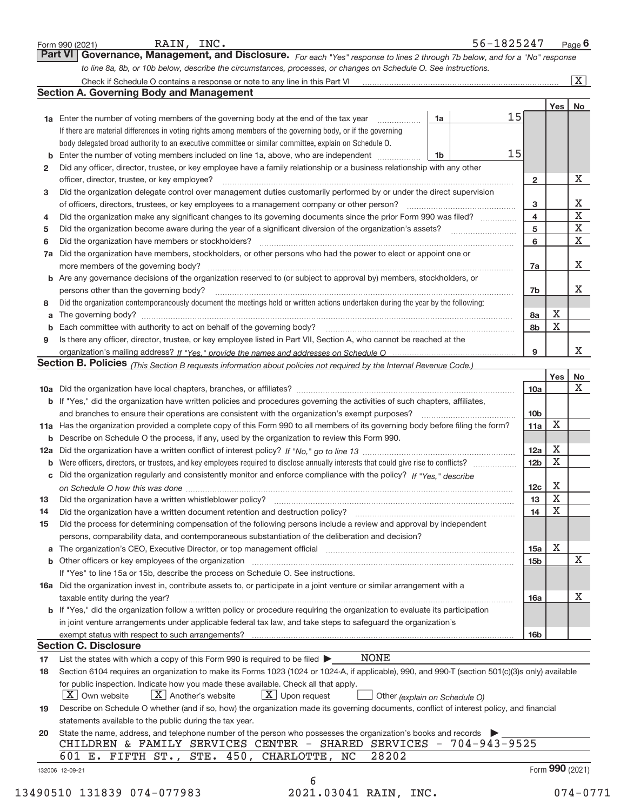|                | Governance, Management, and Disclosure. For each "Yes" response to lines 2 through 7b below, and for a "No" response<br>to line 8a, 8b, or 10b below, describe the circumstances, processes, or changes on Schedule O. See instructions. |                 |       |                         |
|----------------|------------------------------------------------------------------------------------------------------------------------------------------------------------------------------------------------------------------------------------------|-----------------|-------|-------------------------|
|                | Check if Schedule O contains a response or note to any line in this Part VI [11] [12] Check if Schedule O contains a response or note to any line in this Part VI                                                                        |                 |       | $\overline{\mathbf{X}}$ |
|                | <b>Section A. Governing Body and Management</b>                                                                                                                                                                                          |                 |       |                         |
|                |                                                                                                                                                                                                                                          |                 | Yes l | No                      |
|                | <b>1a</b> Enter the number of voting members of the governing body at the end of the tax year <i>manumum</i><br>1a                                                                                                                       | 15              |       |                         |
|                | If there are material differences in voting rights among members of the governing body, or if the governing                                                                                                                              |                 |       |                         |
|                | body delegated broad authority to an executive committee or similar committee, explain on Schedule O.                                                                                                                                    |                 |       |                         |
|                | Enter the number of voting members included on line 1a, above, who are independent<br>1b                                                                                                                                                 | 15              |       |                         |
| 2              | Did any officer, director, trustee, or key employee have a family relationship or a business relationship with any other                                                                                                                 |                 |       |                         |
|                | officer, director, trustee, or key employee?                                                                                                                                                                                             | $\overline{2}$  |       | х                       |
| з              | Did the organization delegate control over management duties customarily performed by or under the direct supervision                                                                                                                    |                 |       |                         |
|                | of officers, directors, trustees, or key employees to a management company or other person?                                                                                                                                              | 3               |       | X                       |
| 4              | Did the organization make any significant changes to its governing documents since the prior Form 990 was filed?                                                                                                                         | 4               |       | $\overline{\textbf{X}}$ |
| 5              |                                                                                                                                                                                                                                          | 5               |       | X                       |
| 6              | Did the organization have members or stockholders?                                                                                                                                                                                       | 6               |       | X                       |
| 7a             | Did the organization have members, stockholders, or other persons who had the power to elect or appoint one or                                                                                                                           |                 |       |                         |
|                |                                                                                                                                                                                                                                          | 7a              |       | X                       |
|                | <b>b</b> Are any governance decisions of the organization reserved to (or subject to approval by) members, stockholders, or                                                                                                              |                 |       |                         |
|                | persons other than the governing body?                                                                                                                                                                                                   | 7b              |       | х                       |
| 8              | Did the organization contemporaneously document the meetings held or written actions undertaken during the year by the following:                                                                                                        |                 |       |                         |
| a              |                                                                                                                                                                                                                                          | 8а              | Х     |                         |
| b              |                                                                                                                                                                                                                                          | 8b              | X     |                         |
| 9              | Is there any officer, director, trustee, or key employee listed in Part VII, Section A, who cannot be reached at the                                                                                                                     |                 |       |                         |
|                |                                                                                                                                                                                                                                          | 9               |       | X                       |
|                | Section B. Policies (This Section B requests information about policies not required by the Internal Revenue Code.)                                                                                                                      |                 |       |                         |
|                |                                                                                                                                                                                                                                          |                 | Yes   | <b>No</b>               |
|                |                                                                                                                                                                                                                                          | 10a             |       | X                       |
|                | b If "Yes," did the organization have written policies and procedures governing the activities of such chapters, affiliates,                                                                                                             |                 |       |                         |
|                | and branches to ensure their operations are consistent with the organization's exempt purposes?                                                                                                                                          | 10 <sub>b</sub> |       |                         |
|                | 11a Has the organization provided a complete copy of this Form 990 to all members of its governing body before filing the form?                                                                                                          | 11a             | х     |                         |
|                | <b>b</b> Describe on Schedule O the process, if any, used by the organization to review this Form 990.                                                                                                                                   |                 |       |                         |
|                |                                                                                                                                                                                                                                          | 12a             | х     |                         |
| b              |                                                                                                                                                                                                                                          | 12 <sub>b</sub> | х     |                         |
| С              | Did the organization regularly and consistently monitor and enforce compliance with the policy? If "Yes," describe                                                                                                                       |                 | x     |                         |
|                |                                                                                                                                                                                                                                          | 12c             | х     |                         |
| 13             | Did the organization have a written whistleblower policy?                                                                                                                                                                                | 13              | X     |                         |
| 14             | Did the organization have a written document retention and destruction policy? [11] manufaction: manufaction policy?                                                                                                                     | 14              |       |                         |
| 15             | Did the process for determining compensation of the following persons include a review and approval by independent                                                                                                                       |                 |       |                         |
|                | persons, comparability data, and contemporaneous substantiation of the deliberation and decision?                                                                                                                                        |                 | х     |                         |
| а              | The organization's CEO, Executive Director, or top management official manufacture content content of the organization's CEO, Executive Director, or top management official                                                             | 15a             |       | X                       |
| b              |                                                                                                                                                                                                                                          | 15 <sub>b</sub> |       |                         |
|                | If "Yes" to line 15a or 15b, describe the process on Schedule O. See instructions.                                                                                                                                                       |                 |       |                         |
|                | 16a Did the organization invest in, contribute assets to, or participate in a joint venture or similar arrangement with a                                                                                                                |                 |       | х                       |
|                |                                                                                                                                                                                                                                          | 16a             |       |                         |
|                | taxable entity during the year?                                                                                                                                                                                                          |                 |       |                         |
|                | b If "Yes," did the organization follow a written policy or procedure requiring the organization to evaluate its participation                                                                                                           |                 |       |                         |
|                | in joint venture arrangements under applicable federal tax law, and take steps to safeguard the organization's                                                                                                                           |                 |       |                         |
|                |                                                                                                                                                                                                                                          | 16 <sub>b</sub> |       |                         |
|                | <b>Section C. Disclosure</b>                                                                                                                                                                                                             |                 |       |                         |
|                | <b>NONE</b><br>List the states with which a copy of this Form 990 is required to be filed $\blacktriangleright$                                                                                                                          |                 |       |                         |
|                | Section 6104 requires an organization to make its Forms 1023 (1024 or 1024-A, if applicable), 990, and 990-T (section 501(c)(3)s only) available                                                                                         |                 |       |                         |
|                | for public inspection. Indicate how you made these available. Check all that apply.                                                                                                                                                      |                 |       |                         |
|                | $ X $ Own website<br>$X$ Another's website<br>$X$ Upon request<br>Other (explain on Schedule O)                                                                                                                                          |                 |       |                         |
| 17<br>18<br>19 | Describe on Schedule O whether (and if so, how) the organization made its governing documents, conflict of interest policy, and financial                                                                                                |                 |       |                         |
|                | statements available to the public during the tax year.                                                                                                                                                                                  |                 |       |                         |
| 20             | State the name, address, and telephone number of the person who possesses the organization's books and records                                                                                                                           |                 |       |                         |
|                | CHILDREN & FAMILY SERVICES CENTER - SHARED SERVICES - 704-943-9525<br>601 E. FIFTH ST., STE. 450, CHARLOTTE, NC<br>28202                                                                                                                 |                 |       |                         |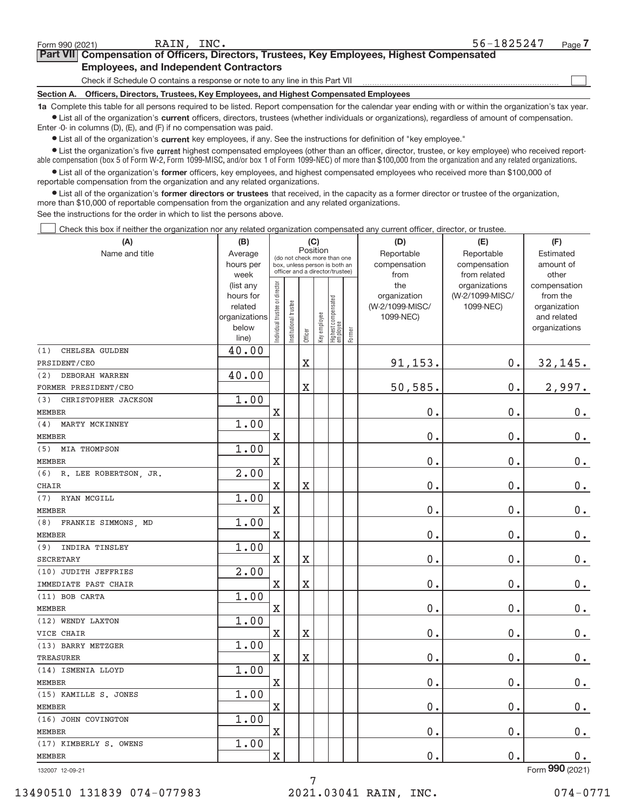Form 990  $(2021)$  RAIN, INC.

 $\begin{array}{c} \boxed{1} \\ \boxed{1} \\ \end{array}$ 

| Part VII  Compensation of Officers, Directors, Trustees, Key Employees, Highest Compensated |
|---------------------------------------------------------------------------------------------|
| <b>Employees, and Independent Contractors</b>                                               |

Check if Schedule O contains a response or note to any line in this Part VII

**Section A. Officers, Directors, Trustees, Key Employees, and Highest Compensated Employees**

**1a**  Complete this table for all persons required to be listed. Report compensation for the calendar year ending with or within the organization's tax year. **•** List all of the organization's current officers, directors, trustees (whether individuals or organizations), regardless of amount of compensation.

Enter -0- in columns (D), (E), and (F) if no compensation was paid.

**•** List all of the organization's current key employees, if any. See the instructions for definition of "key employee."

● List the organization's five current highest compensated employees (other than an officer, director, trustee, or key employee) who received report‐ able compensation (box 5 of Form W‐2, Form 1099‐MISC, and/or box 1 of Form 1099‐NEC) of more than \$100,000 from the organization and any related organizations.

 $\bullet$  List all of the organization's former officers, key employees, and highest compensated employees who received more than \$100,000 of reportable compensation from the organization and any related organizations.

**•** List all of the organization's former directors or trustees that received, in the capacity as a former director or trustee of the organization, more than \$10,000 of reportable compensation from the organization and any related organizations.

See the instructions for the order in which to list the persons above.

Check this box if neither the organization nor any related organization compensated any current officer, director, or trustee.  $\Box$ 

| (A)                          | (B)                    | (C)<br>Position               |                                                                  |             |              |                                  |        | (D)                 | (E)                              | (F)                      |
|------------------------------|------------------------|-------------------------------|------------------------------------------------------------------|-------------|--------------|----------------------------------|--------|---------------------|----------------------------------|--------------------------|
| Name and title               | Average                |                               | (do not check more than one                                      |             |              |                                  |        | Reportable          | Reportable                       | Estimated                |
|                              | hours per              |                               | box, unless person is both an<br>officer and a director/trustee) |             |              |                                  |        | compensation        | compensation                     | amount of                |
|                              | week                   |                               |                                                                  |             |              |                                  |        | from                | from related                     | other                    |
|                              | (list any<br>hours for |                               |                                                                  |             |              |                                  |        | the<br>organization | organizations<br>(W-2/1099-MISC/ | compensation<br>from the |
|                              | related                |                               |                                                                  |             |              |                                  |        | (W-2/1099-MISC/     | 1099-NEC)                        | organization             |
|                              | organizations          |                               |                                                                  |             |              |                                  |        | 1099-NEC)           |                                  | and related              |
|                              | below                  |                               |                                                                  |             |              |                                  |        |                     |                                  | organizations            |
|                              | line)                  | ndividual trustee or director | Institutional trustee                                            | Officer     | Key employee | Highest compensated<br> employee | Former |                     |                                  |                          |
| CHELSEA GULDEN<br>(1)        | 40.00                  |                               |                                                                  |             |              |                                  |        |                     |                                  |                          |
| PRSIDENT/CEO                 |                        |                               |                                                                  | $\mathbf X$ |              |                                  |        | 91,153.             | $0$ .                            | 32,145.                  |
| (2)<br>DEBORAH WARREN        | 40.00                  |                               |                                                                  |             |              |                                  |        |                     |                                  |                          |
| FORMER PRESIDENT/CEO         |                        |                               |                                                                  | $\mathbf X$ |              |                                  |        | 50,585.             | 0.                               | 2,997.                   |
| CHRISTOPHER JACKSON<br>(3)   | 1.00                   |                               |                                                                  |             |              |                                  |        |                     |                                  |                          |
| <b>MEMBER</b>                |                        | $\mathbf X$                   |                                                                  |             |              |                                  |        | 0.                  | 0.                               | 0.                       |
| (4)<br>MARTY MCKINNEY        | 1.00                   |                               |                                                                  |             |              |                                  |        |                     |                                  |                          |
| <b>MEMBER</b>                |                        | $\overline{\mathbf{X}}$       |                                                                  |             |              |                                  |        | $0$ .               | 0.                               | $0$ .                    |
| MIA THOMPSON<br>(5)          | 1.00                   |                               |                                                                  |             |              |                                  |        |                     |                                  |                          |
| <b>MEMBER</b>                |                        | $\overline{\text{X}}$         |                                                                  |             |              |                                  |        | 0.                  | 0.                               | $\mathbf 0$ .            |
| (6)<br>R. LEE ROBERTSON, JR. | 2.00                   |                               |                                                                  |             |              |                                  |        |                     |                                  |                          |
| <b>CHAIR</b>                 |                        | $\overline{\text{X}}$         |                                                                  | $\mathbf X$ |              |                                  |        | 0.                  | 0.                               | $\mathbf 0$ .            |
| RYAN MCGILL<br>(7)           | 1.00                   |                               |                                                                  |             |              |                                  |        |                     |                                  |                          |
| <b>MEMBER</b>                |                        | $\overline{\text{X}}$         |                                                                  |             |              |                                  |        | 0.                  | 0.                               | $0$ .                    |
| (8)<br>FRANKIE SIMMONS, MD   | 1.00                   |                               |                                                                  |             |              |                                  |        |                     |                                  |                          |
| <b>MEMBER</b>                |                        | $\overline{\mathbf{X}}$       |                                                                  |             |              |                                  |        | 0.                  | 0.                               | $0_{.}$                  |
| INDIRA TINSLEY<br>(9)        | 1.00                   |                               |                                                                  |             |              |                                  |        |                     |                                  |                          |
| <b>SECRETARY</b>             |                        | X                             |                                                                  | $\rm X$     |              |                                  |        | 0.                  | 0.                               | $0$ .                    |
| (10) JUDITH JEFFRIES         | 2.00                   |                               |                                                                  |             |              |                                  |        |                     |                                  |                          |
| IMMEDIATE PAST CHAIR         |                        | $\overline{\text{X}}$         |                                                                  | $\mathbf X$ |              |                                  |        | 0.                  | 0.                               | $0 \cdot$                |
| (11) BOB CARTA               | 1.00                   |                               |                                                                  |             |              |                                  |        |                     |                                  |                          |
| <b>MEMBER</b>                |                        | $\overline{\text{X}}$         |                                                                  |             |              |                                  |        | 0.                  | 0.                               | $0$ .                    |
| (12) WENDY LAXTON            | 1.00                   |                               |                                                                  |             |              |                                  |        |                     |                                  |                          |
| VICE CHAIR                   |                        | $\mathbf X$                   |                                                                  | $\mathbf X$ |              |                                  |        | 0.                  | 0.                               | $0$ .                    |
| (13) BARRY METZGER           | 1.00                   |                               |                                                                  |             |              |                                  |        |                     |                                  |                          |
| <b>TREASURER</b>             |                        | X                             |                                                                  | $\mathbf X$ |              |                                  |        | 0.                  | 0.                               | $0$ .                    |
| (14) ISMENIA LLOYD           | 1.00                   |                               |                                                                  |             |              |                                  |        |                     |                                  |                          |
| <b>MEMBER</b>                |                        | $\overline{\text{X}}$         |                                                                  |             |              |                                  |        | 0.                  | 0.                               | $0$ .                    |
| (15) KAMILLE S. JONES        | 1.00                   |                               |                                                                  |             |              |                                  |        |                     |                                  |                          |
| <b>MEMBER</b>                |                        | $\overline{\mathbf{X}}$       |                                                                  |             |              |                                  |        | 0.                  | 0.                               | $0$ .                    |
| (16) JOHN COVINGTON          | 1.00                   |                               |                                                                  |             |              |                                  |        |                     |                                  |                          |
| <b>MEMBER</b>                |                        | $\rm X$                       |                                                                  |             |              |                                  |        | 0.                  | 0.                               | 0.                       |
| (17) KIMBERLY S. OWENS       | 1.00                   |                               |                                                                  |             |              |                                  |        |                     |                                  |                          |
| <b>MEMBER</b>                |                        | $\overline{\text{X}}$         |                                                                  |             |              |                                  |        | 0.                  | 0.                               | 0.                       |
|                              |                        |                               |                                                                  |             |              |                                  |        |                     |                                  | $\overline{2}$           |

132007 12‐09‐21

Form (2021) **990**

13490510 131839 074‐077983 2021.03041 RAIN, INC. 074‐0771

7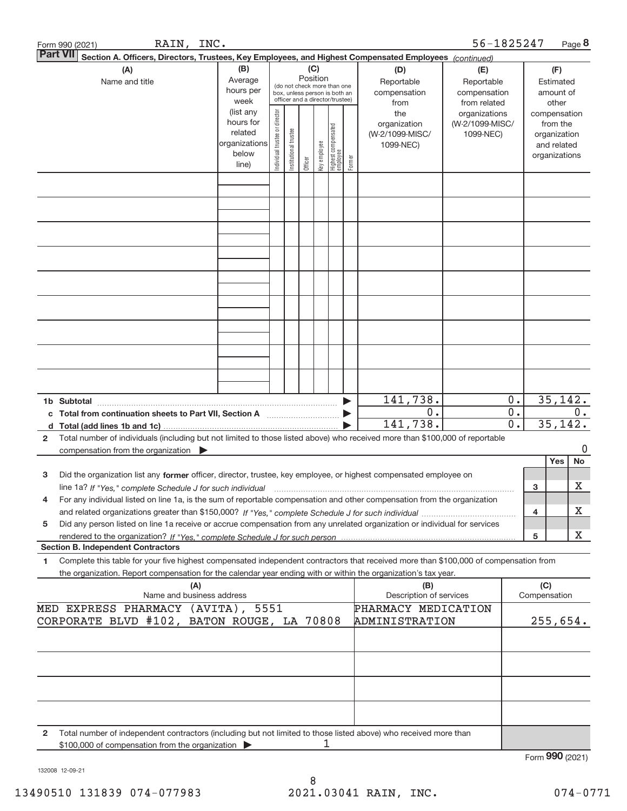|              | RAIN, INC.<br>Form 990 (2021)                                                                                                                                                                                                                                        |                                                                                                                                                           |                                |                       |         |              |                                 |                                           |                                                       | 56-1825247                                    |                           |                                        |                                                                          | Page 8  |
|--------------|----------------------------------------------------------------------------------------------------------------------------------------------------------------------------------------------------------------------------------------------------------------------|-----------------------------------------------------------------------------------------------------------------------------------------------------------|--------------------------------|-----------------------|---------|--------------|---------------------------------|-------------------------------------------|-------------------------------------------------------|-----------------------------------------------|---------------------------|----------------------------------------|--------------------------------------------------------------------------|---------|
|              | <b>Part VII</b><br>Section A. Officers, Directors, Trustees, Key Employees, and Highest Compensated Employees (continued)<br>(A)<br>Name and title                                                                                                                   | (B)<br>(C)<br>Position<br>Average<br>(do not check more than one<br>hours per<br>box, unless person is both an<br>officer and a director/trustee)<br>week |                                |                       |         |              |                                 | (D)<br>Reportable<br>compensation<br>from | (E)<br>Reportable<br>compensation<br>from related     |                                               |                           | (F)<br>Estimated<br>amount of<br>other |                                                                          |         |
|              |                                                                                                                                                                                                                                                                      | (list any<br>hours for<br>related<br>organizations<br>below<br>line)                                                                                      | Individual trustee or director | Institutional trustee | Officer | key employee | Highest compensated<br>employee | Former                                    | the<br>organization<br>(W-2/1099-MISC/<br>1099-NEC)   | organizations<br>(W-2/1099-MISC/<br>1099-NEC) |                           |                                        | compensation<br>from the<br>organization<br>and related<br>organizations |         |
|              |                                                                                                                                                                                                                                                                      |                                                                                                                                                           |                                |                       |         |              |                                 |                                           |                                                       |                                               |                           |                                        |                                                                          |         |
|              |                                                                                                                                                                                                                                                                      |                                                                                                                                                           |                                |                       |         |              |                                 |                                           |                                                       |                                               |                           |                                        |                                                                          |         |
|              |                                                                                                                                                                                                                                                                      |                                                                                                                                                           |                                |                       |         |              |                                 |                                           |                                                       |                                               |                           |                                        |                                                                          |         |
|              |                                                                                                                                                                                                                                                                      |                                                                                                                                                           |                                |                       |         |              |                                 |                                           |                                                       |                                               |                           |                                        |                                                                          |         |
|              |                                                                                                                                                                                                                                                                      |                                                                                                                                                           |                                |                       |         |              |                                 |                                           |                                                       |                                               |                           |                                        |                                                                          |         |
|              | 1b Subtotal<br>c Total from continuation sheets to Part VII, Section A manufactured and response Total from extension                                                                                                                                                |                                                                                                                                                           |                                |                       |         |              |                                 |                                           | 141,738.<br>0.                                        |                                               | $0$ .<br>$\overline{0}$ . |                                        | 35, 142.                                                                 | 0.      |
| 2            | Total number of individuals (including but not limited to those listed above) who received more than \$100,000 of reportable<br>compensation from the organization                                                                                                   |                                                                                                                                                           |                                |                       |         |              |                                 |                                           | 141,738.                                              |                                               | $\overline{0}$ .          | 35, 142.<br>0                          |                                                                          |         |
| з            | Did the organization list any former officer, director, trustee, key employee, or highest compensated employee on<br>line 1a? If "Yes," complete Schedule J for such individual manufactured contained and the 1a? If "Yes," complete Schedule J for such individual |                                                                                                                                                           |                                |                       |         |              |                                 |                                           |                                                       |                                               |                           | 3                                      | Yes                                                                      | No<br>х |
| 4<br>5       | For any individual listed on line 1a, is the sum of reportable compensation and other compensation from the organization<br>Did any person listed on line 1a receive or accrue compensation from any unrelated organization or individual for services               |                                                                                                                                                           |                                |                       |         |              |                                 |                                           |                                                       |                                               |                           | 4                                      |                                                                          | х       |
|              | <b>Section B. Independent Contractors</b>                                                                                                                                                                                                                            |                                                                                                                                                           |                                |                       |         |              |                                 |                                           |                                                       |                                               |                           | 5                                      |                                                                          | Χ       |
| 1            | Complete this table for your five highest compensated independent contractors that received more than \$100,000 of compensation from<br>the organization. Report compensation for the calendar year ending with or within the organization's tax year.               |                                                                                                                                                           |                                |                       |         |              |                                 |                                           |                                                       |                                               |                           |                                        |                                                                          |         |
|              | (A)<br>Name and business address<br>MED EXPRESS PHARMACY (AVITA), 5551                                                                                                                                                                                               |                                                                                                                                                           |                                |                       |         |              |                                 |                                           | (B)<br>Description of services<br>PHARMACY MEDICATION |                                               | (C)<br>Compensation       |                                        |                                                                          |         |
|              | CORPORATE BLVD #102, BATON ROUGE, LA 70808                                                                                                                                                                                                                           |                                                                                                                                                           |                                |                       |         |              |                                 |                                           | ADMINISTRATION                                        |                                               |                           |                                        | 255,654.                                                                 |         |
|              |                                                                                                                                                                                                                                                                      |                                                                                                                                                           |                                |                       |         |              |                                 |                                           |                                                       |                                               |                           |                                        |                                                                          |         |
| $\mathbf{2}$ | Total number of independent contractors (including but not limited to those listed above) who received more than<br>\$100,000 of compensation from the organization                                                                                                  |                                                                                                                                                           |                                |                       |         | 1            |                                 |                                           |                                                       |                                               |                           | Form 990 (2021)                        |                                                                          |         |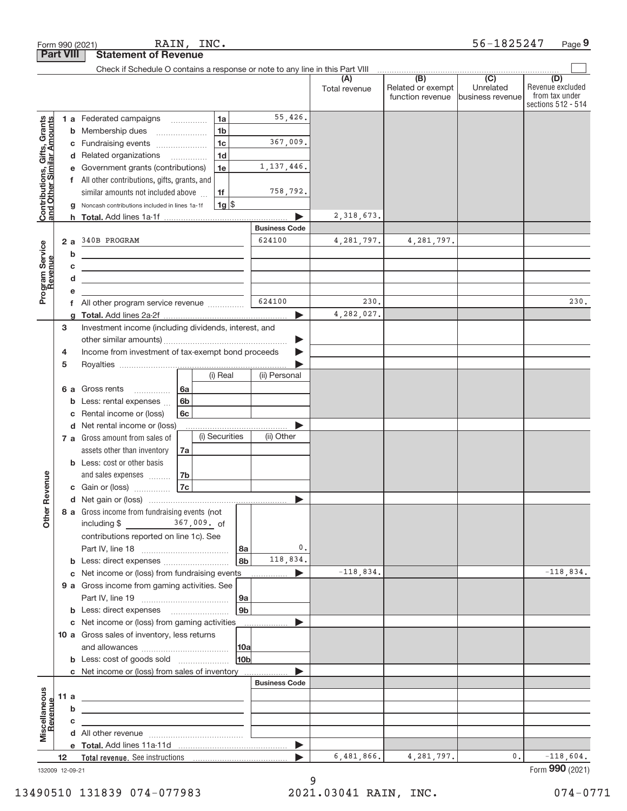|                                                           |                  |        | RAIN, INC.<br>Form 990 (2021)                                                                                        |                                |                      |                                                           | 56-1825247                                        | Page 9                                                          |
|-----------------------------------------------------------|------------------|--------|----------------------------------------------------------------------------------------------------------------------|--------------------------------|----------------------|-----------------------------------------------------------|---------------------------------------------------|-----------------------------------------------------------------|
|                                                           | <b>Part VIII</b> |        | <b>Statement of Revenue</b>                                                                                          |                                |                      |                                                           |                                                   |                                                                 |
|                                                           |                  |        | Check if Schedule O contains a response or note to any line in this Part VIII                                        |                                | (A)<br>Total revenue | $\overline{(B)}$<br>Related or exempt<br>function revenue | $\overline{(C)}$<br>Unrelated<br>business revenue | (D)<br>Revenue excluded<br>from tax under<br>sections 512 - 514 |
|                                                           |                  |        | 1a<br>1 a Federated campaigns                                                                                        | 55,426.                        |                      |                                                           |                                                   |                                                                 |
|                                                           |                  | b      | 1 <sub>b</sub><br>Membership dues                                                                                    |                                |                      |                                                           |                                                   |                                                                 |
|                                                           |                  | С      | 1 <sub>c</sub><br>Fundraising events                                                                                 | 367,009.                       |                      |                                                           |                                                   |                                                                 |
|                                                           |                  |        | 1 <sub>d</sub><br>d Related organizations                                                                            |                                |                      |                                                           |                                                   |                                                                 |
|                                                           |                  |        | 1e<br>e Government grants (contributions)                                                                            | 1, 137, 446.                   |                      |                                                           |                                                   |                                                                 |
| Contributions, Gifts, Grants<br>and Other Similar Amounts |                  |        | f All other contributions, gifts, grants, and                                                                        |                                |                      |                                                           |                                                   |                                                                 |
|                                                           |                  |        | similar amounts not included above<br>1f                                                                             | 758,792.                       |                      |                                                           |                                                   |                                                                 |
|                                                           |                  |        | $1g$ \$<br>Noncash contributions included in lines 1a-1f                                                             |                                |                      |                                                           |                                                   |                                                                 |
|                                                           |                  |        |                                                                                                                      |                                | 2,318,673.           |                                                           |                                                   |                                                                 |
|                                                           |                  |        |                                                                                                                      | <b>Business Code</b><br>624100 |                      |                                                           |                                                   |                                                                 |
|                                                           | 2a               |        | 340B PROGRAM                                                                                                         |                                | 4,281,797.           | 4, 281, 797.                                              |                                                   |                                                                 |
|                                                           |                  | b<br>С |                                                                                                                      |                                |                      |                                                           |                                                   |                                                                 |
|                                                           |                  | d      | <u> 1989 - Johann Barbara, martin amerikan basar dan berasal dalam basa dalam basar dalam basar dalam basar dala</u> |                                |                      |                                                           |                                                   |                                                                 |
| Program Service<br>Revenue                                |                  | е      |                                                                                                                      |                                |                      |                                                           |                                                   |                                                                 |
|                                                           |                  |        | f All other program service revenue                                                                                  | 624100                         | 230.                 |                                                           |                                                   | 230.                                                            |
|                                                           |                  | g      |                                                                                                                      | ▶                              | 4,282,027.           |                                                           |                                                   |                                                                 |
|                                                           | 3                |        | Investment income (including dividends, interest, and                                                                |                                |                      |                                                           |                                                   |                                                                 |
|                                                           |                  |        |                                                                                                                      | ▶                              |                      |                                                           |                                                   |                                                                 |
|                                                           | 4                |        | Income from investment of tax-exempt bond proceeds                                                                   |                                |                      |                                                           |                                                   |                                                                 |
|                                                           | 5                |        | (i) Real                                                                                                             | (ii) Personal                  |                      |                                                           |                                                   |                                                                 |
|                                                           |                  |        |                                                                                                                      |                                |                      |                                                           |                                                   |                                                                 |
|                                                           |                  | b      | 6 a Gross rents<br>6а<br>.<br>6b<br>Less: rental expenses                                                            |                                |                      |                                                           |                                                   |                                                                 |
|                                                           |                  | c      | 6c<br>Rental income or (loss)                                                                                        |                                |                      |                                                           |                                                   |                                                                 |
|                                                           |                  |        | d Net rental income or (loss)                                                                                        |                                |                      |                                                           |                                                   |                                                                 |
|                                                           |                  |        | (i) Securities<br>7 a Gross amount from sales of                                                                     | (ii) Other                     |                      |                                                           |                                                   |                                                                 |
|                                                           |                  |        | assets other than inventory<br>7a                                                                                    |                                |                      |                                                           |                                                   |                                                                 |
|                                                           |                  |        | <b>b</b> Less: cost or other basis                                                                                   |                                |                      |                                                           |                                                   |                                                                 |
|                                                           |                  |        | 7b<br>and sales expenses                                                                                             |                                |                      |                                                           |                                                   |                                                                 |
| evenue                                                    |                  |        | 7c<br>c Gain or (loss)                                                                                               |                                |                      |                                                           |                                                   |                                                                 |
|                                                           |                  |        |                                                                                                                      |                                |                      |                                                           |                                                   |                                                                 |
| Other R                                                   |                  |        | 8 a Gross income from fundraising events (not<br>including \$                                                        |                                |                      |                                                           |                                                   |                                                                 |
|                                                           |                  |        | $\frac{367,009}{ }$ of<br>contributions reported on line 1c). See                                                    |                                |                      |                                                           |                                                   |                                                                 |
|                                                           |                  |        | 8a                                                                                                                   | 0.                             |                      |                                                           |                                                   |                                                                 |
|                                                           |                  |        | 8 <sub>b</sub>                                                                                                       | 118,834.                       |                      |                                                           |                                                   |                                                                 |
|                                                           |                  |        | c Net income or (loss) from fundraising events                                                                       |                                | $-118,834.$          |                                                           |                                                   | $-118,834.$                                                     |
|                                                           |                  |        | 9 a Gross income from gaming activities. See                                                                         |                                |                      |                                                           |                                                   |                                                                 |
|                                                           |                  |        | 9a                                                                                                                   |                                |                      |                                                           |                                                   |                                                                 |
|                                                           |                  |        | 9b                                                                                                                   |                                |                      |                                                           |                                                   |                                                                 |
|                                                           |                  |        | c Net income or (loss) from gaming activities _______________                                                        |                                |                      |                                                           |                                                   |                                                                 |
|                                                           |                  |        | 10 a Gross sales of inventory, less returns                                                                          |                                |                      |                                                           |                                                   |                                                                 |
|                                                           |                  |        | 10a<br>10 <sub>b</sub><br><b>b</b> Less: cost of goods sold                                                          |                                |                      |                                                           |                                                   |                                                                 |
|                                                           |                  |        | c Net income or (loss) from sales of inventory                                                                       |                                |                      |                                                           |                                                   |                                                                 |
|                                                           |                  |        |                                                                                                                      | <b>Business Code</b>           |                      |                                                           |                                                   |                                                                 |
|                                                           | 11 a             |        |                                                                                                                      |                                |                      |                                                           |                                                   |                                                                 |
|                                                           |                  | b      |                                                                                                                      |                                |                      |                                                           |                                                   |                                                                 |
|                                                           |                  | c      |                                                                                                                      |                                |                      |                                                           |                                                   |                                                                 |
| Miscellaneous<br>Revenue                                  |                  |        |                                                                                                                      |                                |                      |                                                           |                                                   |                                                                 |
|                                                           |                  |        |                                                                                                                      | $\blacktriangleright$          |                      |                                                           |                                                   |                                                                 |
|                                                           | 12               |        | Total revenue. See instructions [1984] [1984] Total revenue. See instructions                                        |                                | 6,481,866.           | 4, 281, 797.                                              | 0.                                                | $-118,604.$<br>Form 990 (2021)                                  |
| 132009 12-09-21                                           |                  |        |                                                                                                                      |                                |                      |                                                           |                                                   |                                                                 |

132009 12‐09‐21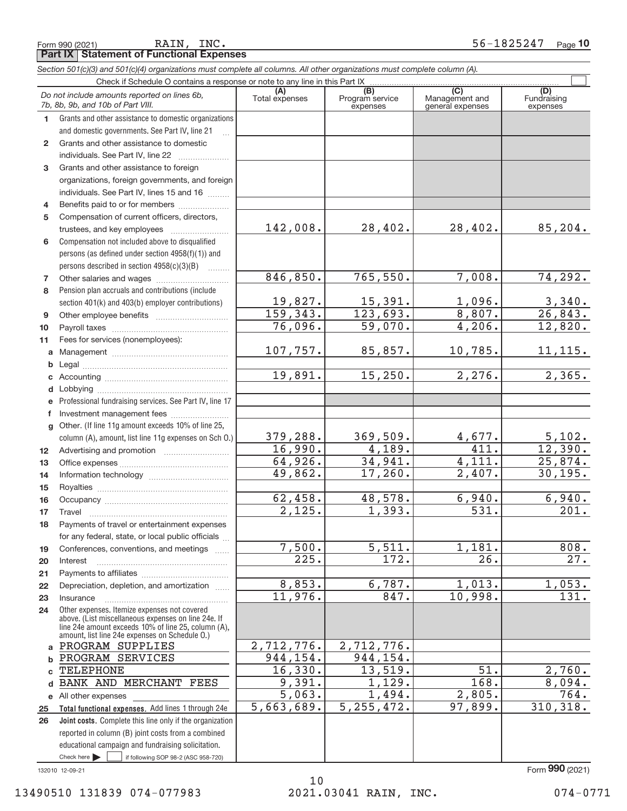|                 | Secuon 50 i (c)(5) and 50 i (c)(4) organizations must complete all columns. All other organizations must complete column (A).<br>Check if Schedule O contains a response or note to any line in this Part IX |                            |                             |                                    |                           |
|-----------------|--------------------------------------------------------------------------------------------------------------------------------------------------------------------------------------------------------------|----------------------------|-----------------------------|------------------------------------|---------------------------|
|                 | Do not include amounts reported on lines 6b,                                                                                                                                                                 | (A)                        | (B)                         | (C)                                | (D)                       |
|                 | 7b, 8b, 9b, and 10b of Part VIII.                                                                                                                                                                            | Total expenses             | Program service<br>expenses | Management and<br>general expenses | Fundraising<br>expenses   |
| 1.              | Grants and other assistance to domestic organizations                                                                                                                                                        |                            |                             |                                    |                           |
|                 | and domestic governments. See Part IV, line 21                                                                                                                                                               |                            |                             |                                    |                           |
| $\mathbf{2}$    | Grants and other assistance to domestic                                                                                                                                                                      |                            |                             |                                    |                           |
|                 | individuals. See Part IV, line 22                                                                                                                                                                            |                            |                             |                                    |                           |
| 3               | Grants and other assistance to foreign                                                                                                                                                                       |                            |                             |                                    |                           |
|                 | organizations, foreign governments, and foreign                                                                                                                                                              |                            |                             |                                    |                           |
|                 | individuals. See Part IV, lines 15 and 16                                                                                                                                                                    |                            |                             |                                    |                           |
| 4               | Benefits paid to or for members                                                                                                                                                                              |                            |                             |                                    |                           |
| 5               | Compensation of current officers, directors,                                                                                                                                                                 |                            |                             |                                    |                           |
|                 |                                                                                                                                                                                                              | 142,008.                   | 28,402.                     | 28,402.                            | 85, 204.                  |
| 6               | Compensation not included above to disqualified                                                                                                                                                              |                            |                             |                                    |                           |
|                 | persons (as defined under section 4958(f)(1)) and                                                                                                                                                            |                            |                             |                                    |                           |
|                 | persons described in section 4958(c)(3)(B)                                                                                                                                                                   |                            |                             |                                    |                           |
| 7               |                                                                                                                                                                                                              | 846, 850.                  | 765, 550.                   | 7,008.                             | 74,292.                   |
| 8               | Pension plan accruals and contributions (include                                                                                                                                                             |                            |                             |                                    |                           |
|                 | section 401(k) and 403(b) employer contributions)                                                                                                                                                            | 19,827.                    | 15,391.                     | 1,096.                             | $\frac{3,340}{26,843}$ .  |
| 9               |                                                                                                                                                                                                              | 159, 343.<br>76,096.       | 123, 693.<br>59,070.        | 8,807.<br>4,206.                   | 12,820.                   |
| 10              |                                                                                                                                                                                                              |                            |                             |                                    |                           |
| 11              | Fees for services (nonemployees):                                                                                                                                                                            | 107,757.                   | 85,857.                     | 10,785.                            | 11,115.                   |
| a<br>b          |                                                                                                                                                                                                              |                            |                             |                                    |                           |
|                 |                                                                                                                                                                                                              | 19,891.                    | 15,250.                     | 2,276.                             | 2,365.                    |
| d               |                                                                                                                                                                                                              |                            |                             |                                    |                           |
|                 | Professional fundraising services. See Part IV, line 17                                                                                                                                                      |                            |                             |                                    |                           |
| f               | Investment management fees                                                                                                                                                                                   |                            |                             |                                    |                           |
| a               | Other. (If line 11g amount exceeds 10% of line 25,                                                                                                                                                           |                            |                             |                                    |                           |
|                 | column (A), amount, list line 11g expenses on Sch 0.)                                                                                                                                                        | 379,288.                   | 369,509.                    | 4,677.                             |                           |
| 12 <sup>2</sup> |                                                                                                                                                                                                              | 16,990.                    | 4,189.                      | 411.                               | $\frac{5,102.}{12,390.}$  |
| 13              |                                                                                                                                                                                                              | 64,926.                    | 34,941.                     | $\overline{4,111}.$                | 25,874.                   |
| 14              |                                                                                                                                                                                                              | 49,862.                    | 17,260.                     | 2,407.                             | 30, 195.                  |
| 15              |                                                                                                                                                                                                              |                            |                             |                                    |                           |
| 16              |                                                                                                                                                                                                              | 62,458.                    | 48,578.                     | 6,940.                             | 6,940.                    |
| 17              | Travel                                                                                                                                                                                                       | 2,125.                     | 1,393.                      | $\overline{531}$ .                 | $\overline{201}$ .        |
| 18              | Payments of travel or entertainment expenses                                                                                                                                                                 |                            |                             |                                    |                           |
|                 | for any federal, state, or local public officials                                                                                                                                                            |                            |                             |                                    |                           |
| 19              | Conferences, conventions, and meetings                                                                                                                                                                       | 7,500.<br>$\overline{225}$ | 5,511.<br>172.              | 1,181.<br>26.                      | 808.<br>$\overline{27}$ . |
| 20              | Interest                                                                                                                                                                                                     |                            |                             |                                    |                           |
| 21<br>22        | Depreciation, depletion, and amortization                                                                                                                                                                    | 8,853.                     | 6,787.                      | 1,013.                             | 1,053.                    |
| 23              | Insurance                                                                                                                                                                                                    | 11,976.                    | 847.                        | 10,998.                            | 131.                      |
| 24              | Other expenses. Itemize expenses not covered                                                                                                                                                                 |                            |                             |                                    |                           |
|                 | above. (List miscellaneous expenses on line 24e. If                                                                                                                                                          |                            |                             |                                    |                           |
|                 | line 24e amount exceeds 10% of line 25, column (A).<br>amount, list line 24e expenses on Schedule O.)                                                                                                        |                            |                             |                                    |                           |
| a               | PROGRAM SUPPLIES                                                                                                                                                                                             | 2,712,776.                 | 2,712,776.                  |                                    |                           |
| b               | PROGRAM SERVICES                                                                                                                                                                                             | 944, 154.                  | 944, 154.                   |                                    |                           |
| C               | <b>TELEPHONE</b>                                                                                                                                                                                             | 16,330.                    | 13,519.                     | 51.                                | 2,760.                    |
| d               | BANK AND MERCHANT FEES                                                                                                                                                                                       | 9,391.                     | 1,129.                      | 168.                               | 8,094.                    |
|                 | e All other expenses                                                                                                                                                                                         | $\overline{5,063}$ .       | 1,494.                      | 2,805.                             | 764.                      |
| 25              | Total functional expenses. Add lines 1 through 24e                                                                                                                                                           | $\overline{5,663,689}$ .   | 5, 255, 472.                | 97,899.                            | 310, 318.                 |
| 26              | Joint costs. Complete this line only if the organization                                                                                                                                                     |                            |                             |                                    |                           |
|                 | reported in column (B) joint costs from a combined                                                                                                                                                           |                            |                             |                                    |                           |
|                 | educational campaign and fundraising solicitation.<br>Check here $\blacktriangleright$<br>if following SOP 98-2 (ASC 958-720)                                                                                |                            |                             |                                    |                           |
|                 |                                                                                                                                                                                                              |                            |                             |                                    |                           |

132010 12‐09‐21

## 13490510 131839 074‐077983 2021.03041 RAIN, INC. 074‐0771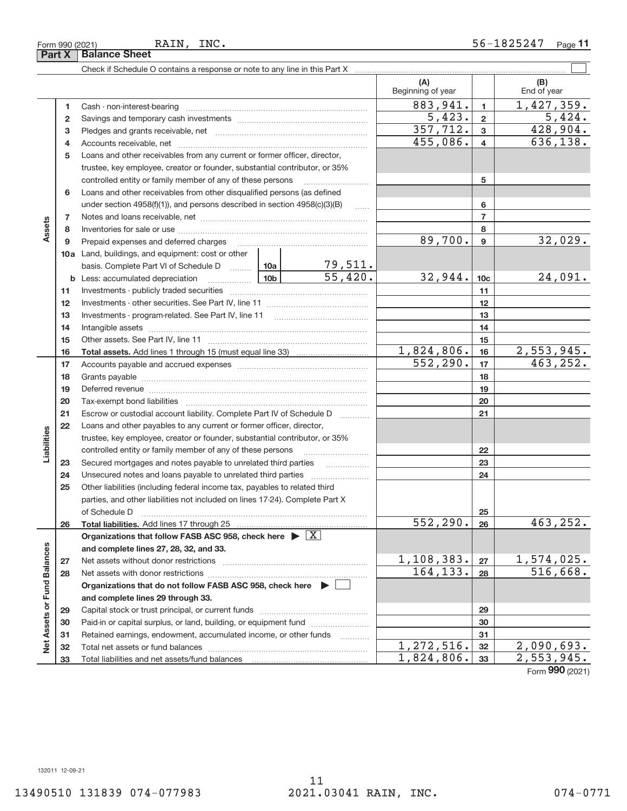| Form 990 (2021)               |  |  |
|-------------------------------|--|--|
| <b>Part X   Balance Sheet</b> |  |  |

|                             |          |                                                                                                                                                                                                                                |                           |                           | (A)<br>Beginning of year |                         | (B)<br>End of year     |
|-----------------------------|----------|--------------------------------------------------------------------------------------------------------------------------------------------------------------------------------------------------------------------------------|---------------------------|---------------------------|--------------------------|-------------------------|------------------------|
|                             | 1        |                                                                                                                                                                                                                                |                           |                           | 883,941.                 | $\overline{1}$          | 1,427,359.             |
|                             | 2        |                                                                                                                                                                                                                                | 5,423.                    | $\overline{2}$            | 5,424.                   |                         |                        |
|                             | 3        |                                                                                                                                                                                                                                | 357,712.                  | $\mathbf{3}$              | 428,904.                 |                         |                        |
|                             | 4        |                                                                                                                                                                                                                                |                           |                           | 455,086.                 | $\overline{\mathbf{4}}$ | 636, 138.              |
|                             | 5        | Loans and other receivables from any current or former officer, director,                                                                                                                                                      |                           |                           |                          |                         |                        |
|                             |          | trustee, key employee, creator or founder, substantial contributor, or 35%                                                                                                                                                     |                           |                           |                          |                         |                        |
|                             |          | controlled entity or family member of any of these persons                                                                                                                                                                     |                           |                           |                          | 5                       |                        |
|                             | 6        | Loans and other receivables from other disqualified persons (as defined                                                                                                                                                        |                           |                           |                          |                         |                        |
|                             |          | under section $4958(f)(1)$ , and persons described in section $4958(c)(3)(B)$                                                                                                                                                  |                           | $\sim$                    |                          | 6                       |                        |
|                             | 7        |                                                                                                                                                                                                                                |                           |                           |                          | $\overline{7}$          |                        |
| Assets                      | 8        |                                                                                                                                                                                                                                |                           |                           |                          | 8                       |                        |
|                             | 9        | Prepaid expenses and deferred charges                                                                                                                                                                                          |                           |                           | 89,700.                  | $\overline{9}$          | 32,029.                |
|                             |          | <b>10a</b> Land, buildings, and equipment: cost or other                                                                                                                                                                       |                           |                           |                          |                         |                        |
|                             |          | basis. Complete Part VI of Schedule D  10a                                                                                                                                                                                     |                           | $\frac{79,511}{55,420}$ . |                          |                         |                        |
|                             |          | <b>b</b> Less: accumulated depreciation<br>. 1                                                                                                                                                                                 | 10 <sub>b</sub>           |                           | 32,944.                  | 10 <sub>c</sub>         | 24,091.                |
|                             | 11       |                                                                                                                                                                                                                                |                           |                           |                          | 11                      |                        |
|                             | 12       |                                                                                                                                                                                                                                |                           |                           |                          | 12                      |                        |
|                             | 13       |                                                                                                                                                                                                                                |                           |                           |                          | 13                      |                        |
|                             | 14       |                                                                                                                                                                                                                                |                           |                           |                          | 14                      |                        |
|                             | 15       |                                                                                                                                                                                                                                | 1,824,806.                | 15<br>16                  | 2,553,945.               |                         |                        |
|                             | 16<br>17 |                                                                                                                                                                                                                                |                           |                           | 552, 290.                | 17                      | 463, 252.              |
|                             | 18       |                                                                                                                                                                                                                                |                           | 18                        |                          |                         |                        |
|                             | 19       | Deferred revenue manual contracts and contracts are all the contracts and contracts are contracted and contracts are contracted and contract are contracted and contract are contracted and contract are contracted and contra |                           |                           |                          | 19                      |                        |
|                             | 20       |                                                                                                                                                                                                                                |                           |                           |                          | 20                      |                        |
|                             | 21       | Escrow or custodial account liability. Complete Part IV of Schedule D                                                                                                                                                          |                           | 1.1.1.1.1.1.1.1.1.1       |                          | 21                      |                        |
|                             | 22       | Loans and other payables to any current or former officer, director,                                                                                                                                                           |                           |                           |                          |                         |                        |
| Liabilities                 |          | trustee, key employee, creator or founder, substantial contributor, or 35%                                                                                                                                                     |                           |                           |                          |                         |                        |
|                             |          | controlled entity or family member of any of these persons                                                                                                                                                                     |                           |                           |                          | 22                      |                        |
|                             | 23       | Secured mortgages and notes payable to unrelated third parties                                                                                                                                                                 |                           |                           |                          | 23                      |                        |
|                             | 24       | Unsecured notes and loans payable to unrelated third parties                                                                                                                                                                   |                           |                           |                          | 24                      |                        |
|                             | 25       | Other liabilities (including federal income tax, payables to related third                                                                                                                                                     |                           |                           |                          |                         |                        |
|                             |          | parties, and other liabilities not included on lines 17-24). Complete Part X                                                                                                                                                   |                           |                           |                          |                         |                        |
|                             |          | of Schedule D                                                                                                                                                                                                                  |                           |                           |                          | 25                      |                        |
|                             | 26       |                                                                                                                                                                                                                                |                           |                           | $\overline{552, 290.}$   | 26                      | 463, 252.              |
|                             |          | Organizations that follow FASB ASC 958, check here $\blacktriangleright \boxed{X}$                                                                                                                                             |                           |                           |                          |                         |                        |
|                             |          | and complete lines 27, 28, 32, and 33.                                                                                                                                                                                         |                           |                           |                          |                         |                        |
|                             | 27       |                                                                                                                                                                                                                                |                           |                           | 1,108,383.               | 27                      | 1,574,025.             |
|                             | 28       |                                                                                                                                                                                                                                |                           |                           | 164,133.                 | 28                      | $\overline{516,668}$ . |
|                             |          | Organizations that do not follow FASB ASC 958, check here $\blacktriangleright$                                                                                                                                                |                           |                           |                          |                         |                        |
|                             |          | and complete lines 29 through 33.                                                                                                                                                                                              |                           |                           |                          |                         |                        |
|                             | 29       |                                                                                                                                                                                                                                |                           |                           |                          | 29                      |                        |
| Net Assets or Fund Balances | 30       | Paid-in or capital surplus, or land, building, or equipment fund                                                                                                                                                               |                           |                           |                          | 30                      |                        |
|                             | 31       | Retained earnings, endowment, accumulated income, or other funds                                                                                                                                                               |                           |                           |                          | 31                      |                        |
|                             | 32       |                                                                                                                                                                                                                                |                           |                           | 1,272,516.               | 32                      | 2,090,693.             |
|                             | 33       |                                                                                                                                                                                                                                | $\overline{1,824}$ , 806. | 33                        | 2,553,945.               |                         |                        |

Form (2021) **990**

132011 12‐09‐21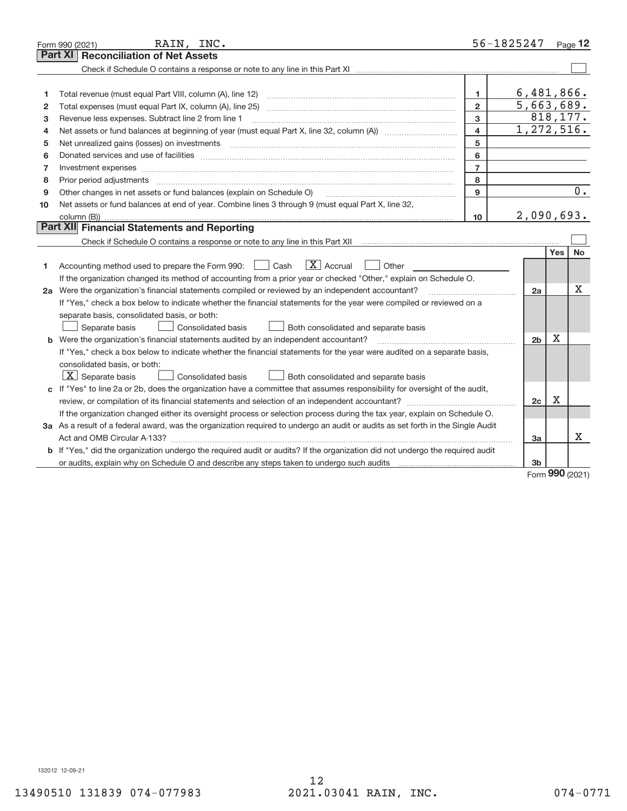|    | RAIN, INC.<br>Form 990 (2021)                                                                                                   |                         | 56-1825247               |     | Page 12   |
|----|---------------------------------------------------------------------------------------------------------------------------------|-------------------------|--------------------------|-----|-----------|
|    | <b>Reconciliation of Net Assets</b><br>Part XI                                                                                  |                         |                          |     |           |
|    |                                                                                                                                 |                         |                          |     |           |
|    |                                                                                                                                 |                         |                          |     |           |
| 1  | Total revenue (must equal Part VIII, column (A), line 12)                                                                       | $\mathbf{1}$            | 6,481,866.               |     |           |
| 2  |                                                                                                                                 | $\overline{2}$          | $\overline{5,663},689.$  |     |           |
| з  | Revenue less expenses. Subtract line 2 from line 1                                                                              | 3                       |                          |     | 818, 177. |
| 4  |                                                                                                                                 | $\overline{\mathbf{4}}$ | $\overline{1,272,516}$ . |     |           |
| 5  |                                                                                                                                 | 5                       |                          |     |           |
| 6  |                                                                                                                                 | 6                       |                          |     |           |
| 7  | Investment expenses www.communication.com/multiple/expenses/communications/communications/communications/                       | $\overline{7}$          |                          |     |           |
| 8  | Prior period adjustments                                                                                                        | 8                       |                          |     |           |
| 9  | Other changes in net assets or fund balances (explain on Schedule O)                                                            | 9                       |                          |     | 0.        |
| 10 | Net assets or fund balances at end of year. Combine lines 3 through 9 (must equal Part X, line 32,                              |                         |                          |     |           |
|    |                                                                                                                                 | 10                      | 2,090,693.               |     |           |
|    | Part XII Financial Statements and Reporting                                                                                     |                         |                          |     |           |
|    |                                                                                                                                 |                         |                          |     |           |
|    |                                                                                                                                 |                         |                          | Yes | <b>No</b> |
| 1  | $\boxed{\mathbf{X}}$ Accrual<br>Accounting method used to prepare the Form 990: <u>June</u> Cash<br>Other                       |                         |                          |     |           |
|    | If the organization changed its method of accounting from a prior year or checked "Other," explain on Schedule O.               |                         |                          |     |           |
|    | 2a Were the organization's financial statements compiled or reviewed by an independent accountant?                              |                         | 2a                       |     | Χ         |
|    | If "Yes," check a box below to indicate whether the financial statements for the year were compiled or reviewed on a            |                         |                          |     |           |
|    | separate basis, consolidated basis, or both:                                                                                    |                         |                          |     |           |
|    | Separate basis<br><b>Consolidated basis</b><br>Both consolidated and separate basis                                             |                         |                          |     |           |
|    | <b>b</b> Were the organization's financial statements audited by an independent accountant?                                     |                         | 2 <sub>b</sub>           | Χ   |           |
|    | If "Yes," check a box below to indicate whether the financial statements for the year were audited on a separate basis,         |                         |                          |     |           |
|    | consolidated basis, or both:                                                                                                    |                         |                          |     |           |
|    | $X$ Separate basis<br><b>Consolidated basis</b><br>Both consolidated and separate basis                                         |                         |                          |     |           |
|    | c If "Yes" to line 2a or 2b, does the organization have a committee that assumes responsibility for oversight of the audit,     |                         |                          |     |           |
|    | review, or compilation of its financial statements and selection of an independent accountant?                                  |                         | 2c                       | x   |           |
|    | If the organization changed either its oversight process or selection process during the tax year, explain on Schedule O.       |                         |                          |     |           |
|    | 3a As a result of a federal award, was the organization required to undergo an audit or audits as set forth in the Single Audit |                         |                          |     |           |
|    |                                                                                                                                 |                         | 3a                       |     | Χ         |
|    | b If "Yes," did the organization undergo the required audit or audits? If the organization did not undergo the required audit   |                         |                          |     |           |
|    |                                                                                                                                 |                         | 3b                       |     |           |

Form (2021) **990**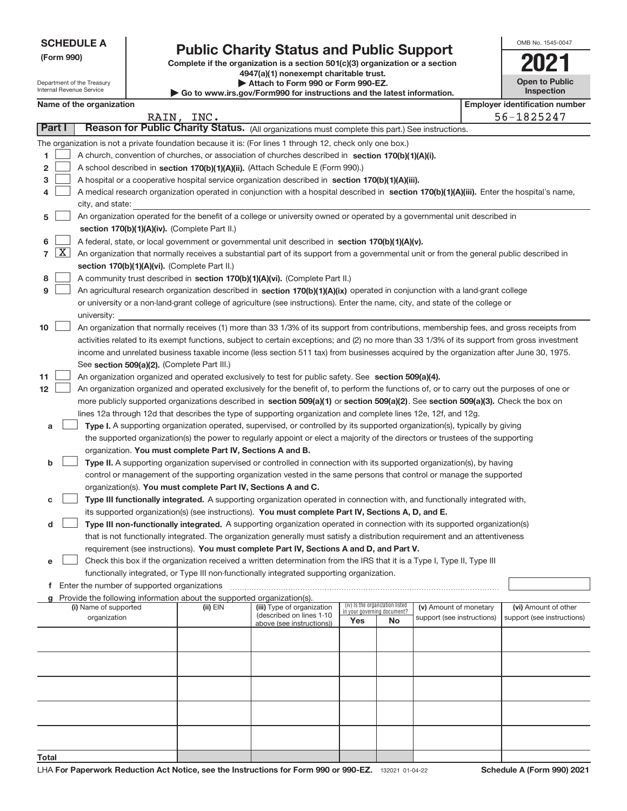Department of the Treasury Internal Revenue Service

**Total**

## **Public Charity Status and Public Support 2021**

**(Form 990) Complete if the organization is a section 501(c)(3) organization or a section 4947(a)(1) nonexempt charitable trust.**

**| Attach to Form 990 or Form 990‐EZ.** 

**| Go to www.irs.gov/Form990 for instructions and the latest information.**

| OMB No. 1545-0047                   |
|-------------------------------------|
|                                     |
| <b>Open to Public</b><br>Inspection |
|                                     |

|        | wo to www.mo.gov/romnooo ior moductions and the latest imomination.<br>Name of the organization<br><b>Employer identification number</b> |                                                                                                                                              |            |                            |                             |                                 |                            |  |                            |  |  |  |
|--------|------------------------------------------------------------------------------------------------------------------------------------------|----------------------------------------------------------------------------------------------------------------------------------------------|------------|----------------------------|-----------------------------|---------------------------------|----------------------------|--|----------------------------|--|--|--|
|        |                                                                                                                                          |                                                                                                                                              | RAIN, INC. |                            |                             |                                 |                            |  | 56-1825247                 |  |  |  |
| Part I |                                                                                                                                          | Reason for Public Charity Status. (All organizations must complete this part.) See instructions.                                             |            |                            |                             |                                 |                            |  |                            |  |  |  |
|        |                                                                                                                                          | The organization is not a private foundation because it is: (For lines 1 through 12, check only one box.)                                    |            |                            |                             |                                 |                            |  |                            |  |  |  |
| 1.     |                                                                                                                                          | A church, convention of churches, or association of churches described in section 170(b)(1)(A)(i).                                           |            |                            |                             |                                 |                            |  |                            |  |  |  |
| 2      |                                                                                                                                          | A school described in section 170(b)(1)(A)(ii). (Attach Schedule E (Form 990).)                                                              |            |                            |                             |                                 |                            |  |                            |  |  |  |
| 3      |                                                                                                                                          | A hospital or a cooperative hospital service organization described in section $170(b)(1)(A)(iii)$ .                                         |            |                            |                             |                                 |                            |  |                            |  |  |  |
| 4      |                                                                                                                                          | A medical research organization operated in conjunction with a hospital described in section 170(b)(1)(A)(iii). Enter the hospital's name,   |            |                            |                             |                                 |                            |  |                            |  |  |  |
|        |                                                                                                                                          | city, and state:                                                                                                                             |            |                            |                             |                                 |                            |  |                            |  |  |  |
| 5      |                                                                                                                                          | An organization operated for the benefit of a college or university owned or operated by a governmental unit described in                    |            |                            |                             |                                 |                            |  |                            |  |  |  |
|        |                                                                                                                                          | section 170(b)(1)(A)(iv). (Complete Part II.)                                                                                                |            |                            |                             |                                 |                            |  |                            |  |  |  |
| 6      |                                                                                                                                          | A federal, state, or local government or governmental unit described in section 170(b)(1)(A)(v).                                             |            |                            |                             |                                 |                            |  |                            |  |  |  |
| 7      | $\lfloor x \rfloor$                                                                                                                      | An organization that normally receives a substantial part of its support from a governmental unit or from the general public described in    |            |                            |                             |                                 |                            |  |                            |  |  |  |
|        |                                                                                                                                          | section 170(b)(1)(A)(vi). (Complete Part II.)                                                                                                |            |                            |                             |                                 |                            |  |                            |  |  |  |
| 8      |                                                                                                                                          |                                                                                                                                              |            |                            |                             |                                 |                            |  |                            |  |  |  |
| 9      |                                                                                                                                          | A community trust described in section 170(b)(1)(A)(vi). (Complete Part II.)                                                                 |            |                            |                             |                                 |                            |  |                            |  |  |  |
|        |                                                                                                                                          | An agricultural research organization described in section 170(b)(1)(A)(ix) operated in conjunction with a land-grant college                |            |                            |                             |                                 |                            |  |                            |  |  |  |
|        |                                                                                                                                          | or university or a non-land-grant college of agriculture (see instructions). Enter the name, city, and state of the college or               |            |                            |                             |                                 |                            |  |                            |  |  |  |
|        |                                                                                                                                          | university:                                                                                                                                  |            |                            |                             |                                 |                            |  |                            |  |  |  |
| 10     |                                                                                                                                          | An organization that normally receives (1) more than 33 1/3% of its support from contributions, membership fees, and gross receipts from     |            |                            |                             |                                 |                            |  |                            |  |  |  |
|        |                                                                                                                                          | activities related to its exempt functions, subject to certain exceptions; and (2) no more than 33 1/3% of its support from gross investment |            |                            |                             |                                 |                            |  |                            |  |  |  |
|        |                                                                                                                                          | income and unrelated business taxable income (less section 511 tax) from businesses acquired by the organization after June 30, 1975.        |            |                            |                             |                                 |                            |  |                            |  |  |  |
|        |                                                                                                                                          | See section 509(a)(2). (Complete Part III.)                                                                                                  |            |                            |                             |                                 |                            |  |                            |  |  |  |
| 11     |                                                                                                                                          | An organization organized and operated exclusively to test for public safety. See section 509(a)(4).                                         |            |                            |                             |                                 |                            |  |                            |  |  |  |
| 12     |                                                                                                                                          | An organization organized and operated exclusively for the benefit of, to perform the functions of, or to carry out the purposes of one or   |            |                            |                             |                                 |                            |  |                            |  |  |  |
|        |                                                                                                                                          | more publicly supported organizations described in section $509(a)(1)$ or section $509(a)(2)$ . See section $509(a)(3)$ . Check the box on   |            |                            |                             |                                 |                            |  |                            |  |  |  |
|        |                                                                                                                                          | lines 12a through 12d that describes the type of supporting organization and complete lines 12e, 12f, and 12g.                               |            |                            |                             |                                 |                            |  |                            |  |  |  |
| а      |                                                                                                                                          | Type I. A supporting organization operated, supervised, or controlled by its supported organization(s), typically by giving                  |            |                            |                             |                                 |                            |  |                            |  |  |  |
|        |                                                                                                                                          | the supported organization(s) the power to regularly appoint or elect a majority of the directors or trustees of the supporting              |            |                            |                             |                                 |                            |  |                            |  |  |  |
|        |                                                                                                                                          | organization. You must complete Part IV, Sections A and B.                                                                                   |            |                            |                             |                                 |                            |  |                            |  |  |  |
| b      |                                                                                                                                          | Type II. A supporting organization supervised or controlled in connection with its supported organization(s), by having                      |            |                            |                             |                                 |                            |  |                            |  |  |  |
|        |                                                                                                                                          | control or management of the supporting organization vested in the same persons that control or manage the supported                         |            |                            |                             |                                 |                            |  |                            |  |  |  |
|        |                                                                                                                                          | organization(s). You must complete Part IV, Sections A and C.                                                                                |            |                            |                             |                                 |                            |  |                            |  |  |  |
| С      |                                                                                                                                          | Type III functionally integrated. A supporting organization operated in connection with, and functionally integrated with,                   |            |                            |                             |                                 |                            |  |                            |  |  |  |
|        |                                                                                                                                          | its supported organization(s) (see instructions). You must complete Part IV, Sections A, D, and E.                                           |            |                            |                             |                                 |                            |  |                            |  |  |  |
| d      |                                                                                                                                          | Type III non-functionally integrated. A supporting organization operated in connection with its supported organization(s)                    |            |                            |                             |                                 |                            |  |                            |  |  |  |
|        |                                                                                                                                          | that is not functionally integrated. The organization generally must satisfy a distribution requirement and an attentiveness                 |            |                            |                             |                                 |                            |  |                            |  |  |  |
|        |                                                                                                                                          | requirement (see instructions). You must complete Part IV, Sections A and D, and Part V.                                                     |            |                            |                             |                                 |                            |  |                            |  |  |  |
| е      |                                                                                                                                          | Check this box if the organization received a written determination from the IRS that it is a Type I, Type II, Type III                      |            |                            |                             |                                 |                            |  |                            |  |  |  |
|        |                                                                                                                                          | functionally integrated, or Type III non-functionally integrated supporting organization.                                                    |            |                            |                             |                                 |                            |  |                            |  |  |  |
| f      |                                                                                                                                          | Enter the number of supported organizations                                                                                                  |            |                            |                             |                                 |                            |  |                            |  |  |  |
| g      |                                                                                                                                          | Provide the following information about the supported organization(s).<br>(i) Name of supported                                              | (ii) EIN   | (iii) Type of organization |                             | (iv) Is the organization listed | (v) Amount of monetary     |  | (vi) Amount of other       |  |  |  |
|        |                                                                                                                                          | organization                                                                                                                                 |            | (described on lines 1-10   | in your governing document? |                                 | support (see instructions) |  | support (see instructions) |  |  |  |
|        |                                                                                                                                          |                                                                                                                                              |            | above (see instructions))  | Yes                         | No                              |                            |  |                            |  |  |  |
|        |                                                                                                                                          |                                                                                                                                              |            |                            |                             |                                 |                            |  |                            |  |  |  |
|        |                                                                                                                                          |                                                                                                                                              |            |                            |                             |                                 |                            |  |                            |  |  |  |
|        |                                                                                                                                          |                                                                                                                                              |            |                            |                             |                                 |                            |  |                            |  |  |  |
|        |                                                                                                                                          |                                                                                                                                              |            |                            |                             |                                 |                            |  |                            |  |  |  |
|        |                                                                                                                                          |                                                                                                                                              |            |                            |                             |                                 |                            |  |                            |  |  |  |
|        |                                                                                                                                          |                                                                                                                                              |            |                            |                             |                                 |                            |  |                            |  |  |  |
|        |                                                                                                                                          |                                                                                                                                              |            |                            |                             |                                 |                            |  |                            |  |  |  |
|        |                                                                                                                                          |                                                                                                                                              |            |                            |                             |                                 |                            |  |                            |  |  |  |
|        |                                                                                                                                          |                                                                                                                                              |            |                            |                             |                                 |                            |  |                            |  |  |  |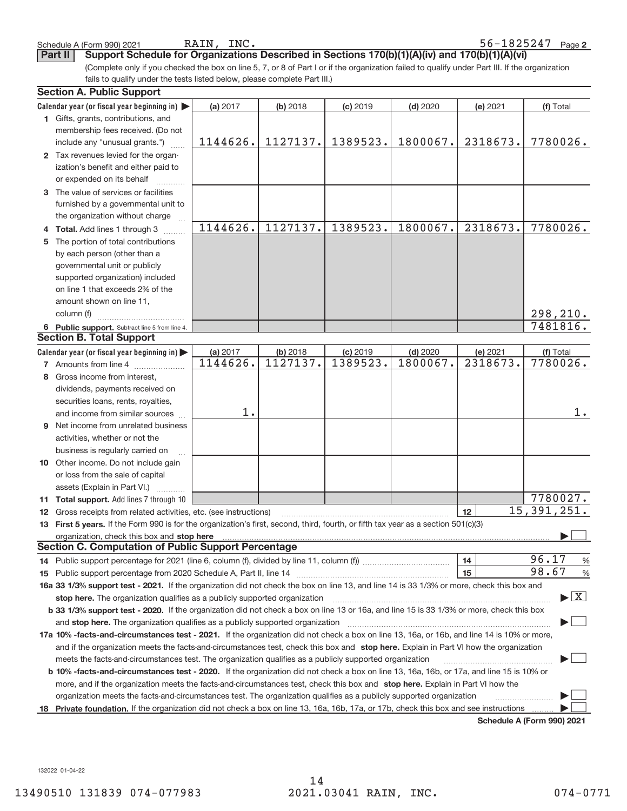**Part II** | Support Schedule for Organizations Described in Sections 170(b)(1)(A)(iv) and 170(b)(1)(A)(vi)

(Complete only if you checked the box on line 5, 7, or 8 of Part I or if the organization failed to qualify under Part III. If the organization fails to qualify under the tests listed below, please complete Part III.)

|   | <b>Section A. Public Support</b>                                                                                                                                                                                               |          |            |            |            |          |                                          |
|---|--------------------------------------------------------------------------------------------------------------------------------------------------------------------------------------------------------------------------------|----------|------------|------------|------------|----------|------------------------------------------|
|   | Calendar year (or fiscal year beginning in) $\blacktriangleright$                                                                                                                                                              | (a) 2017 | (b) 2018   | $(c)$ 2019 | $(d)$ 2020 | (e) 2021 | (f) Total                                |
|   | 1 Gifts, grants, contributions, and                                                                                                                                                                                            |          |            |            |            |          |                                          |
|   | membership fees received. (Do not                                                                                                                                                                                              |          |            |            |            |          |                                          |
|   | include any "unusual grants.")                                                                                                                                                                                                 | 1144626. | 1127137.   | 1389523.   | 1800067.   | 2318673. | 7780026.                                 |
|   | 2 Tax revenues levied for the organ-                                                                                                                                                                                           |          |            |            |            |          |                                          |
|   | ization's benefit and either paid to                                                                                                                                                                                           |          |            |            |            |          |                                          |
|   | or expended on its behalf                                                                                                                                                                                                      |          |            |            |            |          |                                          |
|   | 3 The value of services or facilities                                                                                                                                                                                          |          |            |            |            |          |                                          |
|   | furnished by a governmental unit to                                                                                                                                                                                            |          |            |            |            |          |                                          |
|   | the organization without charge                                                                                                                                                                                                |          |            |            |            |          |                                          |
|   | 4 Total. Add lines 1 through 3                                                                                                                                                                                                 | 1144626. | 1127137.   | 1389523.   | 1800067.   | 2318673. | 7780026.                                 |
|   | The portion of total contributions                                                                                                                                                                                             |          |            |            |            |          |                                          |
|   | by each person (other than a                                                                                                                                                                                                   |          |            |            |            |          |                                          |
|   | governmental unit or publicly                                                                                                                                                                                                  |          |            |            |            |          |                                          |
|   | supported organization) included                                                                                                                                                                                               |          |            |            |            |          |                                          |
|   | on line 1 that exceeds 2% of the                                                                                                                                                                                               |          |            |            |            |          |                                          |
|   | amount shown on line 11,                                                                                                                                                                                                       |          |            |            |            |          |                                          |
|   | column (f)                                                                                                                                                                                                                     |          |            |            |            |          | 298,210.                                 |
|   | 6 Public support. Subtract line 5 from line 4.                                                                                                                                                                                 |          |            |            |            |          | 7481816.                                 |
|   | <b>Section B. Total Support</b>                                                                                                                                                                                                |          |            |            |            |          |                                          |
|   | Calendar year (or fiscal year beginning in)                                                                                                                                                                                    | (a) 2017 | $(b)$ 2018 | $(c)$ 2019 | $(d)$ 2020 | (e) 2021 | (f) Total                                |
|   | 7 Amounts from line 4                                                                                                                                                                                                          | 1144626. | 1127137.   | 1389523.   | 1800067.   | 2318673. | 7780026.                                 |
|   | 8 Gross income from interest,                                                                                                                                                                                                  |          |            |            |            |          |                                          |
|   | dividends, payments received on                                                                                                                                                                                                |          |            |            |            |          |                                          |
|   | securities loans, rents, royalties,                                                                                                                                                                                            |          |            |            |            |          |                                          |
|   | and income from similar sources                                                                                                                                                                                                | 1.       |            |            |            |          | 1.                                       |
|   |                                                                                                                                                                                                                                |          |            |            |            |          |                                          |
| 9 | Net income from unrelated business                                                                                                                                                                                             |          |            |            |            |          |                                          |
|   | activities, whether or not the                                                                                                                                                                                                 |          |            |            |            |          |                                          |
|   | business is regularly carried on                                                                                                                                                                                               |          |            |            |            |          |                                          |
|   | 10 Other income. Do not include gain                                                                                                                                                                                           |          |            |            |            |          |                                          |
|   | or loss from the sale of capital                                                                                                                                                                                               |          |            |            |            |          |                                          |
|   | assets (Explain in Part VI.)                                                                                                                                                                                                   |          |            |            |            |          |                                          |
|   | 11 Total support. Add lines 7 through 10                                                                                                                                                                                       |          |            |            |            |          | 7780027.                                 |
|   | 12 Gross receipts from related activities, etc. (see instructions)                                                                                                                                                             |          |            |            |            | 12       | 15,391,251.                              |
|   | 13 First 5 years. If the Form 990 is for the organization's first, second, third, fourth, or fifth tax year as a section 501(c)(3)                                                                                             |          |            |            |            |          |                                          |
|   | organization, check this box and stop here manufactured and according to the state of the state of the state of the state of the state of the state of the state of the state of the state of the state of the state of the st |          |            |            |            |          |                                          |
|   | <b>Section C. Computation of Public Support Percentage</b>                                                                                                                                                                     |          |            |            |            |          |                                          |
|   |                                                                                                                                                                                                                                |          |            |            |            | 14       | 96.17<br>%                               |
|   |                                                                                                                                                                                                                                |          |            |            |            | 15       | 98.67<br>$\%$                            |
|   | 16a 33 1/3% support test - 2021. If the organization did not check the box on line 13, and line 14 is 33 1/3% or more, check this box and                                                                                      |          |            |            |            |          |                                          |
|   | stop here. The organization qualifies as a publicly supported organization                                                                                                                                                     |          |            |            |            |          | $\blacktriangleright$ $\boxed{\text{X}}$ |
|   | b 33 1/3% support test - 2020. If the organization did not check a box on line 13 or 16a, and line 15 is 33 1/3% or more, check this box                                                                                       |          |            |            |            |          |                                          |
|   | and stop here. The organization qualifies as a publicly supported organization                                                                                                                                                 |          |            |            |            |          |                                          |
|   | 17a 10% -facts-and-circumstances test - 2021. If the organization did not check a box on line 13, 16a, or 16b, and line 14 is 10% or more,                                                                                     |          |            |            |            |          |                                          |
|   | and if the organization meets the facts and circumstances test, check this box and stop here. Explain in Part VI how the organization                                                                                          |          |            |            |            |          |                                          |
|   | meets the facts-and-circumstances test. The organization qualifies as a publicly supported organization                                                                                                                        |          |            |            |            |          |                                          |
|   | <b>b 10% -facts-and-circumstances test - 2020.</b> If the organization did not check a box on line 13, 16a, 16b, or 17a, and line 15 is 10% or                                                                                 |          |            |            |            |          |                                          |
|   | more, and if the organization meets the facts-and-circumstances test, check this box and stop here. Explain in Part VI how the                                                                                                 |          |            |            |            |          |                                          |
|   | organization meets the facts-and-circumstances test. The organization qualifies as a publicly supported organization                                                                                                           |          |            |            |            |          |                                          |
|   | 18 Private foundation. If the organization did not check a box on line 13, 16a, 16b, 17a, or 17b, check this box and see instructions                                                                                          |          |            |            |            |          |                                          |
|   |                                                                                                                                                                                                                                |          |            |            |            |          | Schodule A (Form 000) 2021               |

**Schedule A (Form 990) 2021**

132022 01‐04‐22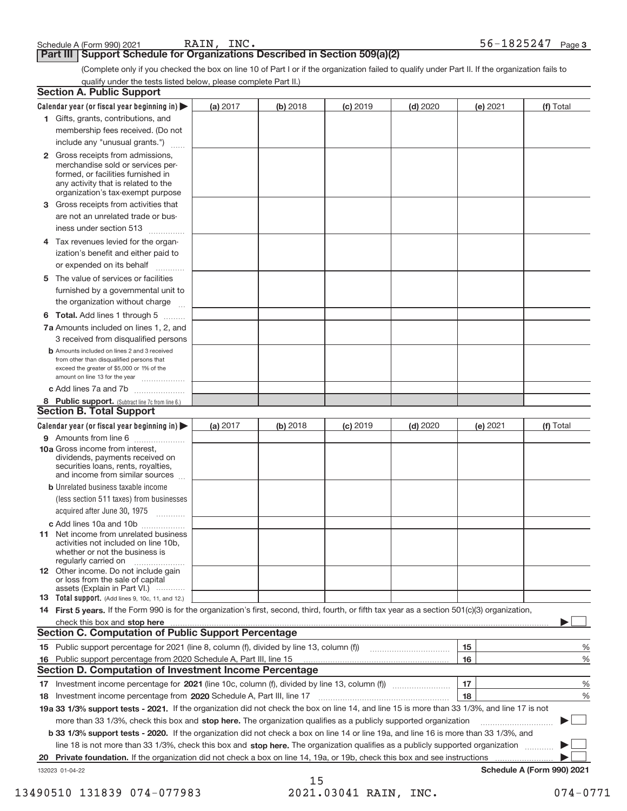**Part III | Support Schedule for Organizations Described in Section 509(a)(2)** 

(Complete only if you checked the box on line 10 of Part I or if the organization failed to qualify under Part II. If the organization fails to qualify under the tests listed below, please complete Part II.)

|    | <b>Section A. Public Support</b>                                                                                                                                                                                                   |          |          |            |            |          |                            |
|----|------------------------------------------------------------------------------------------------------------------------------------------------------------------------------------------------------------------------------------|----------|----------|------------|------------|----------|----------------------------|
|    | Calendar year (or fiscal year beginning in) $\blacktriangleright$                                                                                                                                                                  | (a) 2017 | (b) 2018 | $(c)$ 2019 | $(d)$ 2020 | (e) 2021 | (f) Total                  |
|    | 1 Gifts, grants, contributions, and                                                                                                                                                                                                |          |          |            |            |          |                            |
|    | membership fees received. (Do not                                                                                                                                                                                                  |          |          |            |            |          |                            |
|    | include any "unusual grants.")                                                                                                                                                                                                     |          |          |            |            |          |                            |
|    | <b>2</b> Gross receipts from admissions,<br>merchandise sold or services per-<br>formed, or facilities furnished in<br>any activity that is related to the<br>organization's tax-exempt purpose                                    |          |          |            |            |          |                            |
|    | 3 Gross receipts from activities that                                                                                                                                                                                              |          |          |            |            |          |                            |
|    | are not an unrelated trade or bus-<br>iness under section 513                                                                                                                                                                      |          |          |            |            |          |                            |
| 4  | Tax revenues levied for the organ-                                                                                                                                                                                                 |          |          |            |            |          |                            |
|    | ization's benefit and either paid to                                                                                                                                                                                               |          |          |            |            |          |                            |
|    | or expended on its behalf<br>.                                                                                                                                                                                                     |          |          |            |            |          |                            |
| 5. | The value of services or facilities                                                                                                                                                                                                |          |          |            |            |          |                            |
|    | furnished by a governmental unit to                                                                                                                                                                                                |          |          |            |            |          |                            |
|    | the organization without charge                                                                                                                                                                                                    |          |          |            |            |          |                            |
|    | <b>6 Total.</b> Add lines 1 through 5                                                                                                                                                                                              |          |          |            |            |          |                            |
|    | 7a Amounts included on lines 1, 2, and                                                                                                                                                                                             |          |          |            |            |          |                            |
|    | 3 received from disqualified persons                                                                                                                                                                                               |          |          |            |            |          |                            |
|    | <b>b</b> Amounts included on lines 2 and 3 received                                                                                                                                                                                |          |          |            |            |          |                            |
|    | from other than disqualified persons that<br>exceed the greater of \$5,000 or 1% of the                                                                                                                                            |          |          |            |            |          |                            |
|    | amount on line 13 for the year                                                                                                                                                                                                     |          |          |            |            |          |                            |
|    | c Add lines 7a and 7b                                                                                                                                                                                                              |          |          |            |            |          |                            |
|    | 8 Public support. (Subtract line 7c from line 6.)                                                                                                                                                                                  |          |          |            |            |          |                            |
|    | <b>Section B. Total Support</b>                                                                                                                                                                                                    |          |          |            |            |          |                            |
|    | Calendar year (or fiscal year beginning in)                                                                                                                                                                                        | (a) 2017 | (b) 2018 | $(c)$ 2019 | $(d)$ 2020 | (e) 2021 | (f) Total                  |
|    | 9 Amounts from line 6                                                                                                                                                                                                              |          |          |            |            |          |                            |
|    | 10a Gross income from interest,<br>dividends, payments received on<br>securities loans, rents, royalties,<br>and income from similar sources                                                                                       |          |          |            |            |          |                            |
|    | <b>b</b> Unrelated business taxable income                                                                                                                                                                                         |          |          |            |            |          |                            |
|    | (less section 511 taxes) from businesses                                                                                                                                                                                           |          |          |            |            |          |                            |
|    | acquired after June 30, 1975                                                                                                                                                                                                       |          |          |            |            |          |                            |
|    | c Add lines 10a and 10b                                                                                                                                                                                                            |          |          |            |            |          |                            |
|    | 11 Net income from unrelated business<br>activities not included on line 10b,<br>whether or not the business is<br>regularly carried on                                                                                            |          |          |            |            |          |                            |
|    | 12 Other income. Do not include gain<br>or loss from the sale of capital<br>assets (Explain in Part VI.)                                                                                                                           |          |          |            |            |          |                            |
|    | <b>13</b> Total support. (Add lines 9, 10c, 11, and 12.)                                                                                                                                                                           |          |          |            |            |          |                            |
|    | 14 First 5 years. If the Form 990 is for the organization's first, second, third, fourth, or fifth tax year as a section 501(c)(3) organization,                                                                                   |          |          |            |            |          |                            |
|    | check this box and <b>stop here</b> with an international contract the state of the state of the state of the state of the state of the state of the state of the state of the state of the state of the state of the state of the |          |          |            |            |          |                            |
|    | <b>Section C. Computation of Public Support Percentage</b>                                                                                                                                                                         |          |          |            |            |          |                            |
|    | 15 Public support percentage for 2021 (line 8, column (f), divided by line 13, column (f))                                                                                                                                         |          |          |            |            | 15       | %                          |
|    | 16 Public support percentage from 2020 Schedule A, Part III, line 15                                                                                                                                                               |          |          |            |            | 16       | %                          |
|    | <b>Section D. Computation of Investment Income Percentage</b>                                                                                                                                                                      |          |          |            |            |          |                            |
|    |                                                                                                                                                                                                                                    |          |          |            |            | 17       | %                          |
|    | 18 Investment income percentage from 2020 Schedule A, Part III, line 17                                                                                                                                                            |          |          |            |            | 18       | %                          |
|    | 19a 33 1/3% support tests - 2021. If the organization did not check the box on line 14, and line 15 is more than 33 1/3%, and line 17 is not                                                                                       |          |          |            |            |          |                            |
|    | more than 33 1/3%, check this box and stop here. The organization qualifies as a publicly supported organization                                                                                                                   |          |          |            |            |          |                            |
|    | b 33 1/3% support tests - 2020. If the organization did not check a box on line 14 or line 19a, and line 16 is more than 33 1/3%, and                                                                                              |          |          |            |            |          |                            |
|    | line 18 is not more than 33 1/3%, check this box and stop here. The organization qualifies as a publicly supported organization                                                                                                    |          |          |            |            |          |                            |
| 20 | Private foundation. If the organization did not check a box on line 14, 19a, or 19b, check this box and see instructions                                                                                                           |          |          |            |            |          |                            |
|    | 132023 01-04-22                                                                                                                                                                                                                    |          |          |            |            |          | Schedule A (Form 990) 2021 |

15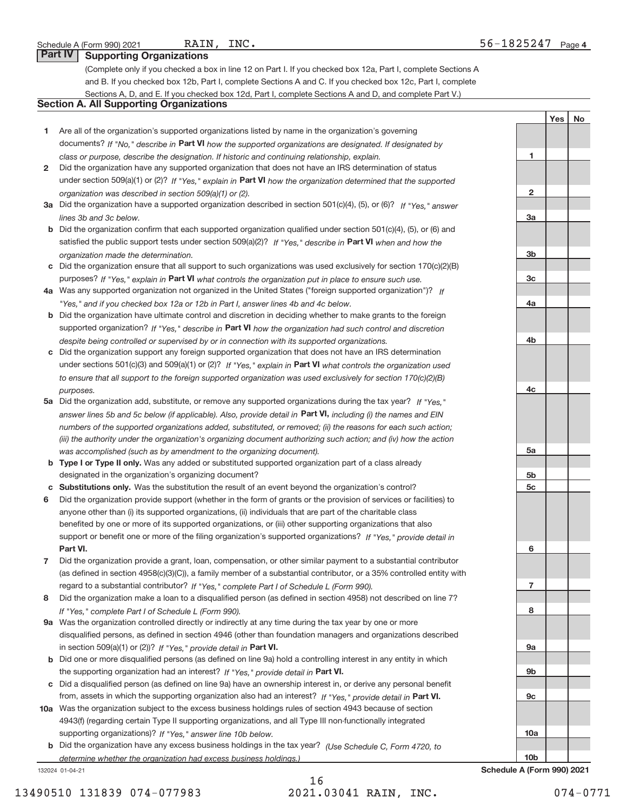**1**

**2**

**3a**

**3b**

**3c**

**4a**

**4b**

**4c**

**5a**

**5b 5c**

**6**

**7**

**8**

**9a**

**9b**

**9c**

**10a**

Yes | No

## **Part IV Supporting Organizations**

(Complete only if you checked a box in line 12 on Part I. If you checked box 12a, Part I, complete Sections A and B. If you checked box 12b, Part I, complete Sections A and C. If you checked box 12c, Part I, complete Sections A, D, and E. If you checked box 12d, Part I, complete Sections A and D, and complete Part V.)

## **Section A. All Supporting Organizations**

- **1** Are all of the organization's supported organizations listed by name in the organization's governing documents? If "No," describe in Part VI how the supported organizations are designated. If designated by *class or purpose, describe the designation. If historic and continuing relationship, explain.*
- **2** Did the organization have any supported organization that does not have an IRS determination of status under section 509(a)(1) or (2)? If "Yes," explain in Part VI how the organization determined that the supported *organization was described in section 509(a)(1) or (2).*
- **3a** Did the organization have a supported organization described in section 501(c)(4), (5), or (6)? If "Yes," answer *lines 3b and 3c below.*
- **b** Did the organization confirm that each supported organization qualified under section 501(c)(4), (5), or (6) and satisfied the public support tests under section 509(a)(2)? If "Yes," describe in Part VI when and how the *organization made the determination.*
- **c** Did the organization ensure that all support to such organizations was used exclusively for section 170(c)(2)(B) purposes? If "Yes," explain in Part VI what controls the organization put in place to ensure such use.
- **4 a** *If* Was any supported organization not organized in the United States ("foreign supported organization")? *"Yes," and if you checked box 12a or 12b in Part I, answer lines 4b and 4c below.*
- **b** Did the organization have ultimate control and discretion in deciding whether to make grants to the foreign supported organization? If "Yes," describe in Part VI how the organization had such control and discretion *despite being controlled or supervised by or in connection with its supported organizations.*
- **c** Did the organization support any foreign supported organization that does not have an IRS determination under sections 501(c)(3) and 509(a)(1) or (2)? If "Yes," explain in Part VI what controls the organization used *to ensure that all support to the foreign supported organization was used exclusively for section 170(c)(2)(B) purposes.*
- **5a** Did the organization add, substitute, or remove any supported organizations during the tax year? If "Yes," answer lines 5b and 5c below (if applicable). Also, provide detail in Part VI, including (i) the names and EIN *numbers of the supported organizations added, substituted, or removed; (ii) the reasons for each such action; (iii) the authority under the organization's organizing document authorizing such action; and (iv) how the action was accomplished (such as by amendment to the organizing document).*
- **b** Type I or Type II only. Was any added or substituted supported organization part of a class already designated in the organization's organizing document?
- **c Substitutions only.**  Was the substitution the result of an event beyond the organization's control?
- **6** Did the organization provide support (whether in the form of grants or the provision of services or facilities) to **Part VI.** *If "Yes," provide detail in* support or benefit one or more of the filing organization's supported organizations? anyone other than (i) its supported organizations, (ii) individuals that are part of the charitable class benefited by one or more of its supported organizations, or (iii) other supporting organizations that also
- **7** Did the organization provide a grant, loan, compensation, or other similar payment to a substantial contributor regard to a substantial contributor? If "Yes," complete Part I of Schedule L (Form 990). (as defined in section 4958(c)(3)(C)), a family member of a substantial contributor, or a 35% controlled entity with
- **8** Did the organization make a loan to a disqualified person (as defined in section 4958) not described on line 7? *If "Yes," complete Part I of Schedule L (Form 990).*
- **9 a** Was the organization controlled directly or indirectly at any time during the tax year by one or more in section 509(a)(1) or (2))? If "Yes," provide detail in Part VI. disqualified persons, as defined in section 4946 (other than foundation managers and organizations described
- **b** the supporting organization had an interest? If "Yes," provide detail in Part VI. Did one or more disqualified persons (as defined on line 9a) hold a controlling interest in any entity in which
- **c** Did a disqualified person (as defined on line 9a) have an ownership interest in, or derive any personal benefit from, assets in which the supporting organization also had an interest? If "Yes," provide detail in Part VI.
- **10 a** Was the organization subject to the excess business holdings rules of section 4943 because of section supporting organizations)? If "Yes," answer line 10b below. 4943(f) (regarding certain Type II supporting organizations, and all Type III non-functionally integrated
- **b** Did the organization have any excess business holdings in the tax year? (Use Schedule C, Form 4720, to *determine whether the organization had excess business holdings.)*

132024 01‐04‐21

# 16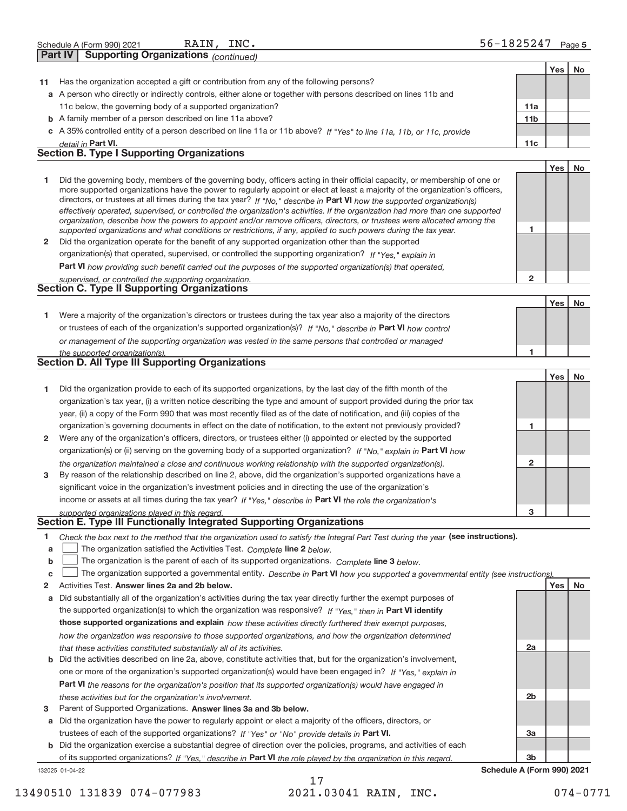| Schedule A (Form 990) 2021 | -----<br>RAIN                   | INC . | 82524<br>$-0C$ | Page 5 |
|----------------------------|---------------------------------|-------|----------------|--------|
| $\Gamma$                   | . Our realized Our release real |       |                |        |

|              | Part IV | <b>Supporting Organizations (continued)</b>                                                                                                                                                                                                                                                                                                                                                                                                                                                                                                                                                                                                          |                 |            |           |
|--------------|---------|------------------------------------------------------------------------------------------------------------------------------------------------------------------------------------------------------------------------------------------------------------------------------------------------------------------------------------------------------------------------------------------------------------------------------------------------------------------------------------------------------------------------------------------------------------------------------------------------------------------------------------------------------|-----------------|------------|-----------|
|              |         |                                                                                                                                                                                                                                                                                                                                                                                                                                                                                                                                                                                                                                                      |                 | Yes        | No        |
| 11           |         | Has the organization accepted a gift or contribution from any of the following persons?                                                                                                                                                                                                                                                                                                                                                                                                                                                                                                                                                              |                 |            |           |
|              |         | a A person who directly or indirectly controls, either alone or together with persons described on lines 11b and                                                                                                                                                                                                                                                                                                                                                                                                                                                                                                                                     |                 |            |           |
|              |         | 11c below, the governing body of a supported organization?                                                                                                                                                                                                                                                                                                                                                                                                                                                                                                                                                                                           | 11a             |            |           |
|              |         | <b>b</b> A family member of a person described on line 11a above?                                                                                                                                                                                                                                                                                                                                                                                                                                                                                                                                                                                    | 11 <sub>b</sub> |            |           |
|              |         | c A 35% controlled entity of a person described on line 11a or 11b above? If "Yes" to line 11a, 11b, or 11c, provide                                                                                                                                                                                                                                                                                                                                                                                                                                                                                                                                 |                 |            |           |
|              |         | detail in Part VI.                                                                                                                                                                                                                                                                                                                                                                                                                                                                                                                                                                                                                                   | 11c             |            |           |
|              |         | <b>Section B. Type I Supporting Organizations</b>                                                                                                                                                                                                                                                                                                                                                                                                                                                                                                                                                                                                    |                 |            |           |
|              |         |                                                                                                                                                                                                                                                                                                                                                                                                                                                                                                                                                                                                                                                      |                 | Yes        | <b>No</b> |
| 1            |         | Did the governing body, members of the governing body, officers acting in their official capacity, or membership of one or<br>more supported organizations have the power to regularly appoint or elect at least a majority of the organization's officers,<br>directors, or trustees at all times during the tax year? If "No," describe in Part VI how the supported organization(s)<br>effectively operated, supervised, or controlled the organization's activities. If the organization had more than one supported<br>organization, describe how the powers to appoint and/or remove officers, directors, or trustees were allocated among the |                 |            |           |
|              |         | supported organizations and what conditions or restrictions, if any, applied to such powers during the tax year.                                                                                                                                                                                                                                                                                                                                                                                                                                                                                                                                     | 1               |            |           |
| 2            |         | Did the organization operate for the benefit of any supported organization other than the supported                                                                                                                                                                                                                                                                                                                                                                                                                                                                                                                                                  |                 |            |           |
|              |         | organization(s) that operated, supervised, or controlled the supporting organization? If "Yes." explain in                                                                                                                                                                                                                                                                                                                                                                                                                                                                                                                                           |                 |            |           |
|              |         | Part VI how providing such benefit carried out the purposes of the supported organization(s) that operated,                                                                                                                                                                                                                                                                                                                                                                                                                                                                                                                                          | $\overline{2}$  |            |           |
|              |         | supervised, or controlled the supporting organization.<br><b>Section C. Type II Supporting Organizations</b>                                                                                                                                                                                                                                                                                                                                                                                                                                                                                                                                         |                 |            |           |
|              |         |                                                                                                                                                                                                                                                                                                                                                                                                                                                                                                                                                                                                                                                      |                 | Yes        | No        |
| 1            |         | Were a majority of the organization's directors or trustees during the tax year also a majority of the directors                                                                                                                                                                                                                                                                                                                                                                                                                                                                                                                                     |                 |            |           |
|              |         | or trustees of each of the organization's supported organization(s)? If "No," describe in Part VI how control                                                                                                                                                                                                                                                                                                                                                                                                                                                                                                                                        |                 |            |           |
|              |         | or management of the supporting organization was vested in the same persons that controlled or managed                                                                                                                                                                                                                                                                                                                                                                                                                                                                                                                                               |                 |            |           |
|              |         | the supported organization(s).                                                                                                                                                                                                                                                                                                                                                                                                                                                                                                                                                                                                                       | 1               |            |           |
|              |         | Section D. All Type III Supporting Organizations                                                                                                                                                                                                                                                                                                                                                                                                                                                                                                                                                                                                     |                 |            |           |
|              |         |                                                                                                                                                                                                                                                                                                                                                                                                                                                                                                                                                                                                                                                      |                 | <b>Yes</b> | <b>No</b> |
| 1            |         | Did the organization provide to each of its supported organizations, by the last day of the fifth month of the<br>organization's tax year, (i) a written notice describing the type and amount of support provided during the prior tax<br>year, (ii) a copy of the Form 990 that was most recently filed as of the date of notification, and (iii) copies of the                                                                                                                                                                                                                                                                                    |                 |            |           |
|              |         | organization's governing documents in effect on the date of notification, to the extent not previously provided?                                                                                                                                                                                                                                                                                                                                                                                                                                                                                                                                     | 1               |            |           |
| $\mathbf{2}$ |         | Were any of the organization's officers, directors, or trustees either (i) appointed or elected by the supported                                                                                                                                                                                                                                                                                                                                                                                                                                                                                                                                     |                 |            |           |
|              |         | organization(s) or (ii) serving on the governing body of a supported organization? If "No." explain in Part VI how                                                                                                                                                                                                                                                                                                                                                                                                                                                                                                                                   | $\mathbf{2}$    |            |           |
| 3            |         | the organization maintained a close and continuous working relationship with the supported organization(s).<br>By reason of the relationship described on line 2, above, did the organization's supported organizations have a                                                                                                                                                                                                                                                                                                                                                                                                                       |                 |            |           |
|              |         | significant voice in the organization's investment policies and in directing the use of the organization's                                                                                                                                                                                                                                                                                                                                                                                                                                                                                                                                           |                 |            |           |
|              |         |                                                                                                                                                                                                                                                                                                                                                                                                                                                                                                                                                                                                                                                      |                 |            |           |
|              |         | income or assets at all times during the tax year? If "Yes," describe in Part VI the role the organization's                                                                                                                                                                                                                                                                                                                                                                                                                                                                                                                                         | 3               |            |           |
|              |         | supported organizations played in this regard.<br>Section E. Type III Functionally Integrated Supporting Organizations                                                                                                                                                                                                                                                                                                                                                                                                                                                                                                                               |                 |            |           |
| 1            |         |                                                                                                                                                                                                                                                                                                                                                                                                                                                                                                                                                                                                                                                      |                 |            |           |
| a            |         | Check the box next to the method that the organization used to satisfy the Integral Part Test during the year (see instructions).<br>The organization satisfied the Activities Test. Complete line 2 below.                                                                                                                                                                                                                                                                                                                                                                                                                                          |                 |            |           |

**b**  $\Box$  The organization is the parent of each of its supported organizations. Complete line 3 below.

|  |  |  | The organization supported a governmental entity. Describe in Part VI how you supported a governmental entity (see instructions). |  |
|--|--|--|-----------------------------------------------------------------------------------------------------------------------------------|--|
|--|--|--|-----------------------------------------------------------------------------------------------------------------------------------|--|

- **2 Answer lines 2a and 2b below. Yes No** Activities Test.
- **a** Did substantially all of the organization's activities during the tax year directly further the exempt purposes of the supported organization(s) to which the organization was responsive? If "Yes," then in Part VI identify **those supported organizations and explain**  *how these activities directly furthered their exempt purposes, how the organization was responsive to those supported organizations, and how the organization determined that these activities constituted substantially all of its activities.*
- **b** Did the activities described on line 2a, above, constitute activities that, but for the organization's involvement, **Part VI**  *the reasons for the organization's position that its supported organization(s) would have engaged in* one or more of the organization's supported organization(s) would have been engaged in? If "Yes," explain in *these activities but for the organization's involvement.*
- 3 Parent of Supported Organizations. Answer lines 3a and 3b below.

**a** Did the organization have the power to regularly appoint or elect a majority of the officers, directors, or trustees of each of the supported organizations? If "Yes" or "No" provide details in Part VI.

**b** Did the organization exercise a substantial degree of direction over the policies, programs, and activities of each of its supported organizations? If "Yes," describe in Part VI the role played by the organization in this regard.

132025 01‐04‐22

13490510 131839 074‐077983 2021.03041 RAIN, INC. 074‐0771

17

**Schedule A (Form 990) 2021**

**2a**

**2b**

**3a**

**3b**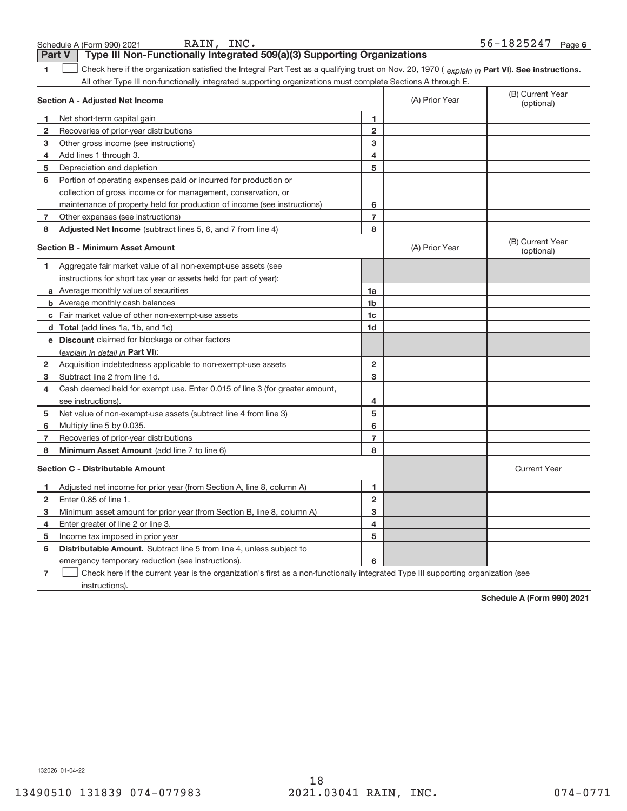| Type III Non-Functionally Integrated 509(a)(3) Supporting Organizations<br><b>Part V</b>                                                            |                         |                |                                |
|-----------------------------------------------------------------------------------------------------------------------------------------------------|-------------------------|----------------|--------------------------------|
| Check here if the organization satisfied the Integral Part Test as a qualifying trust on Nov. 20, 1970 (explain in Part VI). See instructions.      |                         |                |                                |
| All other Type III non-functionally integrated supporting organizations must complete Sections A through E.                                         |                         |                |                                |
| <b>Section A - Adjusted Net Income</b>                                                                                                              |                         | (A) Prior Year | (B) Current Year<br>(optional) |
| $\mathbf{1}$<br>Net short-term capital gain                                                                                                         | 1                       |                |                                |
| $\mathbf{2}$<br>Recoveries of prior-year distributions                                                                                              | $\mathbf{2}$            |                |                                |
| 3<br>Other gross income (see instructions)                                                                                                          | 3                       |                |                                |
| 4<br>Add lines 1 through 3.                                                                                                                         | $\overline{\mathbf{4}}$ |                |                                |
| 5<br>Depreciation and depletion                                                                                                                     | 5                       |                |                                |
| 6<br>Portion of operating expenses paid or incurred for production or                                                                               |                         |                |                                |
| collection of gross income or for management, conservation, or                                                                                      |                         |                |                                |
| maintenance of property held for production of income (see instructions)                                                                            | 6                       |                |                                |
| $\overline{7}$<br>Other expenses (see instructions)                                                                                                 | $\overline{7}$          |                |                                |
| 8<br><b>Adjusted Net Income</b> (subtract lines 5, 6, and 7 from line 4)                                                                            | 8                       |                |                                |
| <b>Section B - Minimum Asset Amount</b>                                                                                                             |                         | (A) Prior Year | (B) Current Year<br>(optional) |
| Aggregate fair market value of all non-exempt-use assets (see<br>1.                                                                                 |                         |                |                                |
| instructions for short tax year or assets held for part of year):                                                                                   |                         |                |                                |
| a Average monthly value of securities                                                                                                               | 1a                      |                |                                |
| <b>b</b> Average monthly cash balances                                                                                                              | 1b                      |                |                                |
| c Fair market value of other non-exempt-use assets                                                                                                  | 1c                      |                |                                |
| d Total (add lines 1a, 1b, and 1c)                                                                                                                  | 1 <sub>d</sub>          |                |                                |
| <b>e</b> Discount claimed for blockage or other factors                                                                                             |                         |                |                                |
| <u>(explain in detail in Part VI):</u>                                                                                                              |                         |                |                                |
| $\mathbf{2}$<br>Acquisition indebtedness applicable to non-exempt-use assets                                                                        | $\mathbf{2}$            |                |                                |
| Subtract line 2 from line 1d.<br>3                                                                                                                  | 3                       |                |                                |
| Cash deemed held for exempt use. Enter 0.015 of line 3 (for greater amount,<br>4                                                                    |                         |                |                                |
| see instructions)                                                                                                                                   | 4                       |                |                                |
| Net value of non-exempt-use assets (subtract line 4 from line 3)<br>5                                                                               | 5                       |                |                                |
| Multiply line 5 by 0.035.<br>6                                                                                                                      | 6                       |                |                                |
| Recoveries of prior-year distributions<br>$\overline{7}$                                                                                            | $\overline{7}$          |                |                                |
| 8<br>Minimum Asset Amount (add line 7 to line 6)                                                                                                    | 8                       |                |                                |
| <b>Section C - Distributable Amount</b>                                                                                                             |                         |                | <b>Current Year</b>            |
| Adjusted net income for prior year (from Section A, line 8, column A)<br>$\mathbf{1}$                                                               | 1                       |                |                                |
| 2<br>Enter 0.85 of line 1.                                                                                                                          | $\mathbf{2}$            |                |                                |
| 3<br>Minimum asset amount for prior year (from Section B, line 8, column A)                                                                         | 3                       |                |                                |
| 4<br>Enter greater of line 2 or line 3.                                                                                                             | 4                       |                |                                |
| 5<br>Income tax imposed in prior year                                                                                                               | 5                       |                |                                |
| 6<br><b>Distributable Amount.</b> Subtract line 5 from line 4, unless subject to                                                                    |                         |                |                                |
| emergency temporary reduction (see instructions).                                                                                                   | 6                       |                |                                |
| $\overline{7}$<br>Check here if the current year is the organization's first as a non-functionally integrated Type III supporting organization (see |                         |                |                                |

56-1825247 Page 6 Schedule A (Form 990) 2021 RAIN,【NC 。 5 b - l 8 2 5 2 4 7 Page RAIN, INC. 56–1825247

132026 01‐04‐22

instructions).

**Schedule A (Form 990) 2021**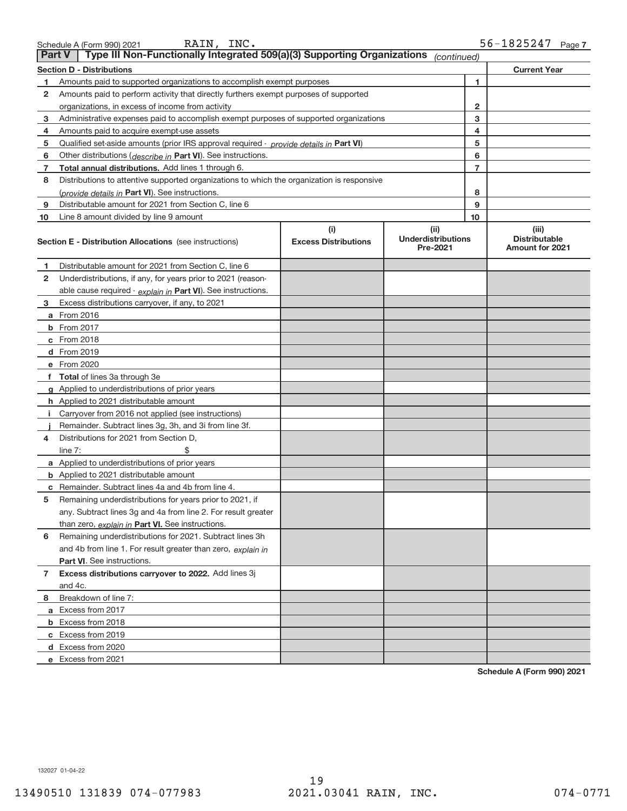| <b>a</b> Excess from 2017  |                       |                            |
|----------------------------|-----------------------|----------------------------|
| <b>b</b> Excess from 2018  |                       |                            |
| c Excess from 2019         |                       |                            |
| d Excess from 2020         |                       |                            |
| e Excess from 2021         |                       |                            |
|                            |                       | Schedule A (Form 990) 2021 |
|                            |                       |                            |
|                            |                       |                            |
|                            |                       |                            |
|                            |                       |                            |
|                            |                       |                            |
|                            |                       |                            |
|                            |                       |                            |
| 132027 01-04-22            |                       |                            |
|                            | 19                    |                            |
| 13490510 131839 074-077983 | 2021.03041 RAIN, INC. | $074 - 0771$               |
|                            |                       |                            |
|                            |                       |                            |
|                            |                       |                            |
|                            |                       |                            |

| $\mathbf{2}$ | Amounts paid to perform activity that directly furthers exempt purposes of supported       |                                    |                                               |    |                                                         |
|--------------|--------------------------------------------------------------------------------------------|------------------------------------|-----------------------------------------------|----|---------------------------------------------------------|
|              | organizations, in excess of income from activity                                           |                                    | $\overline{2}$                                |    |                                                         |
| 3            | Administrative expenses paid to accomplish exempt purposes of supported organizations      |                                    | 3                                             |    |                                                         |
| 4            | Amounts paid to acquire exempt-use assets                                                  |                                    | 4                                             |    |                                                         |
| 5            | Qualified set-aside amounts (prior IRS approval required - provide details in Part VI)     |                                    |                                               | 5  |                                                         |
| 6            | Other distributions ( <i>describe in</i> Part VI). See instructions.                       |                                    |                                               | 6  |                                                         |
| 7            | Total annual distributions. Add lines 1 through 6.                                         |                                    |                                               | 7  |                                                         |
| 8            | Distributions to attentive supported organizations to which the organization is responsive |                                    |                                               |    |                                                         |
|              | (provide details in Part VI). See instructions.                                            |                                    |                                               | 8  |                                                         |
| 9            | Distributable amount for 2021 from Section C, line 6                                       |                                    |                                               | 9  |                                                         |
| 10           | Line 8 amount divided by line 9 amount                                                     |                                    |                                               | 10 |                                                         |
|              | <b>Section E - Distribution Allocations</b> (see instructions)                             | (i)<br><b>Excess Distributions</b> | (ii)<br><b>Underdistributions</b><br>Pre-2021 |    | (iii)<br><b>Distributable</b><br><b>Amount for 2021</b> |
| 1.           | Distributable amount for 2021 from Section C, line 6                                       |                                    |                                               |    |                                                         |
| $\mathbf{2}$ | Underdistributions, if any, for years prior to 2021 (reason-                               |                                    |                                               |    |                                                         |
|              | able cause required - explain in Part VI). See instructions.                               |                                    |                                               |    |                                                         |
| 3            | Excess distributions carryover, if any, to 2021                                            |                                    |                                               |    |                                                         |
|              | a From 2016                                                                                |                                    |                                               |    |                                                         |
|              | <b>b</b> From 2017                                                                         |                                    |                                               |    |                                                         |
|              | c From 2018                                                                                |                                    |                                               |    |                                                         |
|              | d From 2019                                                                                |                                    |                                               |    |                                                         |
|              | e From 2020                                                                                |                                    |                                               |    |                                                         |
|              | f Total of lines 3a through 3e                                                             |                                    |                                               |    |                                                         |
|              | g Applied to underdistributions of prior years                                             |                                    |                                               |    |                                                         |
|              | h Applied to 2021 distributable amount                                                     |                                    |                                               |    |                                                         |
|              | i Carryover from 2016 not applied (see instructions)                                       |                                    |                                               |    |                                                         |
|              | Remainder. Subtract lines 3g, 3h, and 3i from line 3f.                                     |                                    |                                               |    |                                                         |
| 4            | Distributions for 2021 from Section D,                                                     |                                    |                                               |    |                                                         |
|              | \$<br>line $7:$                                                                            |                                    |                                               |    |                                                         |
|              | a Applied to underdistributions of prior years                                             |                                    |                                               |    |                                                         |
|              | <b>b</b> Applied to 2021 distributable amount                                              |                                    |                                               |    |                                                         |
|              | c Remainder. Subtract lines 4a and 4b from line 4.                                         |                                    |                                               |    |                                                         |
| 5            | Remaining underdistributions for years prior to 2021, if                                   |                                    |                                               |    |                                                         |
|              | any. Subtract lines 3q and 4a from line 2. For result greater                              |                                    |                                               |    |                                                         |
|              | than zero, explain in Part VI. See instructions.                                           |                                    |                                               |    |                                                         |
| 6            | Remaining underdistributions for 2021. Subtract lines 3h                                   |                                    |                                               |    |                                                         |
|              | and 4b from line 1. For result greater than zero, explain in                               |                                    |                                               |    |                                                         |
|              | Part VI. See instructions.                                                                 |                                    |                                               |    |                                                         |
| 7            | Excess distributions carryover to 2022. Add lines 3j                                       |                                    |                                               |    |                                                         |
|              | and 4c.                                                                                    |                                    |                                               |    |                                                         |
|              | 8 Breakdown of line 7:                                                                     |                                    |                                               |    |                                                         |
|              | a Excess from 2017                                                                         |                                    |                                               |    |                                                         |
|              | <b>b</b> Excess from 2018                                                                  |                                    |                                               |    |                                                         |
|              | c Excess from 2019                                                                         |                                    |                                               |    |                                                         |
|              | d Excess from 2020                                                                         |                                    |                                               |    |                                                         |
|              | e Excess from 2021                                                                         |                                    |                                               |    |                                                         |
|              |                                                                                            |                                    |                                               |    | Schedule A (Form 990) 2021                              |

**Section D - Distributions Current Year** 

**1** Amounts paid to supported organizations to accomplish exempt purposes

**1**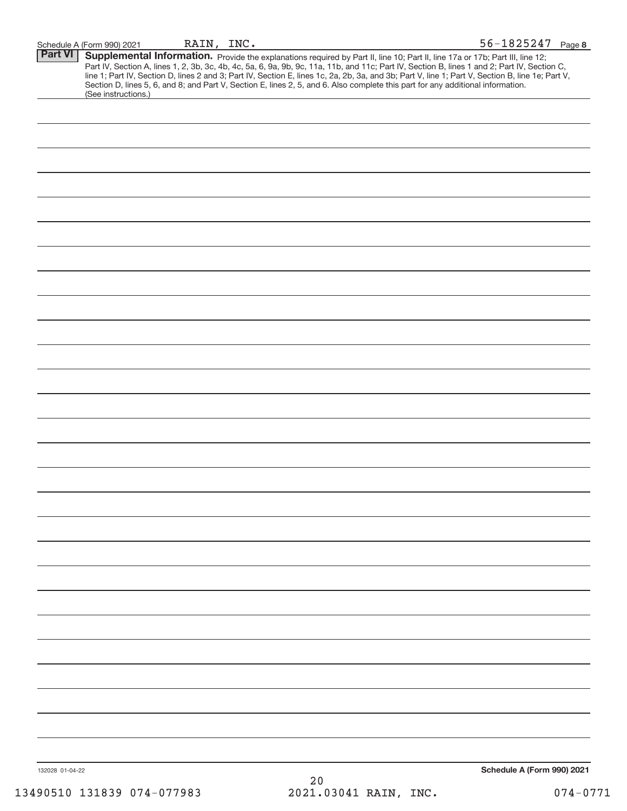|                 | 13490510 131839 074-077983 | 20<br>2021.03041 RAIN, INC. |  |                            | $074 - 0771$ |
|-----------------|----------------------------|-----------------------------|--|----------------------------|--------------|
| 132028 01-04-22 |                            |                             |  | Schedule A (Form 990) 2021 |              |
|                 |                            |                             |  |                            |              |
|                 |                            |                             |  |                            |              |
|                 |                            |                             |  |                            |              |
|                 |                            |                             |  |                            |              |
|                 |                            |                             |  |                            |              |
|                 |                            |                             |  |                            |              |
|                 |                            |                             |  |                            |              |
|                 |                            |                             |  |                            |              |
|                 |                            |                             |  |                            |              |
|                 |                            |                             |  |                            |              |
|                 |                            |                             |  |                            |              |
|                 |                            |                             |  |                            |              |
|                 |                            |                             |  |                            |              |
|                 |                            |                             |  |                            |              |
|                 |                            |                             |  |                            |              |
|                 |                            |                             |  |                            |              |
|                 |                            |                             |  |                            |              |
|                 |                            |                             |  |                            |              |
|                 |                            |                             |  |                            |              |
|                 |                            |                             |  |                            |              |
|                 |                            |                             |  |                            |              |
|                 |                            |                             |  |                            |              |
|                 |                            |                             |  |                            |              |
|                 |                            |                             |  |                            |              |
|                 |                            |                             |  |                            |              |
|                 |                            |                             |  |                            |              |
|                 |                            |                             |  |                            |              |
|                 |                            |                             |  |                            |              |
|                 |                            |                             |  |                            |              |
|                 | (See instructions.)        |                             |  |                            |              |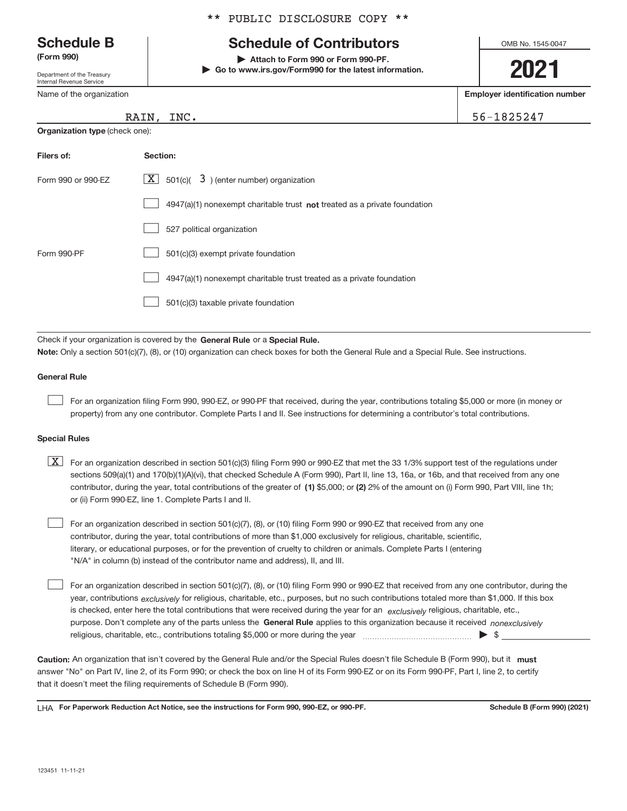Department of the Treasury Internal Revenue Service

Name of the organization

**Organization type** (check one):

\*\* PUBLIC DISCLOSURE COPY \*\*

## **Schedule B Schedule of Contributors**

**(Form 990) | Attach to Form 990 or Form 990‐PF. | Go to www.irs.gov/Form990 for the latest information.** OMB No. 1545-0047

**2021**

**Employer identification number**

| 56-1825247 |
|------------|
|------------|

| Filers of:         | Section:                                                                  |
|--------------------|---------------------------------------------------------------------------|
| Form 990 or 990-EZ | $ \mathbf{X} $ 501(c)( 3) (enter number) organization                     |
|                    | 4947(a)(1) nonexempt charitable trust not treated as a private foundation |
|                    | 527 political organization                                                |
| Form 990-PF        | 501(c)(3) exempt private foundation                                       |
|                    | 4947(a)(1) nonexempt charitable trust treated as a private foundation     |
|                    | 501(c)(3) taxable private foundation                                      |
|                    |                                                                           |

Check if your organization is covered by the General Rule or a Special Rule. **Note:**  Only a section 501(c)(7), (8), or (10) organization can check boxes for both the General Rule and a Special Rule. See instructions.

### **General Rule**

 $\begin{array}{c} \hline \end{array}$ 

For an organization filing Form 990, 990‐EZ, or 990‐PF that received, during the year, contributions totaling \$5,000 or more (in money or property) from any one contributor. Complete Parts I and II. See instructions for determining a contributor's total contributions.

### **Special Rules**

contributor, during the year, total contributions of the greater of (1) \$5,000; or (2) 2% of the amount on (i) Form 990, Part VIII, line 1h;  $\boxed{\text{X}}$  For an organization described in section 501(c)(3) filing Form 990 or 990-EZ that met the 33 1/3% support test of the regulations under sections 509(a)(1) and 170(b)(1)(A)(vi), that checked Schedule A (Form 990), Part II, line 13, 16a, or 16b, and that received from any one or (ii) Form 990‐EZ, line 1. Complete Parts I and II.

For an organization described in section 501(c)(7), (8), or (10) filing Form 990 or 990‐EZ that received from any one contributor, during the year, total contributions of more than \$1,000 exclusively for religious, charitable, scientific, literary, or educational purposes, or for the prevention of cruelty to children or animals. Complete Parts I (entering "N/A" in column (b) instead of the contributor name and address), II, and III.  $\begin{array}{c} \hline \end{array}$ 

purpose. Don't complete any of the parts unless the General Rule applies to this organization because it received nonexclusively year, contributions <sub>exclusively</sub> for religious, charitable, etc., purposes, but no such contributions totaled more than \$1,000. If this box is checked, enter here the total contributions that were received during the year for an *exclusively* religious, charitable, etc., For an organization described in section 501(c)(7), (8), or (10) filing Form 990 or 990‐EZ that received from any one contributor, during the religious, charitable, etc., contributions totaling \$5,000 or more during the year  $\Box$ — $\Box$   $\Box$  $\begin{array}{c} \hline \end{array}$ 

Caution: An organization that isn't covered by the General Rule and/or the Special Rules doesn't file Schedule B (Form 990), but it must answer "No" on Part IV, line 2, of its Form 990; or check the box on line H of its Form 990‐EZ or on its Form 990‐PF, Part I, line 2, to certify that it doesn't meet the filing requirements of Schedule B (Form 990).

LHA For Paperwork Reduction Act Notice, see the instructions for Form 990, 990-<mark>EZ</mark>, or 990-PF. She show that the State of Equal the State of 2021) (2021)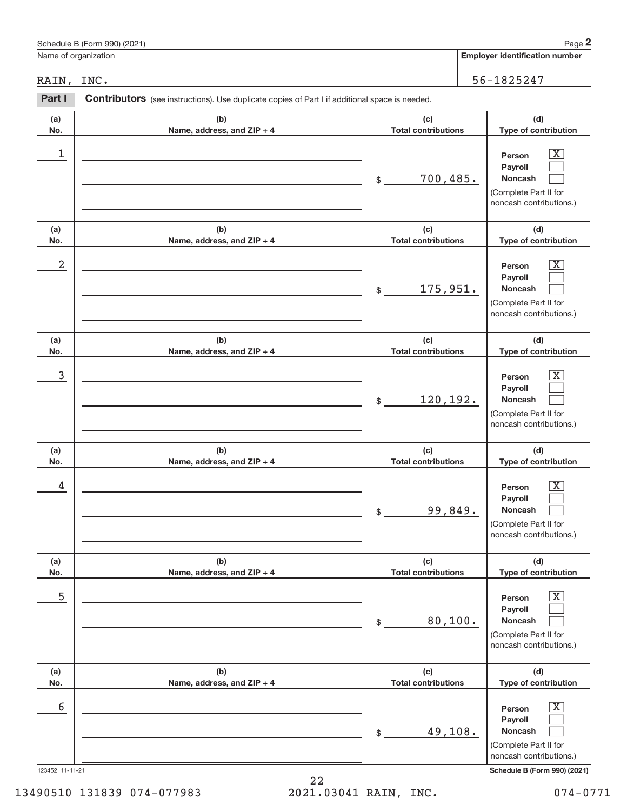|            | $O(1)$ and $O(1)$ and $O(1)$ $O(1)$<br>Name of organization                                           |                                   | ı ay <del>c</del> —<br><b>Employer identification number</b>                                                     |
|------------|-------------------------------------------------------------------------------------------------------|-----------------------------------|------------------------------------------------------------------------------------------------------------------|
| RAIN,      | INC.                                                                                                  |                                   | 56-1825247                                                                                                       |
| Part I     | <b>Contributors</b> (see instructions). Use duplicate copies of Part I if additional space is needed. |                                   |                                                                                                                  |
| (a)<br>No. | (b)<br>Name, address, and ZIP + 4                                                                     | (c)<br><b>Total contributions</b> | (d)<br>Type of contribution                                                                                      |
| 1          |                                                                                                       | 700,485.<br>\$                    | $\overline{\text{X}}$<br>Person<br>Payroll<br><b>Noncash</b><br>(Complete Part II for<br>noncash contributions.) |
| (a)<br>No. | (b)<br>Name, address, and ZIP + 4                                                                     | (c)<br><b>Total contributions</b> | (d)<br>Type of contribution                                                                                      |
| 2          |                                                                                                       | 175,951.<br>$$\mathbb{S}$$        | $\overline{\text{X}}$<br>Person<br>Payroll<br><b>Noncash</b><br>(Complete Part II for<br>noncash contributions.) |
| (a)<br>No. | (b)<br>Name, address, and ZIP + 4                                                                     | (c)<br><b>Total contributions</b> | (d)<br>Type of contribution                                                                                      |
| 3          |                                                                                                       | 120,192.<br>$$\mathbb{S}$$        | $\overline{\text{X}}$<br>Person<br>Payroll<br><b>Noncash</b><br>(Complete Part II for<br>noncash contributions.) |
| (a)<br>No. | (b)<br>Name, address, and ZIP + 4                                                                     | (c)<br><b>Total contributions</b> | (d)<br>Type of contribution                                                                                      |
| 4          |                                                                                                       | 99,849.<br>\$                     | $\overline{\text{X}}$<br>Person<br>Payroll<br>Noncash<br>(Complete Part II for<br>noncash contributions.)        |
| (a)<br>No. | (b)<br>Name, address, and ZIP + 4                                                                     | (c)<br><b>Total contributions</b> | (d)<br>Type of contribution                                                                                      |
| 5          |                                                                                                       | 80,100.<br>\$                     | $\overline{\text{X}}$<br>Person<br>Payroll<br><b>Noncash</b><br>(Complete Part II for<br>noncash contributions.) |
| (a)<br>No. | (b)<br>Name, address, and ZIP + 4                                                                     | (c)<br><b>Total contributions</b> | (d)<br>Type of contribution                                                                                      |
| 6          |                                                                                                       | 49,108.<br>\$                     | $\overline{\text{X}}$<br>Person<br>Payroll<br>Noncash<br>(Complete Part II for<br>noncash contributions.)        |

123452 11‐11‐21 **Schedule B (Form 990) (2021)**

**2**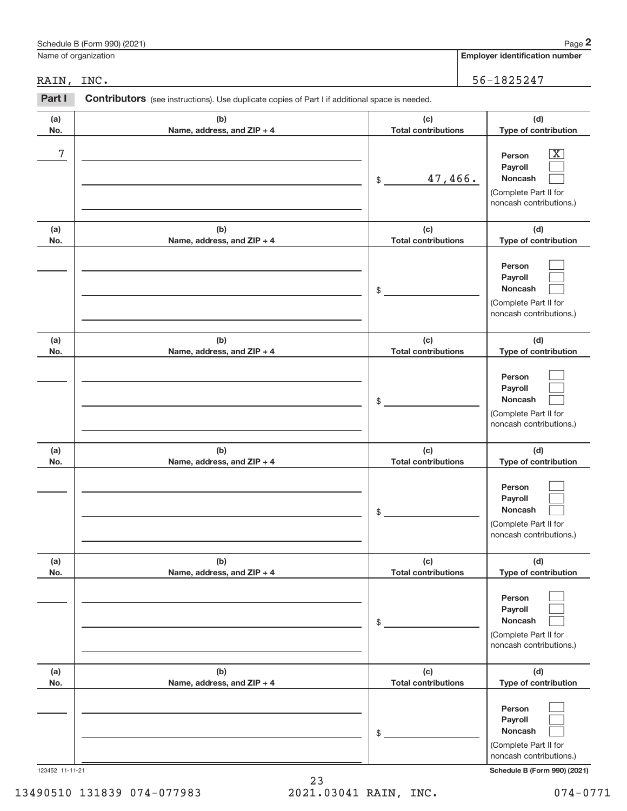|            | Schedule B (Form 990) (2021)                                                                          |                                   | Page 2                                                                                |
|------------|-------------------------------------------------------------------------------------------------------|-----------------------------------|---------------------------------------------------------------------------------------|
|            | Name of organization                                                                                  |                                   | <b>Employer identification number</b>                                                 |
| RAIN, INC. |                                                                                                       |                                   | 56-1825247                                                                            |
| Part I     | <b>Contributors</b> (see instructions). Use duplicate copies of Part I if additional space is needed. |                                   |                                                                                       |
| (a)<br>No. | (b)<br>Name, address, and ZIP + 4                                                                     | (c)<br><b>Total contributions</b> | (d)<br>Type of contribution                                                           |
| 7          |                                                                                                       | 47,466.<br>$$\mathbb{S}$$         | х<br>Person<br>Payroll<br>Noncash<br>(Complete Part II for<br>noncash contributions.) |
| (a)<br>No. | (b)<br>Name, address, and ZIP + 4                                                                     | (c)<br><b>Total contributions</b> | (d)<br>Type of contribution                                                           |
|            |                                                                                                       | \$                                | Person<br>Payroll<br>Noncash<br>(Complete Part II for<br>noncash contributions.)      |
| (a)<br>No. | (b)<br>Name, address, and ZIP + 4                                                                     | (c)<br><b>Total contributions</b> | (d)<br>Type of contribution                                                           |
|            |                                                                                                       | \$                                | Person<br>Payroll<br>Noncash<br>(Complete Part II for<br>noncash contributions.)      |
| (a)<br>No. | (b)<br>Name, address, and ZIP + 4                                                                     | (c)<br><b>Total contributions</b> | (d)<br>Type of contribution                                                           |
|            |                                                                                                       | \$                                | Person<br>Payroll<br>Noncash<br>(Complete Part II for<br>noncash contributions.)      |
| (a)<br>No. | (b)<br>Name, address, and ZIP + 4                                                                     | (c)<br><b>Total contributions</b> | (d)<br>Type of contribution                                                           |
|            |                                                                                                       | \$                                | Person<br>Payroll<br>Noncash<br>(Complete Part II for<br>noncash contributions.)      |
| (a)<br>No. | (b)<br>Name, address, and ZIP + 4                                                                     | (c)<br><b>Total contributions</b> | (d)<br>Type of contribution                                                           |
|            |                                                                                                       | \$                                | Person<br>Payroll<br>Noncash<br>(Complete Part II for<br>noncash contributions.)      |

123452 11‐11‐21 **Schedule B (Form 990) (2021)**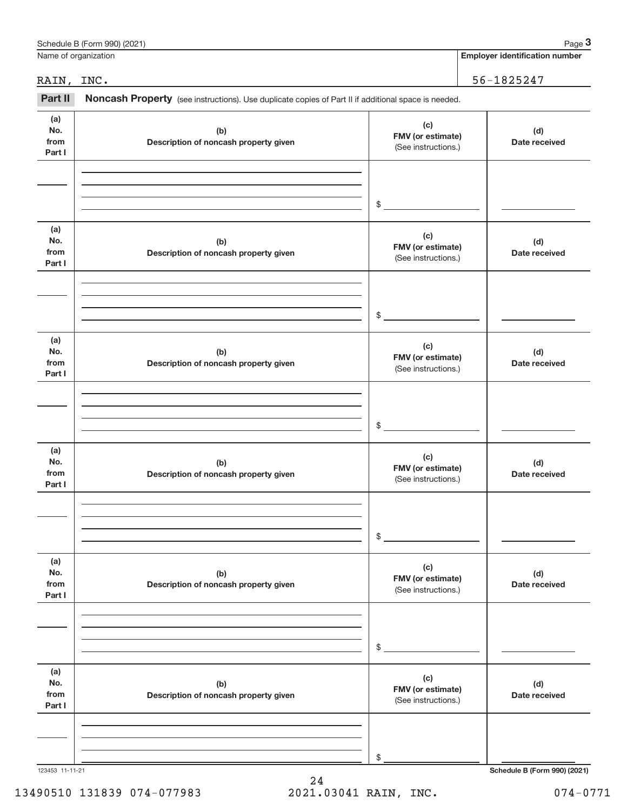|                              | Schedule B (Form 990) (2021)<br>Name of organization                                                |                                                 | Page 3<br><b>Employer identification number</b> |
|------------------------------|-----------------------------------------------------------------------------------------------------|-------------------------------------------------|-------------------------------------------------|
|                              |                                                                                                     |                                                 |                                                 |
| RAIN, INC.                   |                                                                                                     |                                                 | 56-1825247                                      |
| Part II                      | Noncash Property (see instructions). Use duplicate copies of Part II if additional space is needed. |                                                 |                                                 |
| (a)<br>No.<br>from<br>Part I | (b)<br>Description of noncash property given                                                        | (c)<br>FMV (or estimate)<br>(See instructions.) | (d)<br>Date received                            |
|                              |                                                                                                     | \$                                              |                                                 |
| (a)<br>No.<br>from<br>Part I | (b)<br>Description of noncash property given                                                        | (c)<br>FMV (or estimate)<br>(See instructions.) | (d)<br>Date received                            |
|                              |                                                                                                     | \$                                              |                                                 |
| (a)<br>No.<br>from<br>Part I | (b)<br>Description of noncash property given                                                        | (c)<br>FMV (or estimate)<br>(See instructions.) | (d)<br>Date received                            |
|                              |                                                                                                     | \$                                              |                                                 |
| (a)<br>No.<br>from<br>Part I | (b)<br>Description of noncash property given                                                        | (c)<br>FMV (or estimate)<br>(See instructions.) | (d)<br>Date received                            |
|                              |                                                                                                     | \$                                              |                                                 |
| (a)<br>No.<br>from<br>Part I | (b)<br>Description of noncash property given                                                        | (c)<br>FMV (or estimate)<br>(See instructions.) | (d)<br>Date received                            |
|                              |                                                                                                     | \$                                              |                                                 |
| (a)<br>No.<br>from<br>Part I | (b)<br>Description of noncash property given                                                        | (c)<br>FMV (or estimate)<br>(See instructions.) | (d)<br>Date received                            |
|                              |                                                                                                     | \$                                              |                                                 |

123453 11‐11‐21 **Schedule B (Form 990) (2021)**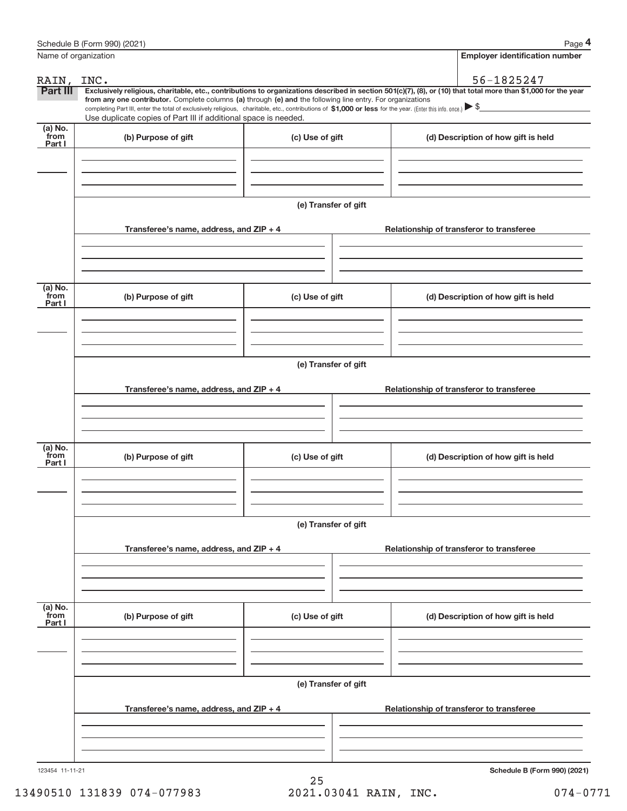|                 | Name of organization                                                                                       |                      | <b>Employer identification number</b>                                                                                                                          |  |  |  |  |  |
|-----------------|------------------------------------------------------------------------------------------------------------|----------------------|----------------------------------------------------------------------------------------------------------------------------------------------------------------|--|--|--|--|--|
| RAIN,           | INC.                                                                                                       |                      | 56-1825247                                                                                                                                                     |  |  |  |  |  |
| <b>Part III</b> | from any one contributor. Complete columns (a) through (e) and the following line entry. For organizations |                      | Exclusively religious, charitable, etc., contributions to organizations described in section 501(c)(7), (8), or (10) that total more than \$1,000 for the year |  |  |  |  |  |
|                 |                                                                                                            |                      | completing Part III, enter the total of exclusively religious, charitable, etc., contributions of $$1,000$ or less for the year. (Enter this info. once.) $$9$ |  |  |  |  |  |
| (a) No.         | Use duplicate copies of Part III if additional space is needed.                                            |                      |                                                                                                                                                                |  |  |  |  |  |
| from<br>Part I  | (b) Purpose of gift                                                                                        | (c) Use of gift      | (d) Description of how gift is held                                                                                                                            |  |  |  |  |  |
|                 |                                                                                                            |                      |                                                                                                                                                                |  |  |  |  |  |
|                 |                                                                                                            |                      |                                                                                                                                                                |  |  |  |  |  |
|                 |                                                                                                            | (e) Transfer of gift |                                                                                                                                                                |  |  |  |  |  |
|                 |                                                                                                            |                      |                                                                                                                                                                |  |  |  |  |  |
|                 | Transferee's name, address, and ZIP + 4                                                                    |                      | Relationship of transferor to transferee                                                                                                                       |  |  |  |  |  |
|                 |                                                                                                            |                      |                                                                                                                                                                |  |  |  |  |  |
|                 |                                                                                                            |                      |                                                                                                                                                                |  |  |  |  |  |
| (a) No.         |                                                                                                            |                      |                                                                                                                                                                |  |  |  |  |  |
| from<br>Part I  | (b) Purpose of gift                                                                                        | (c) Use of gift      | (d) Description of how gift is held                                                                                                                            |  |  |  |  |  |
|                 |                                                                                                            |                      |                                                                                                                                                                |  |  |  |  |  |
|                 |                                                                                                            |                      |                                                                                                                                                                |  |  |  |  |  |
|                 |                                                                                                            |                      |                                                                                                                                                                |  |  |  |  |  |
|                 |                                                                                                            | (e) Transfer of gift |                                                                                                                                                                |  |  |  |  |  |
|                 | Transferee's name, address, and ZIP + 4                                                                    |                      | Relationship of transferor to transferee                                                                                                                       |  |  |  |  |  |
|                 |                                                                                                            |                      |                                                                                                                                                                |  |  |  |  |  |
|                 |                                                                                                            |                      |                                                                                                                                                                |  |  |  |  |  |
|                 |                                                                                                            |                      |                                                                                                                                                                |  |  |  |  |  |
| (a) No.<br>from | (b) Purpose of gift                                                                                        | (c) Use of gift      | (d) Description of how gift is held                                                                                                                            |  |  |  |  |  |
| Part I          |                                                                                                            |                      |                                                                                                                                                                |  |  |  |  |  |
|                 |                                                                                                            |                      |                                                                                                                                                                |  |  |  |  |  |
|                 |                                                                                                            |                      |                                                                                                                                                                |  |  |  |  |  |
|                 | (e) Transfer of gift                                                                                       |                      |                                                                                                                                                                |  |  |  |  |  |
|                 | Transferee's name, address, and ZIP + 4                                                                    |                      |                                                                                                                                                                |  |  |  |  |  |
|                 |                                                                                                            |                      | Relationship of transferor to transferee                                                                                                                       |  |  |  |  |  |
|                 |                                                                                                            |                      |                                                                                                                                                                |  |  |  |  |  |
|                 |                                                                                                            |                      |                                                                                                                                                                |  |  |  |  |  |
| (a) No.<br>from | (b) Purpose of gift                                                                                        | (c) Use of gift      |                                                                                                                                                                |  |  |  |  |  |
| Part I          |                                                                                                            |                      | (d) Description of how gift is held                                                                                                                            |  |  |  |  |  |
|                 |                                                                                                            |                      |                                                                                                                                                                |  |  |  |  |  |
|                 |                                                                                                            |                      |                                                                                                                                                                |  |  |  |  |  |
|                 |                                                                                                            |                      |                                                                                                                                                                |  |  |  |  |  |
|                 |                                                                                                            | (e) Transfer of gift |                                                                                                                                                                |  |  |  |  |  |
|                 | Transferee's name, address, and ZIP + 4                                                                    |                      | Relationship of transferor to transferee                                                                                                                       |  |  |  |  |  |
|                 |                                                                                                            |                      |                                                                                                                                                                |  |  |  |  |  |
|                 |                                                                                                            |                      |                                                                                                                                                                |  |  |  |  |  |
|                 |                                                                                                            |                      |                                                                                                                                                                |  |  |  |  |  |
| 123454 11-11-21 |                                                                                                            |                      | Schedule B (Form 990) (2021)                                                                                                                                   |  |  |  |  |  |

25<br>2021.03041 RAIN, INC. 13490510 131839 074‐077983 2021.03041 RAIN, INC. 074‐0771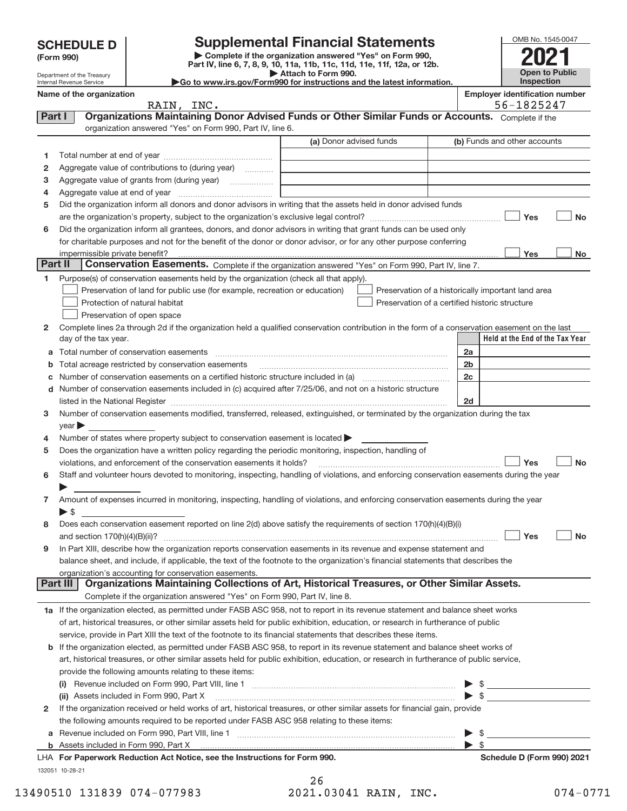|         |                                                                                                                                                         |                               |                                                                                                                                                                                                                                                    |                         |                                                    |  |                |                                                                                                                                                                                                                                                                                                                                                                                                                                 | OMB No. 1545-0047 |
|---------|---------------------------------------------------------------------------------------------------------------------------------------------------------|-------------------------------|----------------------------------------------------------------------------------------------------------------------------------------------------------------------------------------------------------------------------------------------------|-------------------------|----------------------------------------------------|--|----------------|---------------------------------------------------------------------------------------------------------------------------------------------------------------------------------------------------------------------------------------------------------------------------------------------------------------------------------------------------------------------------------------------------------------------------------|-------------------|
|         | <b>SCHEDULE D</b>                                                                                                                                       |                               | <b>Supplemental Financial Statements</b><br>Complete if the organization answered "Yes" on Form 990,                                                                                                                                               |                         |                                                    |  |                |                                                                                                                                                                                                                                                                                                                                                                                                                                 |                   |
|         | (Form 990)                                                                                                                                              |                               | Part IV, line 6, 7, 8, 9, 10, 11a, 11b, 11c, 11d, 11e, 11f, 12a, or 12b.                                                                                                                                                                           |                         |                                                    |  |                |                                                                                                                                                                                                                                                                                                                                                                                                                                 |                   |
|         | Attach to Form 990.<br>Department of the Treasury<br>Go to www.irs.gov/Form990 for instructions and the latest information.<br>Internal Revenue Service |                               |                                                                                                                                                                                                                                                    |                         |                                                    |  |                | <b>Inspection</b>                                                                                                                                                                                                                                                                                                                                                                                                               | Open to Public    |
|         | Name of the organization                                                                                                                                | RAIN, INC.                    |                                                                                                                                                                                                                                                    |                         |                                                    |  |                | <b>Employer identification number</b><br>56-1825247                                                                                                                                                                                                                                                                                                                                                                             |                   |
| Part I  |                                                                                                                                                         |                               | Organizations Maintaining Donor Advised Funds or Other Similar Funds or Accounts. Complete if the                                                                                                                                                  |                         |                                                    |  |                |                                                                                                                                                                                                                                                                                                                                                                                                                                 |                   |
|         |                                                                                                                                                         |                               | organization answered "Yes" on Form 990, Part IV, line 6.                                                                                                                                                                                          |                         |                                                    |  |                |                                                                                                                                                                                                                                                                                                                                                                                                                                 |                   |
|         |                                                                                                                                                         |                               |                                                                                                                                                                                                                                                    | (a) Donor advised funds |                                                    |  |                | (b) Funds and other accounts                                                                                                                                                                                                                                                                                                                                                                                                    |                   |
| 1       |                                                                                                                                                         |                               |                                                                                                                                                                                                                                                    |                         |                                                    |  |                |                                                                                                                                                                                                                                                                                                                                                                                                                                 |                   |
| 2       |                                                                                                                                                         |                               | Aggregate value of contributions to (during year)                                                                                                                                                                                                  |                         |                                                    |  |                |                                                                                                                                                                                                                                                                                                                                                                                                                                 |                   |
| з       |                                                                                                                                                         |                               |                                                                                                                                                                                                                                                    |                         |                                                    |  |                |                                                                                                                                                                                                                                                                                                                                                                                                                                 |                   |
| 4       |                                                                                                                                                         |                               |                                                                                                                                                                                                                                                    |                         |                                                    |  |                |                                                                                                                                                                                                                                                                                                                                                                                                                                 |                   |
| 5       |                                                                                                                                                         |                               | Did the organization inform all donors and donor advisors in writing that the assets held in donor advised funds                                                                                                                                   |                         |                                                    |  |                |                                                                                                                                                                                                                                                                                                                                                                                                                                 |                   |
|         |                                                                                                                                                         |                               |                                                                                                                                                                                                                                                    |                         |                                                    |  |                | Yes                                                                                                                                                                                                                                                                                                                                                                                                                             | No                |
| 6       |                                                                                                                                                         |                               | Did the organization inform all grantees, donors, and donor advisors in writing that grant funds can be used only                                                                                                                                  |                         |                                                    |  |                |                                                                                                                                                                                                                                                                                                                                                                                                                                 |                   |
|         |                                                                                                                                                         |                               | for charitable purposes and not for the benefit of the donor or donor advisor, or for any other purpose conferring                                                                                                                                 |                         |                                                    |  |                |                                                                                                                                                                                                                                                                                                                                                                                                                                 |                   |
|         |                                                                                                                                                         |                               |                                                                                                                                                                                                                                                    |                         |                                                    |  |                | <b>Yes</b>                                                                                                                                                                                                                                                                                                                                                                                                                      | No                |
| Part II |                                                                                                                                                         |                               | Conservation Easements. Complete if the organization answered "Yes" on Form 990, Part IV, line 7.                                                                                                                                                  |                         |                                                    |  |                |                                                                                                                                                                                                                                                                                                                                                                                                                                 |                   |
| 1       |                                                                                                                                                         |                               | Purpose(s) of conservation easements held by the organization (check all that apply).                                                                                                                                                              |                         |                                                    |  |                |                                                                                                                                                                                                                                                                                                                                                                                                                                 |                   |
|         |                                                                                                                                                         |                               | Preservation of land for public use (for example, recreation or education)                                                                                                                                                                         |                         | Preservation of a historically important land area |  |                |                                                                                                                                                                                                                                                                                                                                                                                                                                 |                   |
|         |                                                                                                                                                         | Protection of natural habitat |                                                                                                                                                                                                                                                    |                         | Preservation of a certified historic structure     |  |                |                                                                                                                                                                                                                                                                                                                                                                                                                                 |                   |
|         |                                                                                                                                                         | Preservation of open space    |                                                                                                                                                                                                                                                    |                         |                                                    |  |                |                                                                                                                                                                                                                                                                                                                                                                                                                                 |                   |
| 2       |                                                                                                                                                         |                               | Complete lines 2a through 2d if the organization held a qualified conservation contribution in the form of a conservation easement on the last                                                                                                     |                         |                                                    |  |                | Held at the End of the Tax Year                                                                                                                                                                                                                                                                                                                                                                                                 |                   |
|         | day of the tax year.                                                                                                                                    |                               |                                                                                                                                                                                                                                                    |                         |                                                    |  |                |                                                                                                                                                                                                                                                                                                                                                                                                                                 |                   |
| а       |                                                                                                                                                         |                               |                                                                                                                                                                                                                                                    |                         |                                                    |  | 2a             |                                                                                                                                                                                                                                                                                                                                                                                                                                 |                   |
| b       | Total acreage restricted by conservation easements                                                                                                      |                               |                                                                                                                                                                                                                                                    |                         |                                                    |  | 2 <sub>b</sub> |                                                                                                                                                                                                                                                                                                                                                                                                                                 |                   |
| С       |                                                                                                                                                         |                               |                                                                                                                                                                                                                                                    |                         |                                                    |  | 2c             |                                                                                                                                                                                                                                                                                                                                                                                                                                 |                   |
| d       |                                                                                                                                                         |                               | Number of conservation easements included in (c) acquired after 7/25/06, and not on a historic structure                                                                                                                                           |                         |                                                    |  | 2d             |                                                                                                                                                                                                                                                                                                                                                                                                                                 |                   |
| 3       |                                                                                                                                                         |                               | listed in the National Register [111] is a substitution of the National Register [11] is a substitution of the<br>Number of conservation easements modified, transferred, released, extinguished, or terminated by the organization during the tax |                         |                                                    |  |                |                                                                                                                                                                                                                                                                                                                                                                                                                                 |                   |
|         | $\vee$ ear                                                                                                                                              |                               |                                                                                                                                                                                                                                                    |                         |                                                    |  |                |                                                                                                                                                                                                                                                                                                                                                                                                                                 |                   |
| 4       |                                                                                                                                                         |                               | Number of states where property subject to conservation easement is located $\blacktriangleright$                                                                                                                                                  |                         |                                                    |  |                |                                                                                                                                                                                                                                                                                                                                                                                                                                 |                   |
| 5       |                                                                                                                                                         |                               | Does the organization have a written policy regarding the periodic monitoring, inspection, handling of                                                                                                                                             |                         |                                                    |  |                |                                                                                                                                                                                                                                                                                                                                                                                                                                 |                   |
|         |                                                                                                                                                         |                               | violations, and enforcement of the conservation easements it holds?                                                                                                                                                                                |                         |                                                    |  |                | Yes                                                                                                                                                                                                                                                                                                                                                                                                                             | <b>No</b>         |
| 6       |                                                                                                                                                         |                               | Staff and volunteer hours devoted to monitoring, inspecting, handling of violations, and enforcing conservation easements during the year                                                                                                          |                         |                                                    |  |                |                                                                                                                                                                                                                                                                                                                                                                                                                                 |                   |
|         |                                                                                                                                                         |                               |                                                                                                                                                                                                                                                    |                         |                                                    |  |                |                                                                                                                                                                                                                                                                                                                                                                                                                                 |                   |
| 7       |                                                                                                                                                         |                               | Amount of expenses incurred in monitoring, inspecting, handling of violations, and enforcing conservation easements during the year                                                                                                                |                         |                                                    |  |                |                                                                                                                                                                                                                                                                                                                                                                                                                                 |                   |
|         | $\triangleright$ \$                                                                                                                                     |                               |                                                                                                                                                                                                                                                    |                         |                                                    |  |                |                                                                                                                                                                                                                                                                                                                                                                                                                                 |                   |
| 8       |                                                                                                                                                         |                               | Does each conservation easement reported on line 2(d) above satisfy the requirements of section 170(h)(4)(B)(i)                                                                                                                                    |                         |                                                    |  |                |                                                                                                                                                                                                                                                                                                                                                                                                                                 |                   |
|         | and section $170(h)(4)(B)(ii)?$                                                                                                                         |                               |                                                                                                                                                                                                                                                    |                         |                                                    |  |                | Yes                                                                                                                                                                                                                                                                                                                                                                                                                             | No                |
| 9       |                                                                                                                                                         |                               | In Part XIII, describe how the organization reports conservation easements in its revenue and expense statement and                                                                                                                                |                         |                                                    |  |                |                                                                                                                                                                                                                                                                                                                                                                                                                                 |                   |
|         |                                                                                                                                                         |                               | balance sheet, and include, if applicable, the text of the footnote to the organization's financial statements that describes the                                                                                                                  |                         |                                                    |  |                |                                                                                                                                                                                                                                                                                                                                                                                                                                 |                   |
|         |                                                                                                                                                         |                               | organization's accounting for conservation easements.                                                                                                                                                                                              |                         |                                                    |  |                |                                                                                                                                                                                                                                                                                                                                                                                                                                 |                   |
|         | Part III                                                                                                                                                |                               | Organizations Maintaining Collections of Art, Historical Treasures, or Other Similar Assets.                                                                                                                                                       |                         |                                                    |  |                |                                                                                                                                                                                                                                                                                                                                                                                                                                 |                   |
|         |                                                                                                                                                         |                               | Complete if the organization answered "Yes" on Form 990, Part IV, line 8.                                                                                                                                                                          |                         |                                                    |  |                |                                                                                                                                                                                                                                                                                                                                                                                                                                 |                   |
|         |                                                                                                                                                         |                               | 1a If the organization elected, as permitted under FASB ASC 958, not to report in its revenue statement and balance sheet works                                                                                                                    |                         |                                                    |  |                |                                                                                                                                                                                                                                                                                                                                                                                                                                 |                   |
|         |                                                                                                                                                         |                               | of art, historical treasures, or other similar assets held for public exhibition, education, or research in furtherance of public                                                                                                                  |                         |                                                    |  |                |                                                                                                                                                                                                                                                                                                                                                                                                                                 |                   |
|         |                                                                                                                                                         |                               | service, provide in Part XIII the text of the footnote to its financial statements that describes these items.                                                                                                                                     |                         |                                                    |  |                |                                                                                                                                                                                                                                                                                                                                                                                                                                 |                   |
|         |                                                                                                                                                         |                               | <b>b</b> If the organization elected, as permitted under FASB ASC 958, to report in its revenue statement and balance sheet works of                                                                                                               |                         |                                                    |  |                |                                                                                                                                                                                                                                                                                                                                                                                                                                 |                   |
|         |                                                                                                                                                         |                               | art, historical treasures, or other similar assets held for public exhibition, education, or research in furtherance of public service,                                                                                                            |                         |                                                    |  |                |                                                                                                                                                                                                                                                                                                                                                                                                                                 |                   |
|         |                                                                                                                                                         |                               | provide the following amounts relating to these items:                                                                                                                                                                                             |                         |                                                    |  |                |                                                                                                                                                                                                                                                                                                                                                                                                                                 |                   |
|         |                                                                                                                                                         |                               |                                                                                                                                                                                                                                                    |                         |                                                    |  |                | $\frac{1}{2}$                                                                                                                                                                                                                                                                                                                                                                                                                   |                   |
|         | (ii) Assets included in Form 990, Part X                                                                                                                |                               |                                                                                                                                                                                                                                                    |                         |                                                    |  |                | $\frac{1}{\sqrt{1-\frac{1}{2}}}\frac{1}{\sqrt{1-\frac{1}{2}}}\frac{1}{\sqrt{1-\frac{1}{2}}}\frac{1}{\sqrt{1-\frac{1}{2}}}\frac{1}{\sqrt{1-\frac{1}{2}}}\frac{1}{\sqrt{1-\frac{1}{2}}}\frac{1}{\sqrt{1-\frac{1}{2}}}\frac{1}{\sqrt{1-\frac{1}{2}}}\frac{1}{\sqrt{1-\frac{1}{2}}}\frac{1}{\sqrt{1-\frac{1}{2}}}\frac{1}{\sqrt{1-\frac{1}{2}}}\frac{1}{\sqrt{1-\frac{1}{2}}}\frac{1}{\sqrt{1-\frac{1}{2}}}\frac{1}{\sqrt{1-\frac{$ |                   |
| 2       |                                                                                                                                                         |                               | If the organization received or held works of art, historical treasures, or other similar assets for financial gain, provide                                                                                                                       |                         |                                                    |  |                |                                                                                                                                                                                                                                                                                                                                                                                                                                 |                   |

132051 10‐28‐21

**b** Assets included in Form 990, Part X

26 13490510 131839 074‐077983 2021.03041 RAIN, INC. 074‐0771

| \$

**a** Revenue included on Form 990, Part VIII, line 1 ~~~~~~~~~~~~~~~~~~~~~~~~~~~~~~ | \$

the following amounts required to be reported under FASB ASC 958 relating to these items:

LHA For Paperwork Reduction Act Notice, see the Instructions for Form 990. Name of the Schedule D (Form 990) 2021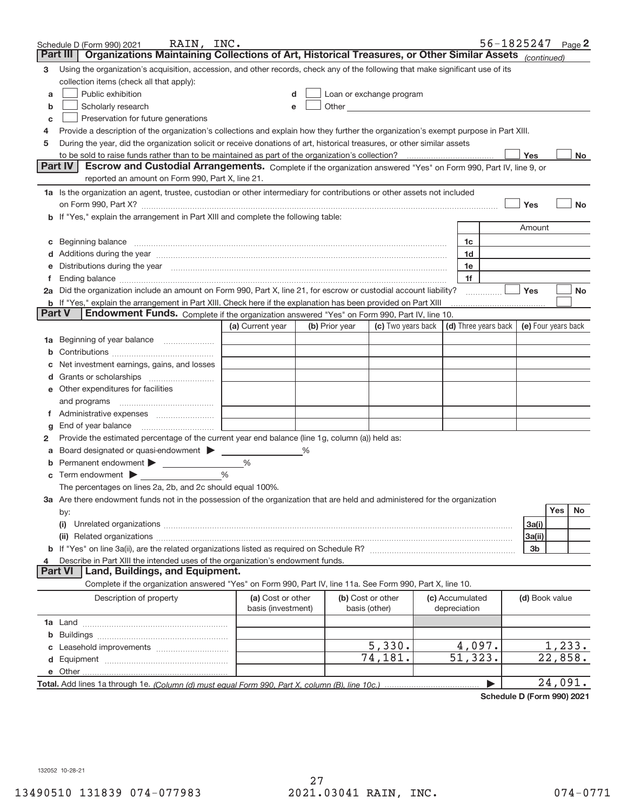|               | RAIN, INC.<br>Schedule D (Form 990) 2021                                                                                                                                                                                                                                                                                                                                                                                                                        |                                         |                |                                                                                                                                                                                                                                |                                 | 56-1825247           |                     |         | Page 2    |
|---------------|-----------------------------------------------------------------------------------------------------------------------------------------------------------------------------------------------------------------------------------------------------------------------------------------------------------------------------------------------------------------------------------------------------------------------------------------------------------------|-----------------------------------------|----------------|--------------------------------------------------------------------------------------------------------------------------------------------------------------------------------------------------------------------------------|---------------------------------|----------------------|---------------------|---------|-----------|
|               | Organizations Maintaining Collections of Art, Historical Treasures, or Other Similar Assets (continued)<br>Part III                                                                                                                                                                                                                                                                                                                                             |                                         |                |                                                                                                                                                                                                                                |                                 |                      |                     |         |           |
| 3             | Using the organization's acquisition, accession, and other records, check any of the following that make significant use of its                                                                                                                                                                                                                                                                                                                                 |                                         |                |                                                                                                                                                                                                                                |                                 |                      |                     |         |           |
|               | collection items (check all that apply):                                                                                                                                                                                                                                                                                                                                                                                                                        |                                         |                |                                                                                                                                                                                                                                |                                 |                      |                     |         |           |
| a             | Public exhibition                                                                                                                                                                                                                                                                                                                                                                                                                                               |                                         |                | Loan or exchange program                                                                                                                                                                                                       |                                 |                      |                     |         |           |
| b             | Scholarly research                                                                                                                                                                                                                                                                                                                                                                                                                                              | e                                       |                | Other the contract of the contract of the contract of the contract of the contract of the contract of the contract of the contract of the contract of the contract of the contract of the contract of the contract of the cont |                                 |                      |                     |         |           |
| c             | Preservation for future generations                                                                                                                                                                                                                                                                                                                                                                                                                             |                                         |                |                                                                                                                                                                                                                                |                                 |                      |                     |         |           |
| 4             | Provide a description of the organization's collections and explain how they further the organization's exempt purpose in Part XIII.                                                                                                                                                                                                                                                                                                                            |                                         |                |                                                                                                                                                                                                                                |                                 |                      |                     |         |           |
| 5             | During the year, did the organization solicit or receive donations of art, historical treasures, or other similar assets                                                                                                                                                                                                                                                                                                                                        |                                         |                |                                                                                                                                                                                                                                |                                 |                      |                     |         |           |
|               |                                                                                                                                                                                                                                                                                                                                                                                                                                                                 |                                         |                |                                                                                                                                                                                                                                |                                 |                      | Yes                 |         | No        |
|               | <b>Part IV</b><br>Escrow and Custodial Arrangements. Complete if the organization answered "Yes" on Form 990, Part IV, line 9, or<br>reported an amount on Form 990, Part X, line 21.                                                                                                                                                                                                                                                                           |                                         |                |                                                                                                                                                                                                                                |                                 |                      |                     |         |           |
|               |                                                                                                                                                                                                                                                                                                                                                                                                                                                                 |                                         |                |                                                                                                                                                                                                                                |                                 |                      |                     |         |           |
|               | 1a Is the organization an agent, trustee, custodian or other intermediary for contributions or other assets not included                                                                                                                                                                                                                                                                                                                                        |                                         |                |                                                                                                                                                                                                                                |                                 |                      |                     |         |           |
|               |                                                                                                                                                                                                                                                                                                                                                                                                                                                                 |                                         |                |                                                                                                                                                                                                                                |                                 |                      | Yes                 |         | <b>No</b> |
| b             | If "Yes," explain the arrangement in Part XIII and complete the following table:                                                                                                                                                                                                                                                                                                                                                                                |                                         |                |                                                                                                                                                                                                                                |                                 |                      | Amount              |         |           |
|               |                                                                                                                                                                                                                                                                                                                                                                                                                                                                 |                                         |                |                                                                                                                                                                                                                                | 1c                              |                      |                     |         |           |
| С             | Beginning balance measurements and the contract of the contract of the contract of the contract of the contract of the contract of the contract of the contract of the contract of the contract of the contract of the contrac<br>Additions during the year manufactured and an account of the year manufactured and account of the year manufactured and account of the state of the state of the state of the state of the state of the state of the state of |                                         |                |                                                                                                                                                                                                                                | 1d                              |                      |                     |         |           |
|               | Distributions during the year manufactured and content to the year manufactured and the year manufactured and the year manufactured and the year manufactured and the year manufactured and the state of the state of the stat                                                                                                                                                                                                                                  |                                         |                |                                                                                                                                                                                                                                | 1e                              |                      |                     |         |           |
|               |                                                                                                                                                                                                                                                                                                                                                                                                                                                                 |                                         |                |                                                                                                                                                                                                                                | 1f                              |                      |                     |         |           |
|               | 2a Did the organization include an amount on Form 990, Part X, line 21, for escrow or custodial account liability?                                                                                                                                                                                                                                                                                                                                              |                                         |                |                                                                                                                                                                                                                                |                                 |                      | Yes                 |         | No        |
|               | <b>b</b> If "Yes," explain the arrangement in Part XIII. Check here if the explanation has been provided on Part XIII                                                                                                                                                                                                                                                                                                                                           |                                         |                |                                                                                                                                                                                                                                |                                 |                      |                     |         |           |
| <b>Part V</b> | Endowment Funds. Complete if the organization answered "Yes" on Form 990, Part IV, line 10.                                                                                                                                                                                                                                                                                                                                                                     |                                         |                |                                                                                                                                                                                                                                |                                 |                      |                     |         |           |
|               |                                                                                                                                                                                                                                                                                                                                                                                                                                                                 | (a) Current year                        | (b) Prior year | (c) Two years back                                                                                                                                                                                                             |                                 | (d) Three years back | (e) Four years back |         |           |
| 1a            | Beginning of year balance                                                                                                                                                                                                                                                                                                                                                                                                                                       |                                         |                |                                                                                                                                                                                                                                |                                 |                      |                     |         |           |
|               |                                                                                                                                                                                                                                                                                                                                                                                                                                                                 |                                         |                |                                                                                                                                                                                                                                |                                 |                      |                     |         |           |
|               | Net investment earnings, gains, and losses                                                                                                                                                                                                                                                                                                                                                                                                                      |                                         |                |                                                                                                                                                                                                                                |                                 |                      |                     |         |           |
|               |                                                                                                                                                                                                                                                                                                                                                                                                                                                                 |                                         |                |                                                                                                                                                                                                                                |                                 |                      |                     |         |           |
|               | e Other expenditures for facilities                                                                                                                                                                                                                                                                                                                                                                                                                             |                                         |                |                                                                                                                                                                                                                                |                                 |                      |                     |         |           |
|               | and programs                                                                                                                                                                                                                                                                                                                                                                                                                                                    |                                         |                |                                                                                                                                                                                                                                |                                 |                      |                     |         |           |
| Ť.            | Administrative expenses                                                                                                                                                                                                                                                                                                                                                                                                                                         |                                         |                |                                                                                                                                                                                                                                |                                 |                      |                     |         |           |
|               | End of year balance                                                                                                                                                                                                                                                                                                                                                                                                                                             |                                         |                |                                                                                                                                                                                                                                |                                 |                      |                     |         |           |
| 2             | Provide the estimated percentage of the current year end balance (line 1g, column (a)) held as:                                                                                                                                                                                                                                                                                                                                                                 |                                         |                |                                                                                                                                                                                                                                |                                 |                      |                     |         |           |
|               | Board designated or quasi-endowment                                                                                                                                                                                                                                                                                                                                                                                                                             |                                         | %              |                                                                                                                                                                                                                                |                                 |                      |                     |         |           |
|               | Permanent endowment > 1                                                                                                                                                                                                                                                                                                                                                                                                                                         | %                                       |                |                                                                                                                                                                                                                                |                                 |                      |                     |         |           |
| С             | Term endowment                                                                                                                                                                                                                                                                                                                                                                                                                                                  | %                                       |                |                                                                                                                                                                                                                                |                                 |                      |                     |         |           |
|               | The percentages on lines 2a, 2b, and 2c should equal 100%.                                                                                                                                                                                                                                                                                                                                                                                                      |                                         |                |                                                                                                                                                                                                                                |                                 |                      |                     |         |           |
|               | 3a Are there endowment funds not in the possession of the organization that are held and administered for the organization                                                                                                                                                                                                                                                                                                                                      |                                         |                |                                                                                                                                                                                                                                |                                 |                      |                     | Yes     | No        |
|               | by:                                                                                                                                                                                                                                                                                                                                                                                                                                                             |                                         |                |                                                                                                                                                                                                                                |                                 |                      |                     |         |           |
|               | (i)                                                                                                                                                                                                                                                                                                                                                                                                                                                             |                                         |                |                                                                                                                                                                                                                                |                                 |                      | 3a(i)               |         |           |
|               |                                                                                                                                                                                                                                                                                                                                                                                                                                                                 |                                         |                |                                                                                                                                                                                                                                |                                 |                      | 3a(ii)              |         |           |
|               | Describe in Part XIII the intended uses of the organization's endowment funds.                                                                                                                                                                                                                                                                                                                                                                                  |                                         |                |                                                                                                                                                                                                                                |                                 |                      | 3 <sub>b</sub>      |         |           |
|               | Land, Buildings, and Equipment.<br><b>Part VI</b>                                                                                                                                                                                                                                                                                                                                                                                                               |                                         |                |                                                                                                                                                                                                                                |                                 |                      |                     |         |           |
|               | Complete if the organization answered "Yes" on Form 990, Part IV, line 11a. See Form 990, Part X, line 10.                                                                                                                                                                                                                                                                                                                                                      |                                         |                |                                                                                                                                                                                                                                |                                 |                      |                     |         |           |
|               | Description of property                                                                                                                                                                                                                                                                                                                                                                                                                                         | (a) Cost or other<br>basis (investment) |                | (b) Cost or other<br>basis (other)                                                                                                                                                                                             | (c) Accumulated<br>depreciation |                      | (d) Book value      |         |           |
|               |                                                                                                                                                                                                                                                                                                                                                                                                                                                                 |                                         |                |                                                                                                                                                                                                                                |                                 |                      |                     |         |           |
| b             |                                                                                                                                                                                                                                                                                                                                                                                                                                                                 |                                         |                |                                                                                                                                                                                                                                |                                 |                      |                     |         |           |
|               |                                                                                                                                                                                                                                                                                                                                                                                                                                                                 |                                         |                | 5,330.                                                                                                                                                                                                                         |                                 | 4,097.               |                     | 1,233.  |           |
| d             |                                                                                                                                                                                                                                                                                                                                                                                                                                                                 |                                         |                | 74,181.                                                                                                                                                                                                                        | $\overline{51,323}$ .           |                      |                     | 22,858. |           |
|               |                                                                                                                                                                                                                                                                                                                                                                                                                                                                 |                                         |                |                                                                                                                                                                                                                                |                                 |                      |                     |         |           |
|               |                                                                                                                                                                                                                                                                                                                                                                                                                                                                 |                                         |                |                                                                                                                                                                                                                                |                                 |                      |                     | 24,091. |           |

**Schedule D (Form 990) 2021**

132052 10‐28‐21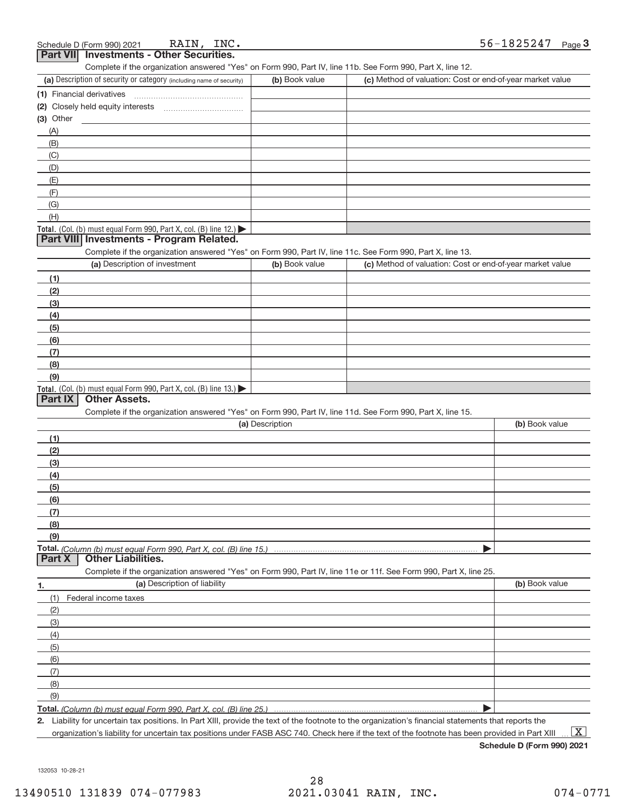|                | <b>Part VII</b> Investments - Other Securities.<br>Complete if the organization answered "Yes" on Form 990, Part IV, line 11b. See Form 990, Part X, line 12. |                 |                                                           |                |
|----------------|---------------------------------------------------------------------------------------------------------------------------------------------------------------|-----------------|-----------------------------------------------------------|----------------|
|                | (a) Description of security or category (including name of security)                                                                                          | (b) Book value  | (c) Method of valuation: Cost or end-of-year market value |                |
|                | (1) Financial derivatives                                                                                                                                     |                 |                                                           |                |
|                |                                                                                                                                                               |                 |                                                           |                |
| $(3)$ Other    |                                                                                                                                                               |                 |                                                           |                |
| (A)            |                                                                                                                                                               |                 |                                                           |                |
| (B)            |                                                                                                                                                               |                 |                                                           |                |
| (C)            |                                                                                                                                                               |                 |                                                           |                |
| (D)            |                                                                                                                                                               |                 |                                                           |                |
| (E)            |                                                                                                                                                               |                 |                                                           |                |
| (F)            |                                                                                                                                                               |                 |                                                           |                |
| (G)            |                                                                                                                                                               |                 |                                                           |                |
| (H)            |                                                                                                                                                               |                 |                                                           |                |
|                | Total. (Col. (b) must equal Form 990, Part X, col. (B) line 12.)                                                                                              |                 |                                                           |                |
|                | <b>Part VIII Investments - Program Related.</b>                                                                                                               |                 |                                                           |                |
|                | Complete if the organization answered "Yes" on Form 990, Part IV, line 11c. See Form 990, Part X, line 13.                                                    |                 |                                                           |                |
|                | (a) Description of investment                                                                                                                                 | (b) Book value  | (c) Method of valuation: Cost or end-of-year market value |                |
| (1)            |                                                                                                                                                               |                 |                                                           |                |
| (2)            |                                                                                                                                                               |                 |                                                           |                |
| (3)            |                                                                                                                                                               |                 |                                                           |                |
| (4)            |                                                                                                                                                               |                 |                                                           |                |
| (5)            |                                                                                                                                                               |                 |                                                           |                |
| (6)            |                                                                                                                                                               |                 |                                                           |                |
| (7)            |                                                                                                                                                               |                 |                                                           |                |
| (8)            |                                                                                                                                                               |                 |                                                           |                |
| (9)            |                                                                                                                                                               |                 |                                                           |                |
|                | Total. (Col. (b) must equal Form 990, Part X, col. (B) line 13.)                                                                                              |                 |                                                           |                |
| <b>Part IX</b> | <b>Other Assets.</b>                                                                                                                                          |                 |                                                           |                |
|                | Complete if the organization answered "Yes" on Form 990, Part IV, line 11d. See Form 990, Part X, line 15.                                                    |                 |                                                           |                |
|                |                                                                                                                                                               | (a) Description |                                                           | (b) Book value |
| (1)            |                                                                                                                                                               |                 |                                                           |                |
| (2)            |                                                                                                                                                               |                 |                                                           |                |
| (3)            |                                                                                                                                                               |                 |                                                           |                |
| (4)            |                                                                                                                                                               |                 |                                                           |                |
| (5)            |                                                                                                                                                               |                 |                                                           |                |
| (6)            |                                                                                                                                                               |                 |                                                           |                |
| (7)            |                                                                                                                                                               |                 |                                                           |                |
| (8)            |                                                                                                                                                               |                 |                                                           |                |
| (9)            |                                                                                                                                                               |                 |                                                           |                |
| <b>Part X</b>  | Total. (Column (b) must equal Form 990, Part X, col. (B) line 15.)                                                                                            |                 |                                                           |                |
|                | <b>Other Liabilities.</b>                                                                                                                                     |                 |                                                           |                |
|                | Complete if the organization answered "Yes" on Form 990, Part IV, line 11e or 11f. See Form 990, Part X, line 25.                                             |                 |                                                           |                |
| 1.             | (a) Description of liability                                                                                                                                  |                 |                                                           | (b) Book value |
| (1)            | Federal income taxes                                                                                                                                          |                 |                                                           |                |
| (2)            |                                                                                                                                                               |                 |                                                           |                |
| (3)            |                                                                                                                                                               |                 |                                                           |                |
| (4)            |                                                                                                                                                               |                 |                                                           |                |
| (5)            |                                                                                                                                                               |                 |                                                           |                |
| (6)            |                                                                                                                                                               |                 |                                                           |                |
| (7)            |                                                                                                                                                               |                 |                                                           |                |
| (8)            |                                                                                                                                                               |                 |                                                           |                |
| (9)            |                                                                                                                                                               |                 |                                                           |                |
|                | Total. (Column (b) must equal Form 990, Part X, col. (B) line 25.)                                                                                            |                 |                                                           |                |

**2.** Liability for uncertain tax positions. In Part XIII, provide the text of the footnote to the organization's financial statements that reports the organization's liability for uncertain tax positions under FASB ASC 740. Check here if the text of the footnote has been provided in Part XIII  $\boxed{\text{X}}$ 

**Schedule D (Form 990) 2021**

132053 10‐28‐21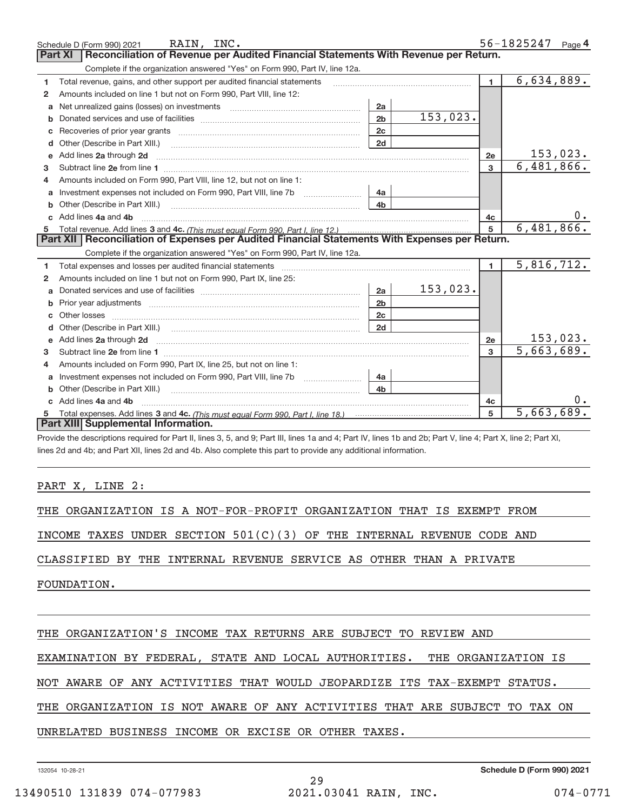|    | RAIN, INC.<br>Schedule D (Form 990) 2021                                                                                                                                                                                            |                |          |                | 56-1825247<br>Page 4 |
|----|-------------------------------------------------------------------------------------------------------------------------------------------------------------------------------------------------------------------------------------|----------------|----------|----------------|----------------------|
|    | Reconciliation of Revenue per Audited Financial Statements With Revenue per Return.<br>Part XI                                                                                                                                      |                |          |                |                      |
|    | Complete if the organization answered "Yes" on Form 990, Part IV, line 12a.                                                                                                                                                         |                |          |                |                      |
| 1  | Total revenue, gains, and other support per audited financial statements                                                                                                                                                            |                |          | $\blacksquare$ | 6,634,889.           |
| 2  | Amounts included on line 1 but not on Form 990, Part VIII, line 12:                                                                                                                                                                 |                |          |                |                      |
| a  |                                                                                                                                                                                                                                     | 2a             |          |                |                      |
|    |                                                                                                                                                                                                                                     | 2 <sub>b</sub> | 153,023. |                |                      |
| c  |                                                                                                                                                                                                                                     | 2c             |          |                |                      |
| d  |                                                                                                                                                                                                                                     | 2d             |          |                |                      |
| e  | Add lines 2a through 2d <b>must be a constructed as the constant of the constant of the constant of the construction</b>                                                                                                            |                |          | 2e             | 153,023.             |
| 3  |                                                                                                                                                                                                                                     |                |          | 3              | 6,481,866.           |
| 4  | Amounts included on Form 990, Part VIII, line 12, but not on line 1:                                                                                                                                                                |                |          |                |                      |
|    |                                                                                                                                                                                                                                     | 4a             |          |                |                      |
| b  |                                                                                                                                                                                                                                     | 4 <sub>b</sub> |          |                |                      |
| c. | Add lines 4a and 4b                                                                                                                                                                                                                 |                |          | 4c             | 0.                   |
|    |                                                                                                                                                                                                                                     |                |          | 5              | 6,481,866.           |
|    |                                                                                                                                                                                                                                     |                |          |                |                      |
|    | Part XII   Reconciliation of Expenses per Audited Financial Statements With Expenses per Return.                                                                                                                                    |                |          |                |                      |
|    | Complete if the organization answered "Yes" on Form 990, Part IV, line 12a.                                                                                                                                                         |                |          |                |                      |
| 1  | Total expenses and losses per audited financial statements [11] [11] Total expenses and losses per audited financial statements [11] [11] Total expenses and losses per audited financial statements                                |                |          | $\blacksquare$ | 5,816,712.           |
| 2  | Amounts included on line 1 but not on Form 990, Part IX, line 25:                                                                                                                                                                   |                |          |                |                      |
| a  |                                                                                                                                                                                                                                     | 2a             | 153,023. |                |                      |
| b  |                                                                                                                                                                                                                                     | 2 <sub>b</sub> |          |                |                      |
| c  |                                                                                                                                                                                                                                     | 2c             |          |                |                      |
| d  |                                                                                                                                                                                                                                     | 2d             |          |                |                      |
| e  | Add lines 2a through 2d <b>contained a contained a contained a contained a</b> contained a contact the state of the state of the state of the state of the state of the state of the state of the state of the state of the state o |                |          | 2e             | 153,023.             |
| 3  |                                                                                                                                                                                                                                     |                |          | 3              | 5,663,689.           |
| 4  | Amounts included on Form 990, Part IX, line 25, but not on line 1:                                                                                                                                                                  |                |          |                |                      |
| a  |                                                                                                                                                                                                                                     | 4a             |          |                |                      |
| b  |                                                                                                                                                                                                                                     | 4b             |          |                |                      |
|    | Add lines 4a and 4b                                                                                                                                                                                                                 |                |          | 4c             | 0.                   |
|    | Part XIII Supplemental Information.                                                                                                                                                                                                 |                |          | 5              | 5,663,689.           |

Provide the descriptions required for Part II, lines 3, 5, and 9; Part III, lines 1a and 4; Part IV, lines 1b and 2b; Part V, line 4; Part X, line 2; Part XI, lines 2d and 4b; and Part XII, lines 2d and 4b. Also complete this part to provide any additional information.

PART X, LINE 2:

THE ORGANIZATION IS A NOT‐FOR‐PROFIT ORGANIZATION THAT IS EXEMPT FROM

INCOME TAXES UNDER SECTION 501(C)(3) OF THE INTERNAL REVENUE CODE AND

CLASSIFIED BY THE INTERNAL REVENUE SERVICE AS OTHER THAN A PRIVATE

FOUNDATION.

THE ORGANIZATION'S INCOME TAX RETURNS ARE SUBJECT TO REVIEW AND

EXAMINATION BY FEDERAL, STATE AND LOCAL AUTHORITIES. THE ORGANIZATION IS

NOT AWARE OF ANY ACTIVITIES THAT WOULD JEOPARDIZE ITS TAX‐EXEMPT STATUS.

THE ORGANIZATION IS NOT AWARE OF ANY ACTIVITIES THAT ARE SUBJECT TO TAX ON

UNRELATED BUSINESS INCOME OR EXCISE OR OTHER TAXES.

132054 10‐28‐21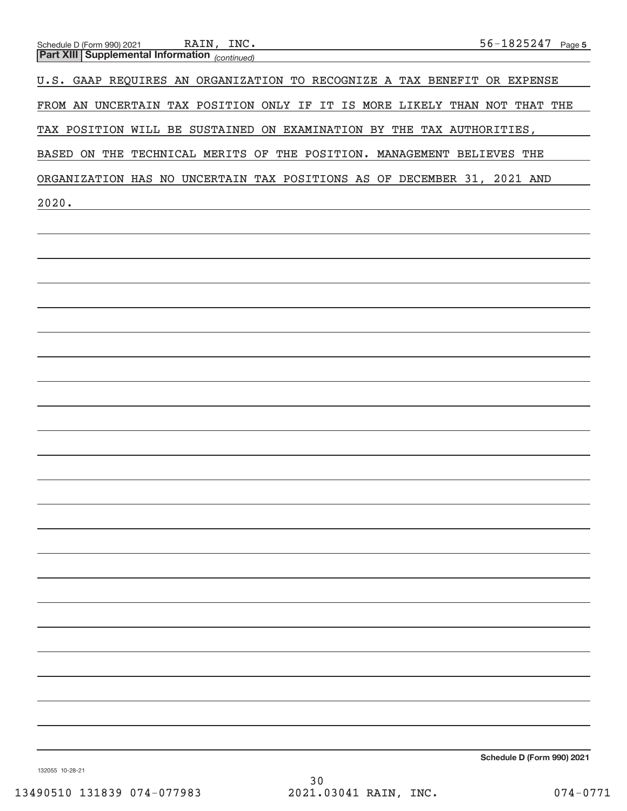*(continued)*

| U.S. GAAP REQUIRES AN ORGANIZATION TO RECOGNIZE A TAX BENEFIT OR EXPENSE   |
|----------------------------------------------------------------------------|
| FROM AN UNCERTAIN TAX POSITION ONLY IF IT IS MORE LIKELY THAN NOT THAT THE |
| TAX POSITION WILL BE SUSTAINED ON EXAMINATION BY THE TAX AUTHORITIES,      |
| BASED ON THE TECHNICAL MERITS OF THE POSITION. MANAGEMENT BELIEVES THE     |
| ORGANIZATION HAS NO UNCERTAIN TAX POSITIONS AS OF DECEMBER 31, 2021 AND    |
| 2020.                                                                      |
|                                                                            |
|                                                                            |
|                                                                            |
|                                                                            |
|                                                                            |
|                                                                            |
|                                                                            |
|                                                                            |
|                                                                            |
|                                                                            |
|                                                                            |
|                                                                            |
|                                                                            |
|                                                                            |
|                                                                            |
|                                                                            |
|                                                                            |
|                                                                            |
|                                                                            |
|                                                                            |
|                                                                            |
|                                                                            |
|                                                                            |
| Schedule D (Form 990) 2021                                                 |

132055 10‐28‐21

30 13490510 131839 074‐077983 2021.03041 RAIN, INC. 074‐0771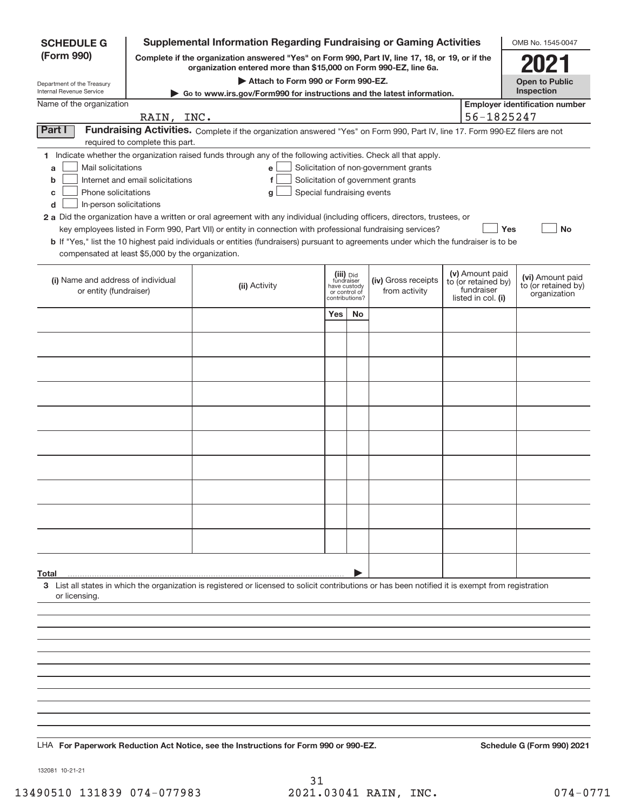| <b>SCHEDULE G</b>                                                                        |                                                                                                                                                                     | <b>Supplemental Information Regarding Fundraising or Gaming Activities</b>                                                                                                                                                                                                                                                                                                                                                                                                                                                                         |                                                                            |    |                                                                            |  |                                                                            | OMB No. 1545-0047                                       |
|------------------------------------------------------------------------------------------|---------------------------------------------------------------------------------------------------------------------------------------------------------------------|----------------------------------------------------------------------------------------------------------------------------------------------------------------------------------------------------------------------------------------------------------------------------------------------------------------------------------------------------------------------------------------------------------------------------------------------------------------------------------------------------------------------------------------------------|----------------------------------------------------------------------------|----|----------------------------------------------------------------------------|--|----------------------------------------------------------------------------|---------------------------------------------------------|
| (Form 990)                                                                               | Complete if the organization answered "Yes" on Form 990, Part IV, line 17, 18, or 19, or if the<br>organization entered more than \$15,000 on Form 990-EZ, line 6a. |                                                                                                                                                                                                                                                                                                                                                                                                                                                                                                                                                    |                                                                            |    |                                                                            |  |                                                                            |                                                         |
| Department of the Treasury                                                               |                                                                                                                                                                     | Attach to Form 990 or Form 990-EZ.                                                                                                                                                                                                                                                                                                                                                                                                                                                                                                                 |                                                                            |    |                                                                            |  |                                                                            | 2021<br><b>Open to Public</b>                           |
| Internal Revenue Service                                                                 |                                                                                                                                                                     | ► Go to www.irs.gov/Form990 for instructions and the latest information.                                                                                                                                                                                                                                                                                                                                                                                                                                                                           |                                                                            |    |                                                                            |  |                                                                            | Inspection                                              |
| Name of the organization                                                                 | RAIN, INC.                                                                                                                                                          |                                                                                                                                                                                                                                                                                                                                                                                                                                                                                                                                                    |                                                                            |    |                                                                            |  | 56-1825247                                                                 | <b>Employer identification number</b>                   |
| Part I                                                                                   |                                                                                                                                                                     | Fundraising Activities. Complete if the organization answered "Yes" on Form 990, Part IV, line 17. Form 990-EZ filers are not                                                                                                                                                                                                                                                                                                                                                                                                                      |                                                                            |    |                                                                            |  |                                                                            |                                                         |
| Mail solicitations<br>a<br>b<br>Phone solicitations<br>с<br>In-person solicitations<br>d | required to complete this part.<br>Internet and email solicitations<br>compensated at least \$5,000 by the organization.                                            | 1 Indicate whether the organization raised funds through any of the following activities. Check all that apply.<br>e<br>f<br>Special fundraising events<br>g<br>2 a Did the organization have a written or oral agreement with any individual (including officers, directors, trustees, or<br>key employees listed in Form 990, Part VII) or entity in connection with professional fundraising services?<br>b If "Yes," list the 10 highest paid individuals or entities (fundraisers) pursuant to agreements under which the fundraiser is to be |                                                                            |    | Solicitation of non-government grants<br>Solicitation of government grants |  | <b>Yes</b>                                                                 | <b>No</b>                                               |
| (i) Name and address of individual<br>or entity (fundraiser)                             |                                                                                                                                                                     | (ii) Activity                                                                                                                                                                                                                                                                                                                                                                                                                                                                                                                                      | (iii) Did<br>fundraiser<br>have custody<br>or control of<br>contributions? |    | (iv) Gross receipts<br>from activity                                       |  | (v) Amount paid<br>to (or retained by)<br>fundraiser<br>listed in col. (i) | (vi) Amount paid<br>to (or retained by)<br>organization |
|                                                                                          |                                                                                                                                                                     |                                                                                                                                                                                                                                                                                                                                                                                                                                                                                                                                                    | Yes                                                                        | No |                                                                            |  |                                                                            |                                                         |
|                                                                                          |                                                                                                                                                                     |                                                                                                                                                                                                                                                                                                                                                                                                                                                                                                                                                    |                                                                            |    |                                                                            |  |                                                                            |                                                         |
|                                                                                          |                                                                                                                                                                     |                                                                                                                                                                                                                                                                                                                                                                                                                                                                                                                                                    |                                                                            |    |                                                                            |  |                                                                            |                                                         |
|                                                                                          |                                                                                                                                                                     |                                                                                                                                                                                                                                                                                                                                                                                                                                                                                                                                                    |                                                                            |    |                                                                            |  |                                                                            |                                                         |
|                                                                                          |                                                                                                                                                                     |                                                                                                                                                                                                                                                                                                                                                                                                                                                                                                                                                    |                                                                            |    |                                                                            |  |                                                                            |                                                         |
|                                                                                          |                                                                                                                                                                     |                                                                                                                                                                                                                                                                                                                                                                                                                                                                                                                                                    |                                                                            |    |                                                                            |  |                                                                            |                                                         |
|                                                                                          |                                                                                                                                                                     |                                                                                                                                                                                                                                                                                                                                                                                                                                                                                                                                                    |                                                                            |    |                                                                            |  |                                                                            |                                                         |
|                                                                                          |                                                                                                                                                                     |                                                                                                                                                                                                                                                                                                                                                                                                                                                                                                                                                    |                                                                            |    |                                                                            |  |                                                                            |                                                         |
|                                                                                          |                                                                                                                                                                     |                                                                                                                                                                                                                                                                                                                                                                                                                                                                                                                                                    |                                                                            |    |                                                                            |  |                                                                            |                                                         |
|                                                                                          |                                                                                                                                                                     |                                                                                                                                                                                                                                                                                                                                                                                                                                                                                                                                                    |                                                                            |    |                                                                            |  |                                                                            |                                                         |
|                                                                                          |                                                                                                                                                                     |                                                                                                                                                                                                                                                                                                                                                                                                                                                                                                                                                    |                                                                            |    |                                                                            |  |                                                                            |                                                         |
|                                                                                          |                                                                                                                                                                     |                                                                                                                                                                                                                                                                                                                                                                                                                                                                                                                                                    |                                                                            |    |                                                                            |  |                                                                            |                                                         |
|                                                                                          |                                                                                                                                                                     |                                                                                                                                                                                                                                                                                                                                                                                                                                                                                                                                                    |                                                                            |    |                                                                            |  |                                                                            |                                                         |
| Total<br>or licensing.                                                                   |                                                                                                                                                                     | 3 List all states in which the organization is registered or licensed to solicit contributions or has been notified it is exempt from registration                                                                                                                                                                                                                                                                                                                                                                                                 |                                                                            |    |                                                                            |  |                                                                            |                                                         |
|                                                                                          |                                                                                                                                                                     |                                                                                                                                                                                                                                                                                                                                                                                                                                                                                                                                                    |                                                                            |    |                                                                            |  |                                                                            |                                                         |
|                                                                                          |                                                                                                                                                                     |                                                                                                                                                                                                                                                                                                                                                                                                                                                                                                                                                    |                                                                            |    |                                                                            |  |                                                                            |                                                         |
|                                                                                          |                                                                                                                                                                     |                                                                                                                                                                                                                                                                                                                                                                                                                                                                                                                                                    |                                                                            |    |                                                                            |  |                                                                            |                                                         |
|                                                                                          |                                                                                                                                                                     |                                                                                                                                                                                                                                                                                                                                                                                                                                                                                                                                                    |                                                                            |    |                                                                            |  |                                                                            |                                                         |
|                                                                                          |                                                                                                                                                                     |                                                                                                                                                                                                                                                                                                                                                                                                                                                                                                                                                    |                                                                            |    |                                                                            |  |                                                                            |                                                         |
|                                                                                          |                                                                                                                                                                     |                                                                                                                                                                                                                                                                                                                                                                                                                                                                                                                                                    |                                                                            |    |                                                                            |  |                                                                            |                                                         |
|                                                                                          |                                                                                                                                                                     | LHA For Paperwork Reduction Act Notice, see the Instructions for Form 990 or 990-EZ.                                                                                                                                                                                                                                                                                                                                                                                                                                                               |                                                                            |    |                                                                            |  |                                                                            | Schedule G (Form 990) 2021                              |

132081 10‐21‐21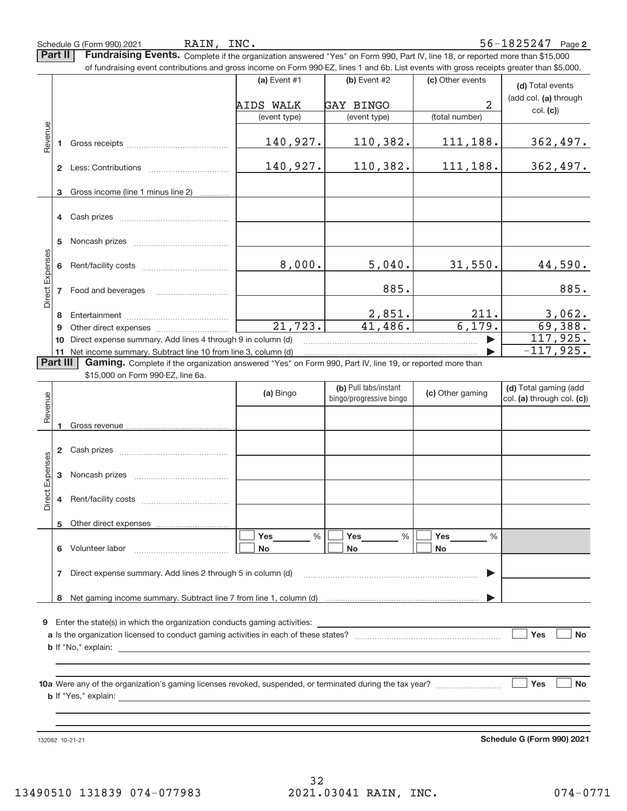**2** RAIN, INC. 56‐1825247

Part II | Fundraising Events. Complete if the organization answered "Yes" on Form 990, Part IV, line 18, or reported more than \$15,000

|                 |    | of fundraising event contributions and gross income on Form 990-EZ, lines 1 and 6b. List events with gross receipts greater than \$5,000. |                       |                                                  |                  |                                                     |
|-----------------|----|-------------------------------------------------------------------------------------------------------------------------------------------|-----------------------|--------------------------------------------------|------------------|-----------------------------------------------------|
|                 |    |                                                                                                                                           | (a) Event $#1$        | (b) Event #2                                     | (c) Other events | (d) Total events                                    |
|                 |    |                                                                                                                                           | AIDS WALK             | GAY BINGO                                        | 2                | (add col. (a) through                               |
|                 |    |                                                                                                                                           | (event type)          | (event type)                                     | (total number)   | col. (c)                                            |
| Revenue         |    |                                                                                                                                           | 140,927.              | 110,382.                                         | 111,188.         | <u>362,497.</u>                                     |
|                 |    |                                                                                                                                           | 140,927.              | 110,382.                                         | 111,188.         | 362,497.                                            |
|                 |    | 3 Gross income (line 1 minus line 2)                                                                                                      |                       |                                                  |                  |                                                     |
|                 |    | 4 Cash prizes                                                                                                                             |                       |                                                  |                  |                                                     |
|                 | 5. |                                                                                                                                           |                       |                                                  |                  |                                                     |
|                 |    |                                                                                                                                           | 8,000.                | 5,040.                                           | 31,550.          | 44,590.                                             |
| Direct Expenses |    | 7 Food and beverages                                                                                                                      |                       | 885.                                             |                  | 885.                                                |
|                 |    |                                                                                                                                           |                       | <u>2,851.</u>                                    | 211.             |                                                     |
|                 | 9  |                                                                                                                                           | $\overline{21,723}$ . | 41, 486.                                         | 6,179.           | $\frac{3,062}{69,388}$                              |
|                 | 10 | Direct expense summary. Add lines 4 through 9 in column (d)                                                                               |                       |                                                  |                  | 117,925.                                            |
|                 |    | 11 Net income summary. Subtract line 10 from line 3, column (d)                                                                           |                       |                                                  |                  | $-117,925.$                                         |
| Part III        |    | Gaming. Complete if the organization answered "Yes" on Form 990, Part IV, line 19, or reported more than                                  |                       |                                                  |                  |                                                     |
|                 |    | \$15,000 on Form 990-EZ, line 6a.                                                                                                         |                       |                                                  |                  |                                                     |
| Revenue         |    |                                                                                                                                           | (a) Bingo             | (b) Pull tabs/instant<br>bingo/progressive bingo | (c) Other gaming | (d) Total gaming (add<br>col. (a) through col. (c)) |
|                 |    |                                                                                                                                           |                       |                                                  |                  |                                                     |
|                 |    |                                                                                                                                           |                       |                                                  |                  |                                                     |
| Expenses        |    |                                                                                                                                           |                       |                                                  |                  |                                                     |
| Direct          |    |                                                                                                                                           |                       |                                                  |                  |                                                     |
|                 | 5  |                                                                                                                                           |                       |                                                  |                  |                                                     |
|                 | 6  | Volunteer labor                                                                                                                           | %<br>Yes<br>No        | %<br>Yes<br>No                                   | Yes_<br>%<br>No  |                                                     |
|                 | 7  | Direct expense summary. Add lines 2 through 5 in column (d)                                                                               |                       |                                                  |                  |                                                     |
|                 | 8  |                                                                                                                                           |                       |                                                  |                  |                                                     |
|                 |    | 9 Enter the state(s) in which the organization conducts gaming activities:                                                                |                       |                                                  |                  |                                                     |
|                 |    | <b>b</b> If "No," explain:                                                                                                                |                       |                                                  |                  | Yes<br><b>No</b>                                    |
|                 |    |                                                                                                                                           |                       |                                                  |                  |                                                     |
|                 |    |                                                                                                                                           |                       |                                                  |                  | Yes<br><b>No</b>                                    |

132082 10‐21‐21

**Schedule G (Form 990) 2021**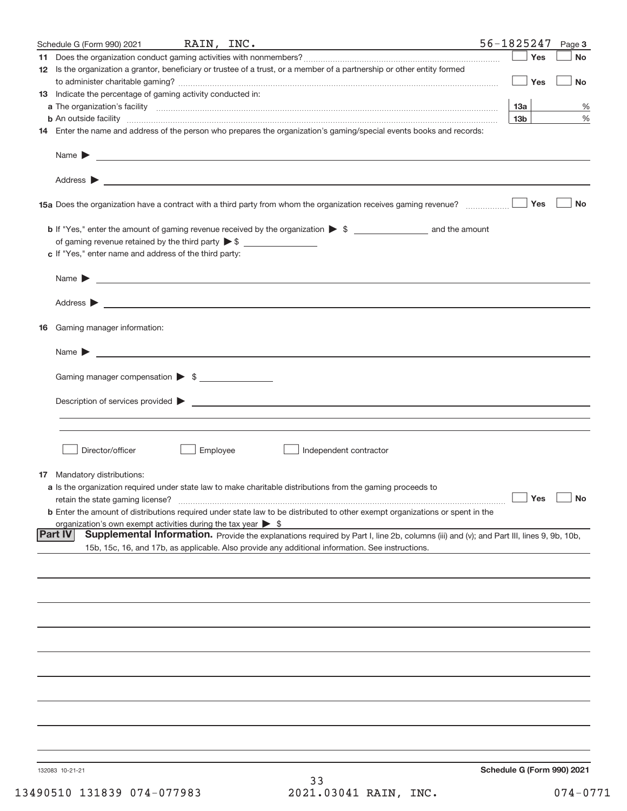| Schedule G (Form 990) 2021                                                   | RAIN, INC. |                                                                                                                                                                                                                                    | 56-1825247                 | Page 3    |
|------------------------------------------------------------------------------|------------|------------------------------------------------------------------------------------------------------------------------------------------------------------------------------------------------------------------------------------|----------------------------|-----------|
|                                                                              |            |                                                                                                                                                                                                                                    | Yes                        | No        |
|                                                                              |            | 12 Is the organization a grantor, beneficiary or trustee of a trust, or a member of a partnership or other entity formed                                                                                                           |                            |           |
|                                                                              |            |                                                                                                                                                                                                                                    | $\vert$ Yes                | No        |
| 13 Indicate the percentage of gaming activity conducted in:                  |            |                                                                                                                                                                                                                                    |                            |           |
|                                                                              |            |                                                                                                                                                                                                                                    | 13a                        | %         |
|                                                                              |            | <b>b</b> An outside facility <i>www.communically.communically.communically.communically.communically.communically.communically.communically.com</i>                                                                                | 13 <sub>b</sub>            | $\%$      |
|                                                                              |            | 14 Enter the name and address of the person who prepares the organization's gaming/special events books and records:                                                                                                               |                            |           |
|                                                                              |            |                                                                                                                                                                                                                                    |                            |           |
|                                                                              |            |                                                                                                                                                                                                                                    |                            |           |
|                                                                              |            |                                                                                                                                                                                                                                    |                            | <b>No</b> |
|                                                                              |            |                                                                                                                                                                                                                                    |                            |           |
|                                                                              |            |                                                                                                                                                                                                                                    |                            |           |
| c If "Yes," enter name and address of the third party:                       |            |                                                                                                                                                                                                                                    |                            |           |
|                                                                              |            |                                                                                                                                                                                                                                    |                            |           |
|                                                                              |            | Name $\blacktriangleright$ $\frac{1}{\sqrt{1-\frac{1}{2}}\left(1-\frac{1}{2}\right)}$                                                                                                                                              |                            |           |
|                                                                              |            |                                                                                                                                                                                                                                    |                            |           |
|                                                                              |            |                                                                                                                                                                                                                                    |                            |           |
| 16 Gaming manager information:                                               |            |                                                                                                                                                                                                                                    |                            |           |
|                                                                              |            |                                                                                                                                                                                                                                    |                            |           |
|                                                                              |            |                                                                                                                                                                                                                                    |                            |           |
|                                                                              |            |                                                                                                                                                                                                                                    |                            |           |
| Gaming manager compensation > \$                                             |            |                                                                                                                                                                                                                                    |                            |           |
|                                                                              |            |                                                                                                                                                                                                                                    |                            |           |
|                                                                              |            | Description of services provided > <u>example and the services</u> of the services of the services of the services of the services of the services of the services of the services of the services of the services of the services |                            |           |
|                                                                              |            |                                                                                                                                                                                                                                    |                            |           |
|                                                                              |            |                                                                                                                                                                                                                                    |                            |           |
| Director/officer                                                             | Employee   | Independent contractor                                                                                                                                                                                                             |                            |           |
|                                                                              |            |                                                                                                                                                                                                                                    |                            |           |
| <b>17</b> Mandatory distributions:                                           |            |                                                                                                                                                                                                                                    |                            |           |
|                                                                              |            | a Is the organization required under state law to make charitable distributions from the gaming proceeds to                                                                                                                        |                            |           |
| retain the state gaming license?                                             |            | $\Box$ Yes $\Box$ No<br><b>b</b> Enter the amount of distributions required under state law to be distributed to other exempt organizations or spent in the                                                                        |                            |           |
| organization's own exempt activities during the tax year $\triangleright$ \$ |            |                                                                                                                                                                                                                                    |                            |           |
| Part IV                                                                      |            | Supplemental Information. Provide the explanations required by Part I, line 2b, columns (iii) and (v); and Part III, lines 9, 9b, 10b,                                                                                             |                            |           |
|                                                                              |            | 15b, 15c, 16, and 17b, as applicable. Also provide any additional information. See instructions.                                                                                                                                   |                            |           |
|                                                                              |            |                                                                                                                                                                                                                                    |                            |           |
|                                                                              |            |                                                                                                                                                                                                                                    |                            |           |
|                                                                              |            |                                                                                                                                                                                                                                    |                            |           |
|                                                                              |            |                                                                                                                                                                                                                                    |                            |           |
|                                                                              |            |                                                                                                                                                                                                                                    |                            |           |
|                                                                              |            |                                                                                                                                                                                                                                    |                            |           |
|                                                                              |            |                                                                                                                                                                                                                                    |                            |           |
|                                                                              |            |                                                                                                                                                                                                                                    |                            |           |
|                                                                              |            |                                                                                                                                                                                                                                    |                            |           |
|                                                                              |            |                                                                                                                                                                                                                                    |                            |           |
|                                                                              |            |                                                                                                                                                                                                                                    |                            |           |
|                                                                              |            |                                                                                                                                                                                                                                    |                            |           |
|                                                                              |            |                                                                                                                                                                                                                                    |                            |           |
|                                                                              |            |                                                                                                                                                                                                                                    |                            |           |
|                                                                              |            |                                                                                                                                                                                                                                    |                            |           |
| 132083 10-21-21                                                              |            | 33                                                                                                                                                                                                                                 | Schedule G (Form 990) 2021 |           |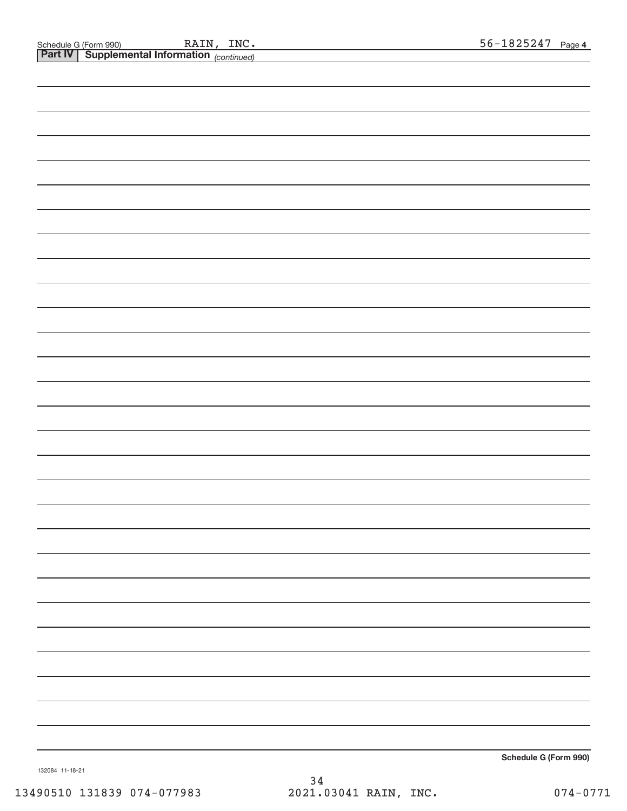| [commaray] |                       |
|------------|-----------------------|
|            |                       |
|            |                       |
|            |                       |
|            |                       |
|            |                       |
|            |                       |
|            |                       |
|            |                       |
|            |                       |
|            |                       |
|            |                       |
|            |                       |
|            |                       |
|            |                       |
|            |                       |
|            |                       |
|            |                       |
|            |                       |
|            |                       |
|            |                       |
|            |                       |
|            |                       |
|            |                       |
|            |                       |
|            |                       |
|            |                       |
|            |                       |
|            |                       |
|            |                       |
|            |                       |
|            |                       |
|            |                       |
|            |                       |
|            |                       |
|            |                       |
|            |                       |
|            |                       |
|            |                       |
|            |                       |
|            |                       |
|            |                       |
|            |                       |
|            |                       |
|            |                       |
|            |                       |
|            |                       |
|            |                       |
|            |                       |
|            |                       |
|            | Schedule G (Form 990) |

132084 11‐18‐21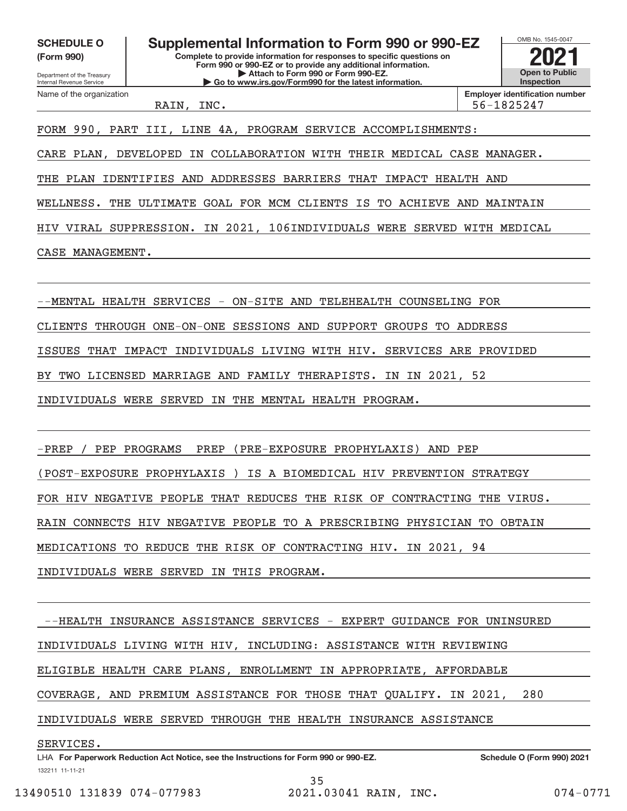**(Form 990)**

Department of the Treasury Internal Revenue Service

Name of the organization



FORM 990, PART III, LINE 4A, PROGRAM SERVICE ACCOMPLISHMENTS:

CARE PLAN, DEVELOPED IN COLLABORATION WITH THEIR MEDICAL CASE MANAGER.

THE PLAN IDENTIFIES AND ADDRESSES BARRIERS THAT IMPACT HEALTH AND

WELLNESS. THE ULTIMATE GOAL FOR MCM CLIENTS IS TO ACHIEVE AND MAINTAIN

HIV VIRAL SUPPRESSION. IN 2021, 106INDIVIDUALS WERE SERVED WITH MEDICAL

CASE MANAGEMENT.

‐‐MENTAL HEALTH SERVICES ‐ ON‐SITE AND TELEHEALTH COUNSELING FOR

CLIENTS THROUGH ONE‐ON‐ONE SESSIONS AND SUPPORT GROUPS TO ADDRESS

ISSUES THAT IMPACT INDIVIDUALS LIVING WITH HIV. SERVICES ARE PROVIDED

BY TWO LICENSED MARRIAGE AND FAMILY THERAPISTS. IN IN 2021, 52

INDIVIDUALS WERE SERVED IN THE MENTAL HEALTH PROGRAM.

‐PREP / PEP PROGRAMS PREP (PRE‐EXPOSURE PROPHYLAXIS) AND PEP

(POST‐EXPOSURE PROPHYLAXIS ) IS A BIOMEDICAL HIV PREVENTION STRATEGY

FOR HIV NEGATIVE PEOPLE THAT REDUCES THE RISK OF CONTRACTING THE VIRUS.

RAIN CONNECTS HIV NEGATIVE PEOPLE TO A PRESCRIBING PHYSICIAN TO OBTAIN

MEDICATIONS TO REDUCE THE RISK OF CONTRACTING HIV. IN 2021, 94

INDIVIDUALS WERE SERVED IN THIS PROGRAM.

‐‐HEALTH INSURANCE ASSISTANCE SERVICES ‐ EXPERT GUIDANCE FOR UNINSURED INDIVIDUALS LIVING WITH HIV, INCLUDING: ASSISTANCE WITH REVIEWING ELIGIBLE HEALTH CARE PLANS, ENROLLMENT IN APPROPRIATE, AFFORDABLE COVERAGE, AND PREMIUM ASSISTANCE FOR THOSE THAT QUALIFY. IN 2021, 280 INDIVIDUALS WERE SERVED THROUGH THE HEALTH INSURANCE ASSISTANCE

SERVICES.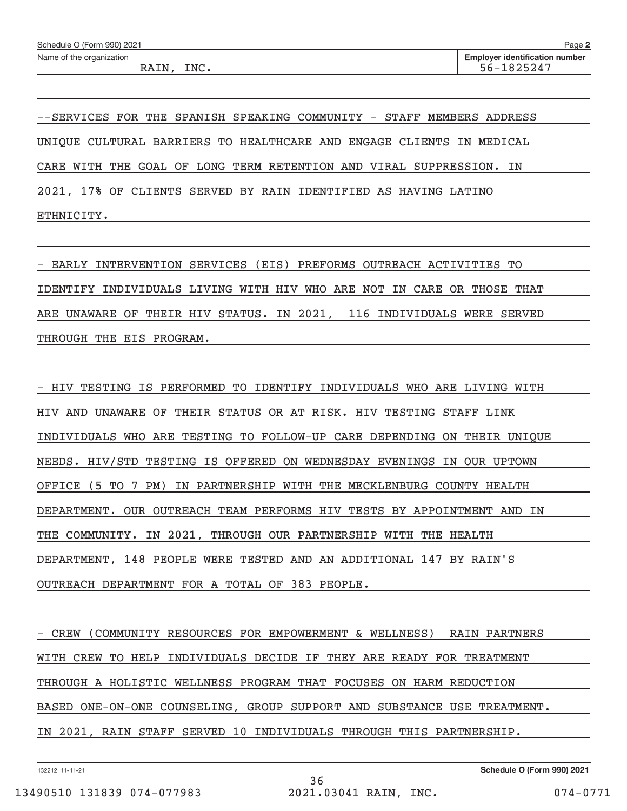‐‐SERVICES FOR THE SPANISH SPEAKING COMMUNITY ‐ STAFF MEMBERS ADDRESS UNIQUE CULTURAL BARRIERS TO HEALTHCARE AND ENGAGE CLIENTS IN MEDICAL CARE WITH THE GOAL OF LONG TERM RETENTION AND VIRAL SUPPRESSION. IN 2021, 17% OF CLIENTS SERVED BY RAIN IDENTIFIED AS HAVING LATINO ETHNICITY.

‐ EARLY INTERVENTION SERVICES (EIS) PREFORMS OUTREACH ACTIVITIES TO IDENTIFY INDIVIDUALS LIVING WITH HIV WHO ARE NOT IN CARE OR THOSE THAT ARE UNAWARE OF THEIR HIV STATUS. IN 2021, 116 INDIVIDUALS WERE SERVED THROUGH THE EIS PROGRAM.

‐ HIV TESTING IS PERFORMED TO IDENTIFY INDIVIDUALS WHO ARE LIVING WITH HIV AND UNAWARE OF THEIR STATUS OR AT RISK. HIV TESTING STAFF LINK INDIVIDUALS WHO ARE TESTING TO FOLLOW‐UP CARE DEPENDING ON THEIR UNIQUE NEEDS. HIV/STD TESTING IS OFFERED ON WEDNESDAY EVENINGS IN OUR UPTOWN OFFICE (5 TO 7 PM) IN PARTNERSHIP WITH THE MECKLENBURG COUNTY HEALTH DEPARTMENT. OUR OUTREACH TEAM PERFORMS HIV TESTS BY APPOINTMENT AND IN THE COMMUNITY. IN 2021, THROUGH OUR PARTNERSHIP WITH THE HEALTH DEPARTMENT, 148 PEOPLE WERE TESTED AND AN ADDITIONAL 147 BY RAIN'S OUTREACH DEPARTMENT FOR A TOTAL OF 383 PEOPLE.

‐ CREW (COMMUNITY RESOURCES FOR EMPOWERMENT & WELLNESS) RAIN PARTNERS WITH CREW TO HELP INDIVIDUALS DECIDE IF THEY ARE READY FOR TREATMENT THROUGH A HOLISTIC WELLNESS PROGRAM THAT FOCUSES ON HARM REDUCTION BASED ONE-ON-ONE COUNSELING, GROUP SUPPORT AND SUBSTANCE USE TREATMENT. IN 2021, RAIN STAFF SERVED 10 INDIVIDUALS THROUGH THIS PARTNERSHIP.

132212 11‐11‐21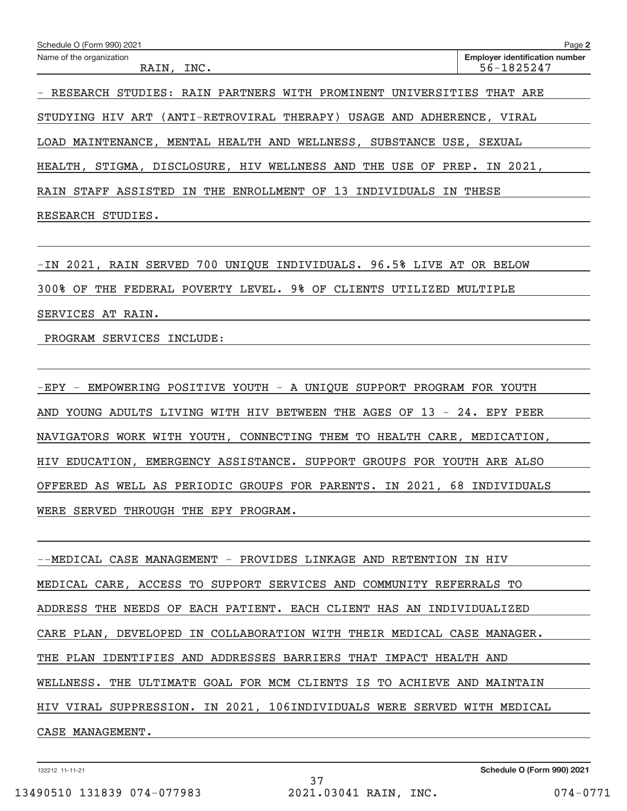| Schedule O (Form 990) 2021                                             | Page 2                                              |
|------------------------------------------------------------------------|-----------------------------------------------------|
| Name of the organization<br>RAIN, INC.                                 | <b>Employer identification number</b><br>56-1825247 |
|                                                                        |                                                     |
| RESEARCH STUDIES: RAIN PARTNERS WITH PROMINENT UNIVERSITIES THAT ARE   |                                                     |
| STUDYING HIV ART (ANTI-RETROVIRAL THERAPY) USAGE AND ADHERENCE, VIRAL  |                                                     |
| LOAD MAINTENANCE, MENTAL HEALTH AND WELLNESS, SUBSTANCE USE,           | SEXUAL                                              |
| HEALTH, STIGMA, DISCLOSURE, HIV WELLNESS AND THE USE OF                | PREP.<br>IN 2021,                                   |
| STAFF ASSISTED<br>THE ENROLLMENT OF 13<br>IN<br>INDIVIDUALS IN<br>RAIN | THESE                                               |
| RESEARCH STUDIES.                                                      |                                                     |

‐IN 2021, RAIN SERVED 700 UNIQUE INDIVIDUALS. 96.5% LIVE AT OR BELOW 300% OF THE FEDERAL POVERTY LEVEL. 9% OF CLIENTS UTILIZED MULTIPLE SERVICES AT RAIN.

PROGRAM SERVICES INCLUDE:

‐EPY ‐ EMPOWERING POSITIVE YOUTH ‐ A UNIQUE SUPPORT PROGRAM FOR YOUTH AND YOUNG ADULTS LIVING WITH HIV BETWEEN THE AGES OF 13 ‐ 24. EPY PEER NAVIGATORS WORK WITH YOUTH, CONNECTING THEM TO HEALTH CARE, MEDICATION, HIV EDUCATION, EMERGENCY ASSISTANCE. SUPPORT GROUPS FOR YOUTH ARE ALSO OFFERED AS WELL AS PERIODIC GROUPS FOR PARENTS. IN 2021, 68 INDIVIDUALS WERE SERVED THROUGH THE EPY PROGRAM.

‐‐MEDICAL CASE MANAGEMENT ‐ PROVIDES LINKAGE AND RETENTION IN HIV MEDICAL CARE, ACCESS TO SUPPORT SERVICES AND COMMUNITY REFERRALS TO ADDRESS THE NEEDS OF EACH PATIENT. EACH CLIENT HAS AN INDIVIDUALIZED CARE PLAN, DEVELOPED IN COLLABORATION WITH THEIR MEDICAL CASE MANAGER. THE PLAN IDENTIFIES AND ADDRESSES BARRIERS THAT IMPACT HEALTH AND WELLNESS. THE ULTIMATE GOAL FOR MCM CLIENTS IS TO ACHIEVE AND MAINTAIN HIV VIRAL SUPPRESSION. IN 2021, 106INDIVIDUALS WERE SERVED WITH MEDICAL CASE MANAGEMENT.

132212 11‐11‐21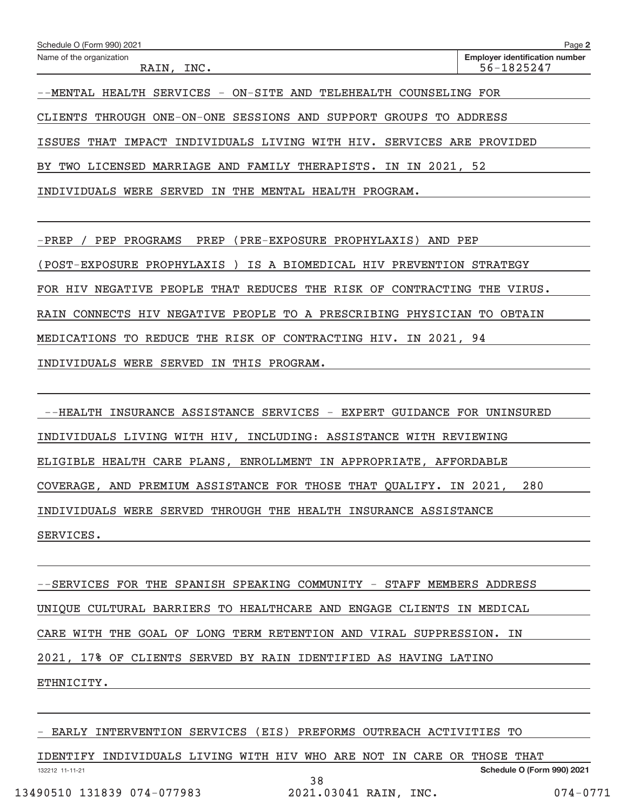| Schedule O (Form 990) 2021                                               | Page 2                                              |  |  |
|--------------------------------------------------------------------------|-----------------------------------------------------|--|--|
| Name of the organization<br>RAIN, INC.                                   | <b>Employer identification number</b><br>56-1825247 |  |  |
| --MENTAL HEALTH SERVICES - ON-SITE AND TELEHEALTH COUNSELING FOR         |                                                     |  |  |
| CLIENTS THROUGH ONE-ON-ONE SESSIONS AND SUPPORT GROUPS TO ADDRESS        |                                                     |  |  |
| IMPACT INDIVIDUALS LIVING WITH HIV. SERVICES ARE PROVIDED<br>ISSUES THAT |                                                     |  |  |
| TWO LICENSED MARRIAGE AND FAMILY THERAPISTS. IN<br>IN 2021, 52<br>BY     |                                                     |  |  |

INDIVIDUALS WERE SERVED IN THE MENTAL HEALTH PROGRAM.

‐PREP / PEP PROGRAMS PREP (PRE‐EXPOSURE PROPHYLAXIS) AND PEP

(POST‐EXPOSURE PROPHYLAXIS ) IS A BIOMEDICAL HIV PREVENTION STRATEGY

FOR HIV NEGATIVE PEOPLE THAT REDUCES THE RISK OF CONTRACTING THE VIRUS.

RAIN CONNECTS HIV NEGATIVE PEOPLE TO A PRESCRIBING PHYSICIAN TO OBTAIN

MEDICATIONS TO REDUCE THE RISK OF CONTRACTING HIV. IN 2021, 94

INDIVIDUALS WERE SERVED IN THIS PROGRAM.

‐‐HEALTH INSURANCE ASSISTANCE SERVICES ‐ EXPERT GUIDANCE FOR UNINSURED INDIVIDUALS LIVING WITH HIV, INCLUDING: ASSISTANCE WITH REVIEWING ELIGIBLE HEALTH CARE PLANS, ENROLLMENT IN APPROPRIATE, AFFORDABLE COVERAGE, AND PREMIUM ASSISTANCE FOR THOSE THAT QUALIFY. IN 2021, 280 INDIVIDUALS WERE SERVED THROUGH THE HEALTH INSURANCE ASSISTANCE SERVICES.

--SERVICES FOR THE SPANISH SPEAKING COMMUNITY - STAFF MEMBERS ADDRESS UNIQUE CULTURAL BARRIERS TO HEALTHCARE AND ENGAGE CLIENTS IN MEDICAL CARE WITH THE GOAL OF LONG TERM RETENTION AND VIRAL SUPPRESSION. IN 2021, 17% OF CLIENTS SERVED BY RAIN IDENTIFIED AS HAVING LATINO ETHNICITY.

‐ EARLY INTERVENTION SERVICES (EIS) PREFORMS OUTREACH ACTIVITIES TO

132212 11‐11‐21 **Schedule O (Form 990) 2021** IDENTIFY INDIVIDUALS LIVING WITH HIV WHO ARE NOT IN CARE OR THOSE THAT 38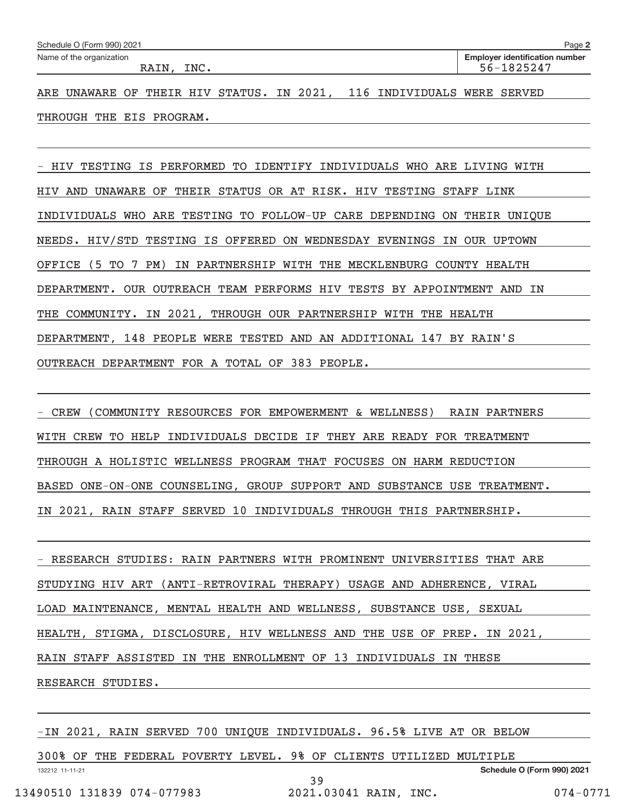| Schedule O (Form 990) 2021 | Page 2                                |
|----------------------------|---------------------------------------|
| Name of the organization   | <b>Employer identification number</b> |
| INC.<br>RAIN               | 56-1825247                            |

ARE UNAWARE OF THEIR HIV STATUS. IN 2021, 116 INDIVIDUALS WERE SERVED THROUGH THE EIS PROGRAM.

‐ HIV TESTING IS PERFORMED TO IDENTIFY INDIVIDUALS WHO ARE LIVING WITH HIV AND UNAWARE OF THEIR STATUS OR AT RISK. HIV TESTING STAFF LINK INDIVIDUALS WHO ARE TESTING TO FOLLOW‐UP CARE DEPENDING ON THEIR UNIQUE NEEDS. HIV/STD TESTING IS OFFERED ON WEDNESDAY EVENINGS IN OUR UPTOWN OFFICE (5 TO 7 PM) IN PARTNERSHIP WITH THE MECKLENBURG COUNTY HEALTH DEPARTMENT. OUR OUTREACH TEAM PERFORMS HIV TESTS BY APPOINTMENT AND IN THE COMMUNITY. IN 2021, THROUGH OUR PARTNERSHIP WITH THE HEALTH DEPARTMENT, 148 PEOPLE WERE TESTED AND AN ADDITIONAL 147 BY RAIN'S OUTREACH DEPARTMENT FOR A TOTAL OF 383 PEOPLE.

‐ CREW (COMMUNITY RESOURCES FOR EMPOWERMENT & WELLNESS) RAIN PARTNERS WITH CREW TO HELP INDIVIDUALS DECIDE IF THEY ARE READY FOR TREATMENT THROUGH A HOLISTIC WELLNESS PROGRAM THAT FOCUSES ON HARM REDUCTION BASED ONE‐ON‐ONE COUNSELING, GROUP SUPPORT AND SUBSTANCE USE TREATMENT. IN 2021, RAIN STAFF SERVED 10 INDIVIDUALS THROUGH THIS PARTNERSHIP.

‐ RESEARCH STUDIES: RAIN PARTNERS WITH PROMINENT UNIVERSITIES THAT ARE STUDYING HIV ART (ANTI‐RETROVIRAL THERAPY) USAGE AND ADHERENCE, VIRAL LOAD MAINTENANCE, MENTAL HEALTH AND WELLNESS, SUBSTANCE USE, SEXUAL HEALTH, STIGMA, DISCLOSURE, HIV WELLNESS AND THE USE OF PREP. IN 2021, RAIN STAFF ASSISTED IN THE ENROLLMENT OF 13 INDIVIDUALS IN THESE RESEARCH STUDIES.

132212 11‐11‐21 **Schedule O (Form 990) 2021** ‐IN 2021, RAIN SERVED 700 UNIQUE INDIVIDUALS. 96.5% LIVE AT OR BELOW 300% OF THE FEDERAL POVERTY LEVEL. 9% OF CLIENTS UTILIZED MULTIPLE 39 13490510 131839 074‐077983 2021.03041 RAIN, INC. 074‐0771